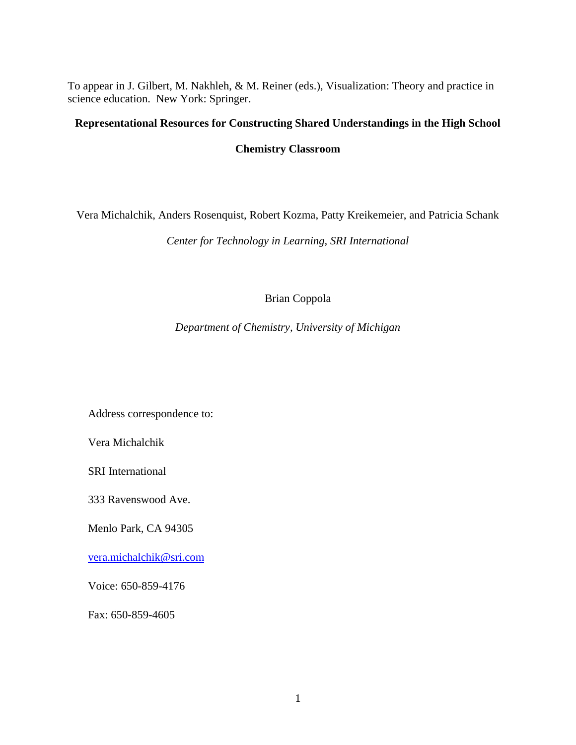To appear in J. Gilbert, M. Nakhleh, & M. Reiner (eds.), Visualization: Theory and practice in science education. New York: Springer.

# **Representational Resources for Constructing Shared Understandings in the High School**

**Chemistry Classroom** 

Vera Michalchik, Anders Rosenquist, Robert Kozma, Patty Kreikemeier, and Patricia Schank

*Center for Technology in Learning, SRI International* 

# Brian Coppola

*Department of Chemistry, University of Michigan* 

Address correspondence to:

Vera Michalchik

SRI International

333 Ravenswood Ave.

Menlo Park, CA 94305

[vera.michalchik@sri.com](mailto:vera.michalchikmichalchik@sri.com)

Voice: 650-859-4176

Fax: 650-859-4605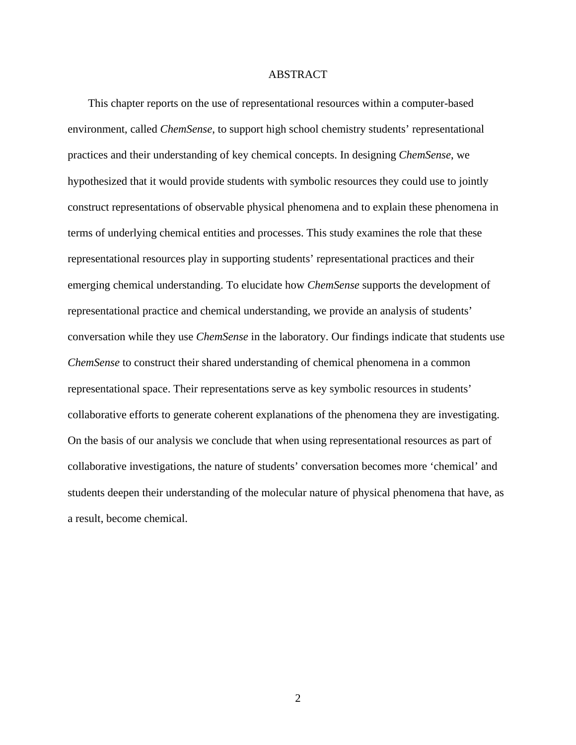### ABSTRACT

This chapter reports on the use of representational resources within a computer-based environment, called *ChemSense*, to support high school chemistry students' representational practices and their understanding of key chemical concepts. In designing *ChemSense*, we hypothesized that it would provide students with symbolic resources they could use to jointly construct representations of observable physical phenomena and to explain these phenomena in terms of underlying chemical entities and processes. This study examines the role that these representational resources play in supporting students' representational practices and their emerging chemical understanding. To elucidate how *ChemSense* supports the development of representational practice and chemical understanding, we provide an analysis of students' conversation while they use *ChemSense* in the laboratory. Our findings indicate that students use *ChemSense* to construct their shared understanding of chemical phenomena in a common representational space. Their representations serve as key symbolic resources in students' collaborative efforts to generate coherent explanations of the phenomena they are investigating. On the basis of our analysis we conclude that when using representational resources as part of collaborative investigations, the nature of students' conversation becomes more 'chemical' and students deepen their understanding of the molecular nature of physical phenomena that have, as a result, become chemical.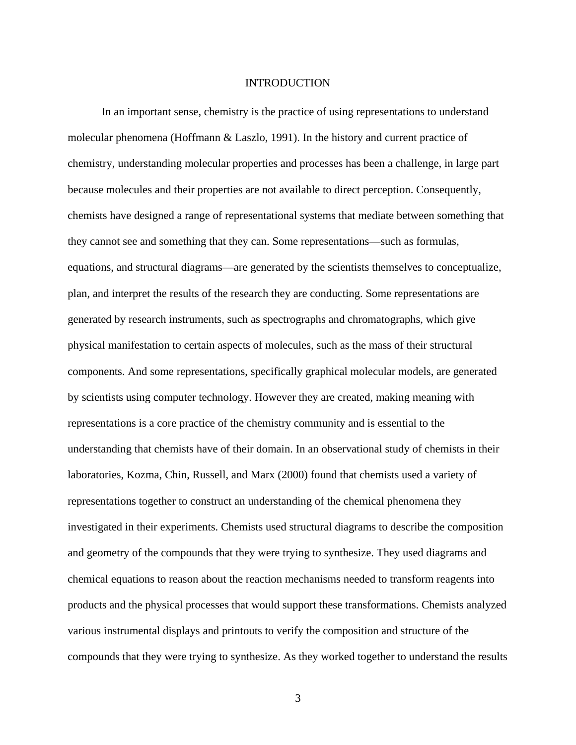### INTRODUCTION

In an important sense, chemistry is the practice of using representations to understand molecular phenomena (Hoffmann & Laszlo, 1991). In the history and current practice of chemistry, understanding molecular properties and processes has been a challenge, in large part because molecules and their properties are not available to direct perception. Consequently, chemists have designed a range of representational systems that mediate between something that they cannot see and something that they can. Some representations—such as formulas, equations, and structural diagrams—are generated by the scientists themselves to conceptualize, plan, and interpret the results of the research they are conducting. Some representations are generated by research instruments, such as spectrographs and chromatographs, which give physical manifestation to certain aspects of molecules, such as the mass of their structural components. And some representations, specifically graphical molecular models, are generated by scientists using computer technology. However they are created, making meaning with representations is a core practice of the chemistry community and is essential to the understanding that chemists have of their domain. In an observational study of chemists in their laboratories, Kozma, Chin, Russell, and Marx (2000) found that chemists used a variety of representations together to construct an understanding of the chemical phenomena they investigated in their experiments. Chemists used structural diagrams to describe the composition and geometry of the compounds that they were trying to synthesize. They used diagrams and chemical equations to reason about the reaction mechanisms needed to transform reagents into products and the physical processes that would support these transformations. Chemists analyzed various instrumental displays and printouts to verify the composition and structure of the compounds that they were trying to synthesize. As they worked together to understand the results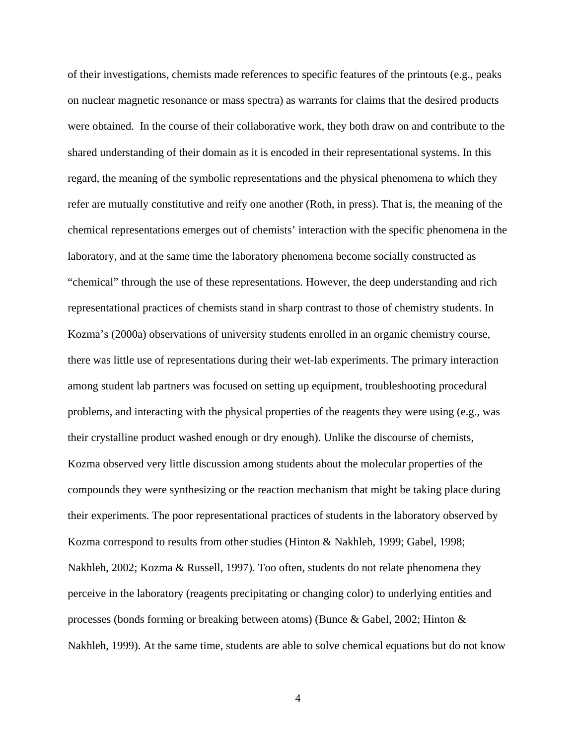of their investigations, chemists made references to specific features of the printouts (e.g., peaks on nuclear magnetic resonance or mass spectra) as warrants for claims that the desired products were obtained. In the course of their collaborative work, they both draw on and contribute to the shared understanding of their domain as it is encoded in their representational systems. In this regard, the meaning of the symbolic representations and the physical phenomena to which they refer are mutually constitutive and reify one another (Roth, in press). That is, the meaning of the chemical representations emerges out of chemists' interaction with the specific phenomena in the laboratory, and at the same time the laboratory phenomena become socially constructed as "chemical" through the use of these representations. However, the deep understanding and rich representational practices of chemists stand in sharp contrast to those of chemistry students. In Kozma's (2000a) observations of university students enrolled in an organic chemistry course, there was little use of representations during their wet-lab experiments. The primary interaction among student lab partners was focused on setting up equipment, troubleshooting procedural problems, and interacting with the physical properties of the reagents they were using (e.g., was their crystalline product washed enough or dry enough). Unlike the discourse of chemists, Kozma observed very little discussion among students about the molecular properties of the compounds they were synthesizing or the reaction mechanism that might be taking place during their experiments. The poor representational practices of students in the laboratory observed by Kozma correspond to results from other studies (Hinton & Nakhleh, 1999; Gabel, 1998; Nakhleh, 2002; Kozma & Russell, 1997). Too often, students do not relate phenomena they perceive in the laboratory (reagents precipitating or changing color) to underlying entities and processes (bonds forming or breaking between atoms) (Bunce & Gabel, 2002; Hinton & Nakhleh, 1999). At the same time, students are able to solve chemical equations but do not know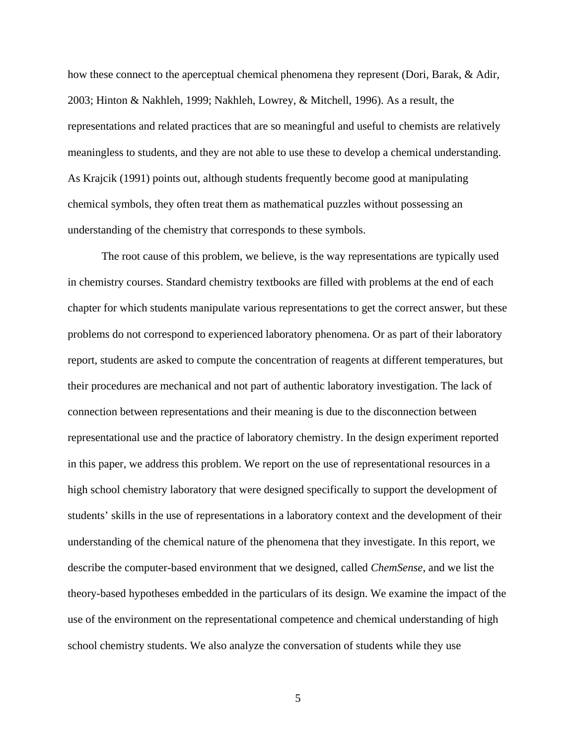how these connect to the aperceptual chemical phenomena they represent (Dori, Barak, & Adir, 2003; Hinton & Nakhleh, 1999; Nakhleh, Lowrey, & Mitchell, 1996). As a result, the representations and related practices that are so meaningful and useful to chemists are relatively meaningless to students, and they are not able to use these to develop a chemical understanding. As Krajcik (1991) points out, although students frequently become good at manipulating chemical symbols, they often treat them as mathematical puzzles without possessing an understanding of the chemistry that corresponds to these symbols.

The root cause of this problem, we believe, is the way representations are typically used in chemistry courses. Standard chemistry textbooks are filled with problems at the end of each chapter for which students manipulate various representations to get the correct answer, but these problems do not correspond to experienced laboratory phenomena. Or as part of their laboratory report, students are asked to compute the concentration of reagents at different temperatures, but their procedures are mechanical and not part of authentic laboratory investigation. The lack of connection between representations and their meaning is due to the disconnection between representational use and the practice of laboratory chemistry. In the design experiment reported in this paper, we address this problem. We report on the use of representational resources in a high school chemistry laboratory that were designed specifically to support the development of students' skills in the use of representations in a laboratory context and the development of their understanding of the chemical nature of the phenomena that they investigate. In this report, we describe the computer-based environment that we designed, called *ChemSense*, and we list the theory-based hypotheses embedded in the particulars of its design. We examine the impact of the use of the environment on the representational competence and chemical understanding of high school chemistry students. We also analyze the conversation of students while they use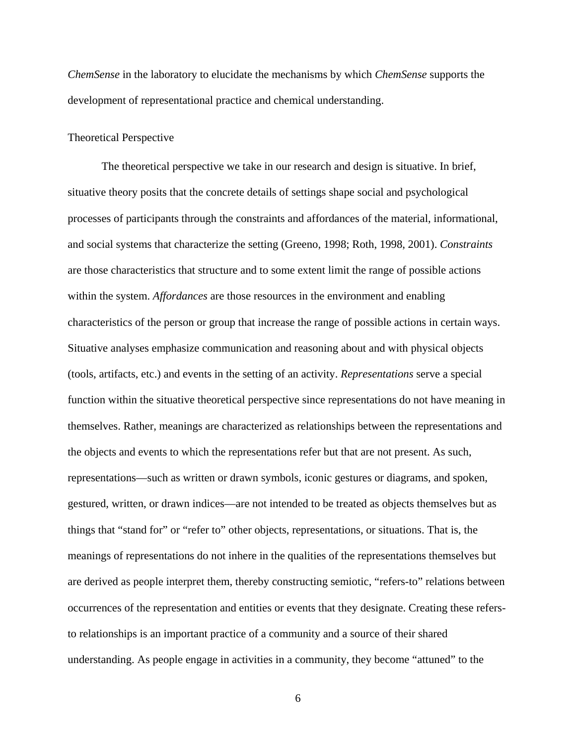*ChemSense* in the laboratory to elucidate the mechanisms by which *ChemSense* supports the development of representational practice and chemical understanding.

## Theoretical Perspective

The theoretical perspective we take in our research and design is situative. In brief, situative theory posits that the concrete details of settings shape social and psychological processes of participants through the constraints and affordances of the material, informational, and social systems that characterize the setting (Greeno, 1998; Roth, 1998, 2001). *Constraints* are those characteristics that structure and to some extent limit the range of possible actions within the system. *Affordances* are those resources in the environment and enabling characteristics of the person or group that increase the range of possible actions in certain ways. Situative analyses emphasize communication and reasoning about and with physical objects (tools, artifacts, etc.) and events in the setting of an activity. *Representations* serve a special function within the situative theoretical perspective since representations do not have meaning in themselves. Rather, meanings are characterized as relationships between the representations and the objects and events to which the representations refer but that are not present. As such, representations—such as written or drawn symbols, iconic gestures or diagrams, and spoken, gestured, written, or drawn indices—are not intended to be treated as objects themselves but as things that "stand for" or "refer to" other objects, representations, or situations. That is, the meanings of representations do not inhere in the qualities of the representations themselves but are derived as people interpret them, thereby constructing semiotic, "refers-to" relations between occurrences of the representation and entities or events that they designate. Creating these refersto relationships is an important practice of a community and a source of their shared understanding. As people engage in activities in a community, they become "attuned" to the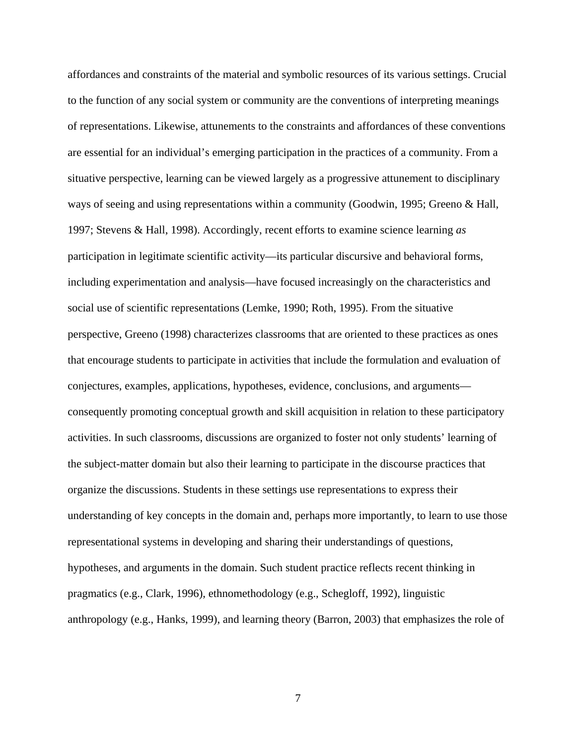affordances and constraints of the material and symbolic resources of its various settings. Crucial to the function of any social system or community are the conventions of interpreting meanings of representations. Likewise, attunements to the constraints and affordances of these conventions are essential for an individual's emerging participation in the practices of a community. From a situative perspective, learning can be viewed largely as a progressive attunement to disciplinary ways of seeing and using representations within a community (Goodwin, 1995; Greeno & Hall, 1997; Stevens & Hall, 1998). Accordingly, recent efforts to examine science learning *as* participation in legitimate scientific activity—its particular discursive and behavioral forms, including experimentation and analysis—have focused increasingly on the characteristics and social use of scientific representations (Lemke, 1990; Roth, 1995). From the situative perspective, Greeno (1998) characterizes classrooms that are oriented to these practices as ones that encourage students to participate in activities that include the formulation and evaluation of conjectures, examples, applications, hypotheses, evidence, conclusions, and arguments consequently promoting conceptual growth and skill acquisition in relation to these participatory activities. In such classrooms, discussions are organized to foster not only students' learning of the subject-matter domain but also their learning to participate in the discourse practices that organize the discussions. Students in these settings use representations to express their understanding of key concepts in the domain and, perhaps more importantly, to learn to use those representational systems in developing and sharing their understandings of questions, hypotheses, and arguments in the domain. Such student practice reflects recent thinking in pragmatics (e.g., Clark, 1996), ethnomethodology (e.g., Schegloff, 1992), linguistic anthropology (e.g., Hanks, 1999), and learning theory (Barron, 2003) that emphasizes the role of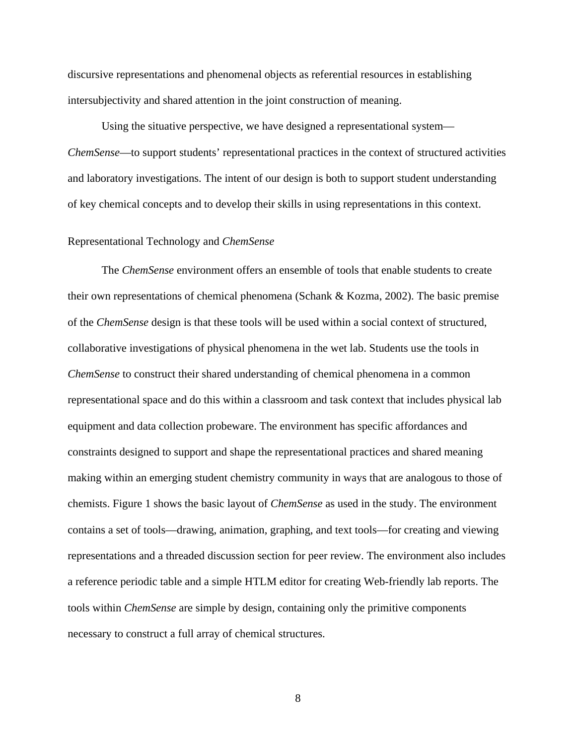discursive representations and phenomenal objects as referential resources in establishing intersubjectivity and shared attention in the joint construction of meaning.

Using the situative perspective, we have designed a representational system— *ChemSense*—to support students' representational practices in the context of structured activities and laboratory investigations. The intent of our design is both to support student understanding of key chemical concepts and to develop their skills in using representations in this context.

### Representational Technology and *ChemSense*

The *ChemSense* environment offers an ensemble of tools that enable students to create their own representations of chemical phenomena (Schank & Kozma, 2002). The basic premise of the *ChemSense* design is that these tools will be used within a social context of structured, collaborative investigations of physical phenomena in the wet lab. Students use the tools in *ChemSense* to construct their shared understanding of chemical phenomena in a common representational space and do this within a classroom and task context that includes physical lab equipment and data collection probeware. The environment has specific affordances and constraints designed to support and shape the representational practices and shared meaning making within an emerging student chemistry community in ways that are analogous to those of chemists. Figure 1 shows the basic layout of *ChemSense* as used in the study. The environment contains a set of tools—drawing, animation, graphing, and text tools—for creating and viewing representations and a threaded discussion section for peer review. The environment also includes a reference periodic table and a simple HTLM editor for creating Web-friendly lab reports. The tools within *ChemSense* are simple by design, containing only the primitive components necessary to construct a full array of chemical structures.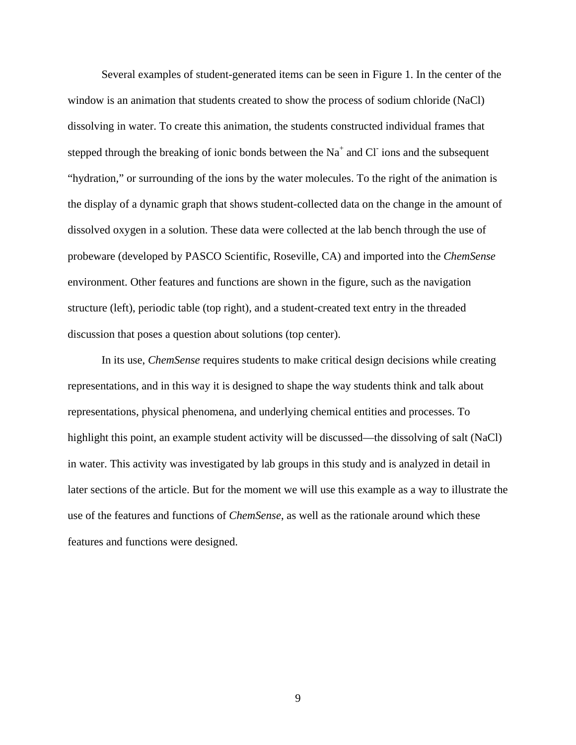Several examples of student-generated items can be seen in Figure 1. In the center of the window is an animation that students created to show the process of sodium chloride (NaCl) dissolving in water. To create this animation, the students constructed individual frames that stepped through the breaking of ionic bonds between the  $Na<sup>+</sup>$  and Cl<sup>-</sup> ions and the subsequent "hydration," or surrounding of the ions by the water molecules. To the right of the animation is the display of a dynamic graph that shows student-collected data on the change in the amount of dissolved oxygen in a solution. These data were collected at the lab bench through the use of probeware (developed by PASCO Scientific, Roseville, CA) and imported into the *ChemSense* environment. Other features and functions are shown in the figure, such as the navigation structure (left), periodic table (top right), and a student-created text entry in the threaded discussion that poses a question about solutions (top center).

In its use, *ChemSense* requires students to make critical design decisions while creating representations, and in this way it is designed to shape the way students think and talk about representations, physical phenomena, and underlying chemical entities and processes. To highlight this point, an example student activity will be discussed—the dissolving of salt (NaCl) in water. This activity was investigated by lab groups in this study and is analyzed in detail in later sections of the article. But for the moment we will use this example as a way to illustrate the use of the features and functions of *ChemSense*, as well as the rationale around which these features and functions were designed.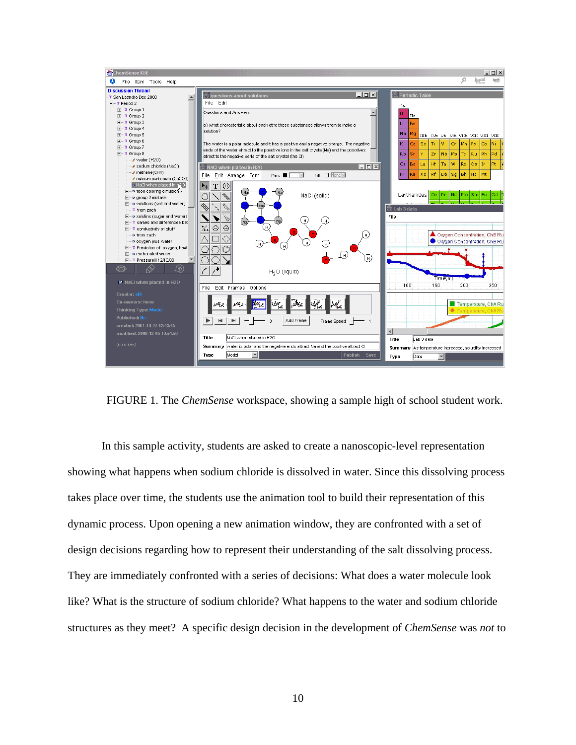

FIGURE 1. The *ChemSense* workspace, showing a sample high of school student work.

In this sample activity, students are asked to create a nanoscopic-level representation showing what happens when sodium chloride is dissolved in water. Since this dissolving process takes place over time, the students use the animation tool to build their representation of this dynamic process. Upon opening a new animation window, they are confronted with a set of design decisions regarding how to represent their understanding of the salt dissolving process. They are immediately confronted with a series of decisions: What does a water molecule look like? What is the structure of sodium chloride? What happens to the water and sodium chloride structures as they meet? A specific design decision in the development of *ChemSense* was *not* to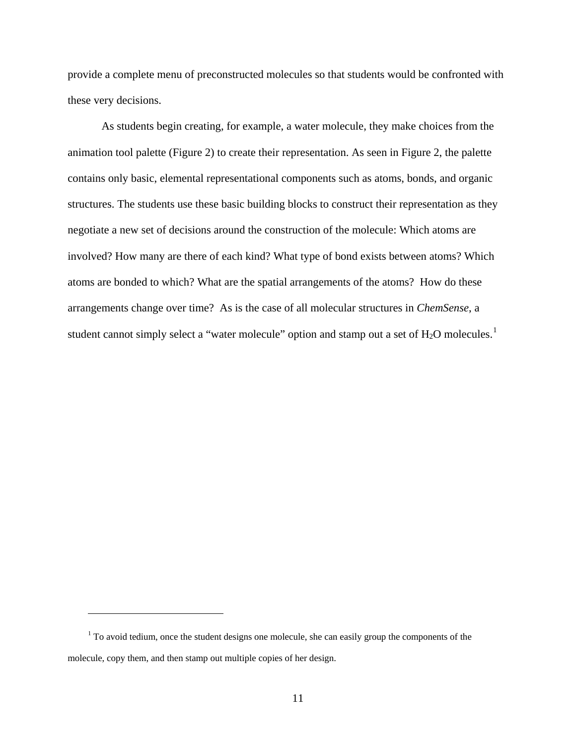provide a complete menu of preconstructed molecules so that students would be confronted with these very decisions.

As students begin creating, for example, a water molecule, they make choices from the animation tool palette (Figure 2) to create their representation. As seen in Figure 2, the palette contains only basic, elemental representational components such as atoms, bonds, and organic structures. The students use these basic building blocks to construct their representation as they negotiate a new set of decisions around the construction of the molecule: Which atoms are involved? How many are there of each kind? What type of bond exists between atoms? Which atoms are bonded to which? What are the spatial arrangements of the atoms? How do these arrangements change over time? As is the case of all molecular structures in *ChemSense*, a student cannot simply select a "water molecule" option and stamp out a set of  $H_2O$  molecules.<sup>[1](#page-10-0)</sup>

 $\overline{a}$ 

<span id="page-10-0"></span> $1$  To avoid tedium, once the student designs one molecule, she can easily group the components of the molecule, copy them, and then stamp out multiple copies of her design.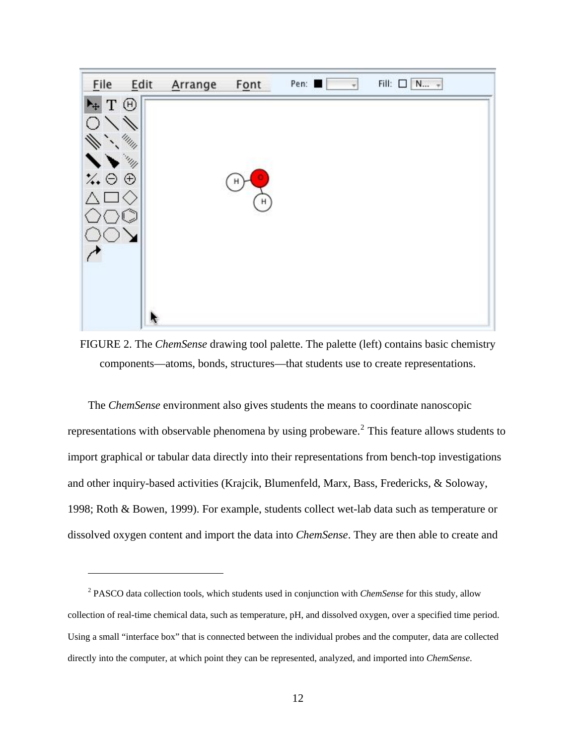

FIGURE 2. The *ChemSense* drawing tool palette. The palette (left) contains basic chemistry components—atoms, bonds, structures—that students use to create representations.

The *ChemSense* environment also gives students the means to coordinate nanoscopic representations with observable phenomena by using probeware.<sup>[2](#page-11-0)</sup> This feature allows students to import graphical or tabular data directly into their representations from bench-top investigations and other inquiry-based activities (Krajcik, Blumenfeld, Marx, Bass, Fredericks, & Soloway, 1998; Roth & Bowen, 1999). For example, students collect wet-lab data such as temperature or dissolved oxygen content and import the data into *ChemSense*. They are then able to create and

 $\overline{a}$ 

<span id="page-11-0"></span><sup>2</sup> PASCO data collection tools, which students used in conjunction with *ChemSense* for this study, allow collection of real-time chemical data, such as temperature, pH, and dissolved oxygen, over a specified time period. Using a small "interface box" that is connected between the individual probes and the computer, data are collected directly into the computer, at which point they can be represented, analyzed, and imported into *ChemSense*.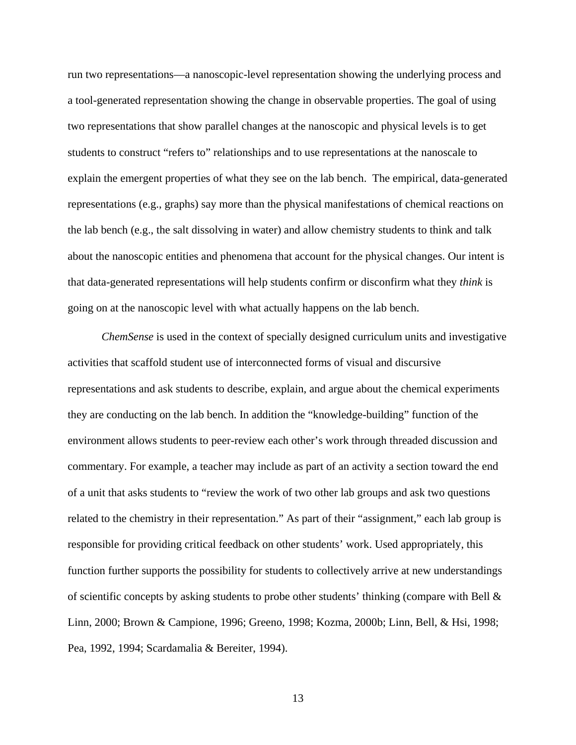run two representations—a nanoscopic-level representation showing the underlying process and a tool-generated representation showing the change in observable properties. The goal of using two representations that show parallel changes at the nanoscopic and physical levels is to get students to construct "refers to" relationships and to use representations at the nanoscale to explain the emergent properties of what they see on the lab bench. The empirical, data-generated representations (e.g., graphs) say more than the physical manifestations of chemical reactions on the lab bench (e.g., the salt dissolving in water) and allow chemistry students to think and talk about the nanoscopic entities and phenomena that account for the physical changes. Our intent is that data-generated representations will help students confirm or disconfirm what they *think* is going on at the nanoscopic level with what actually happens on the lab bench.

*ChemSense* is used in the context of specially designed curriculum units and investigative activities that scaffold student use of interconnected forms of visual and discursive representations and ask students to describe, explain, and argue about the chemical experiments they are conducting on the lab bench. In addition the "knowledge-building" function of the environment allows students to peer-review each other's work through threaded discussion and commentary. For example, a teacher may include as part of an activity a section toward the end of a unit that asks students to "review the work of two other lab groups and ask two questions related to the chemistry in their representation." As part of their "assignment," each lab group is responsible for providing critical feedback on other students' work. Used appropriately, this function further supports the possibility for students to collectively arrive at new understandings of scientific concepts by asking students to probe other students' thinking (compare with Bell  $\&$ Linn, 2000; Brown & Campione, 1996; Greeno, 1998; Kozma, 2000b; Linn, Bell, & Hsi, 1998; Pea, 1992, 1994; Scardamalia & Bereiter, 1994).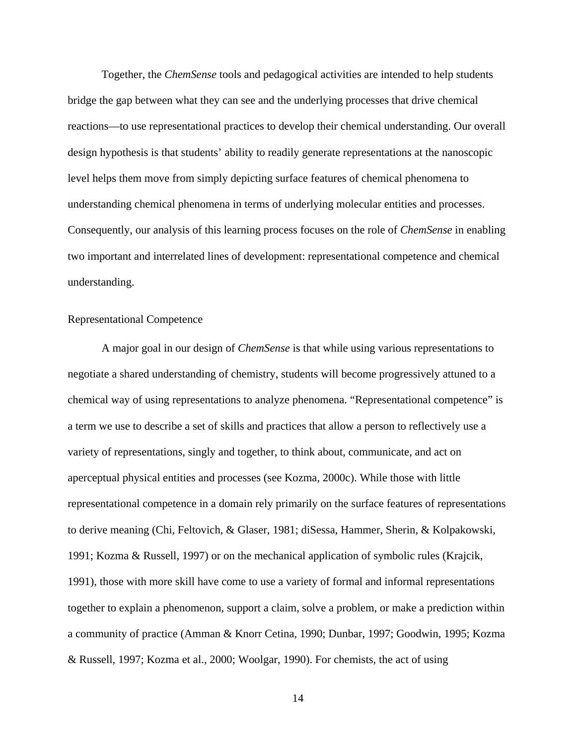Together, the *ChemSense* tools and pedagogical activities are intended to help students bridge the gap between what they can see and the underlying processes that drive chemical reactions—to use representational practices to develop their chemical understanding. Our overall design hypothesis is that students' ability to readily generate representations at the nanoscopic level helps them move from simply depicting surface features of chemical phenomena to understanding chemical phenomena in terms of underlying molecular entities and processes. Consequently, our analysis of this learning process focuses on the role of *ChemSense* in enabling two important and interrelated lines of development: representational competence and chemical understanding.

### Representational Competence

A major goal in our design of *ChemSense* is that while using various representations to negotiate a shared understanding of chemistry, students will become progressively attuned to a chemical way of using representations to analyze phenomena. "Representational competence" is a term we use to describe a set of skills and practices that allow a person to reflectively use a variety of representations, singly and together, to think about, communicate, and act on aperceptual physical entities and processes (see Kozma, 2000c). While those with little representational competence in a domain rely primarily on the surface features of representations to derive meaning (Chi, Feltovich, & Glaser, 1981; diSessa, Hammer, Sherin, & Kolpakowski, 1991; Kozma & Russell, 1997) or on the mechanical application of symbolic rules (Krajcik, 1991), those with more skill have come to use a variety of formal and informal representations together to explain a phenomenon, support a claim, solve a problem, or make a prediction within a community of practice (Amman & Knorr Cetina, 1990; Dunbar, 1997; Goodwin, 1995; Kozma & Russell, 1997; Kozma et al., 2000; Woolgar, 1990). For chemists, the act of using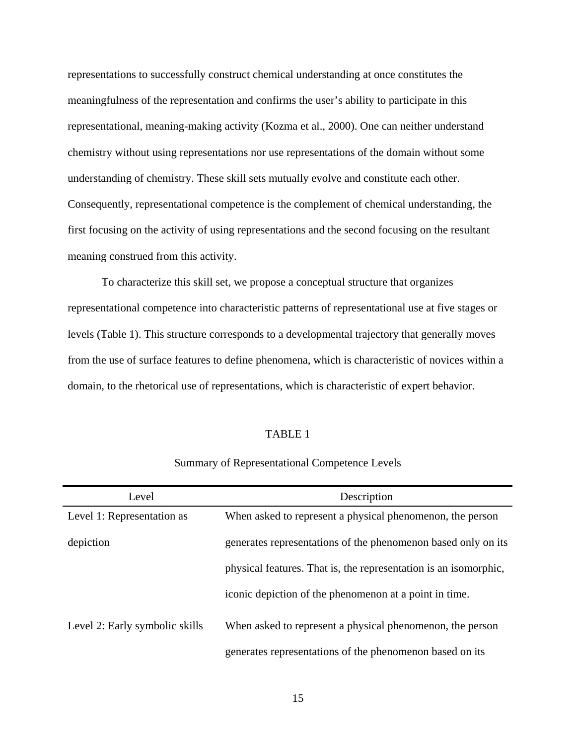representations to successfully construct chemical understanding at once constitutes the meaningfulness of the representation and confirms the user's ability to participate in this representational, meaning-making activity (Kozma et al., 2000). One can neither understand chemistry without using representations nor use representations of the domain without some understanding of chemistry. These skill sets mutually evolve and constitute each other. Consequently, representational competence is the complement of chemical understanding, the first focusing on the activity of using representations and the second focusing on the resultant meaning construed from this activity.

To characterize this skill set, we propose a conceptual structure that organizes representational competence into characteristic patterns of representational use at five stages or levels (Table 1). This structure corresponds to a developmental trajectory that generally moves from the use of surface features to define phenomena, which is characteristic of novices within a domain, to the rhetorical use of representations, which is characteristic of expert behavior.

# TABLE 1

| Level                          | Description                                                      |
|--------------------------------|------------------------------------------------------------------|
| Level 1: Representation as     | When asked to represent a physical phenomenon, the person        |
| depiction                      | generates representations of the phenomenon based only on its    |
|                                | physical features. That is, the representation is an isomorphic, |
|                                | iconic depiction of the phenomenon at a point in time.           |
| Level 2: Early symbolic skills | When asked to represent a physical phenomenon, the person        |
|                                | generates representations of the phenomenon based on its         |

# Summary of Representational Competence Levels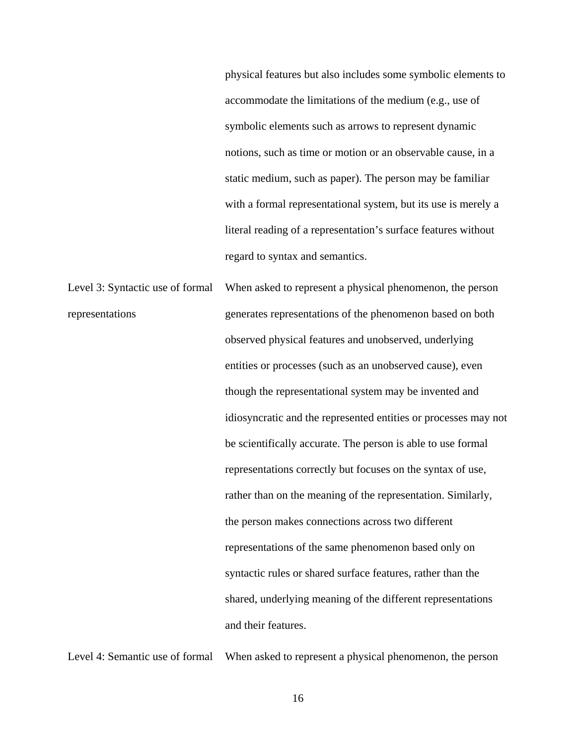physical features but also includes some symbolic elements to accommodate the limitations of the medium (e.g., use of symbolic elements such as arrows to represent dynamic notions, such as time or motion or an observable cause, in a static medium, such as paper). The person may be familiar with a formal representational system, but its use is merely a literal reading of a representation's surface features without regard to syntax and semantics.

Level 3: Syntactic use of formal representations When asked to represent a physical phenomenon, the person generates representations of the phenomenon based on both observed physical features and unobserved, underlying entities or processes (such as an unobserved cause), even though the representational system may be invented and idiosyncratic and the represented entities or processes may not be scientifically accurate. The person is able to use formal representations correctly but focuses on the syntax of use, rather than on the meaning of the representation. Similarly, the person makes connections across two different representations of the same phenomenon based only on syntactic rules or shared surface features, rather than the shared, underlying meaning of the different representations and their features.

Level 4: Semantic use of formal When asked to represent a physical phenomenon, the person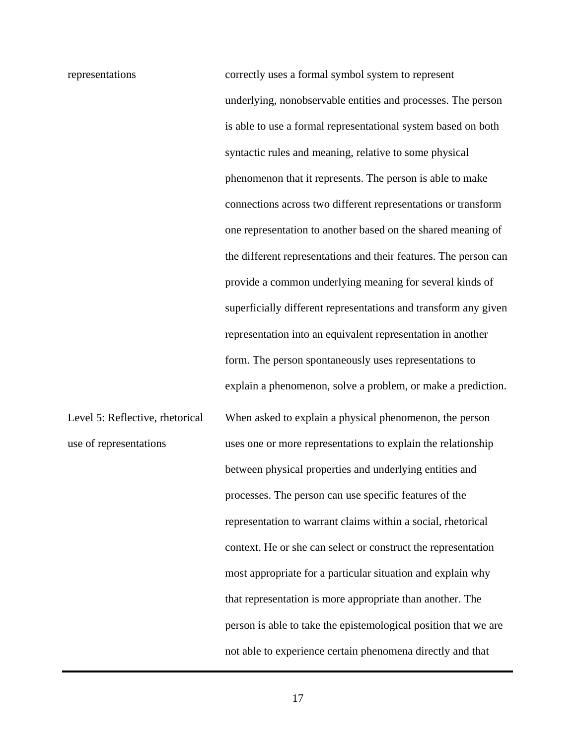representations correctly uses a formal symbol system to represent underlying, nonobservable entities and processes. The person is able to use a formal representational system based on both syntactic rules and meaning, relative to some physical phenomenon that it represents. The person is able to make connections across two different representations or transform one representation to another based on the shared meaning of the different representations and their features. The person can provide a common underlying meaning for several kinds of superficially different representations and transform any given representation into an equivalent representation in another form. The person spontaneously uses representations to explain a phenomenon, solve a problem, or make a prediction. Level 5: Reflective, rhetorical use of representations When asked to explain a physical phenomenon, the person uses one or more representations to explain the relationship between physical properties and underlying entities and processes. The person can use specific features of the representation to warrant claims within a social, rhetorical context. He or she can select or construct the representation most appropriate for a particular situation and explain why that representation is more appropriate than another. The person is able to take the epistemological position that we are not able to experience certain phenomena directly and that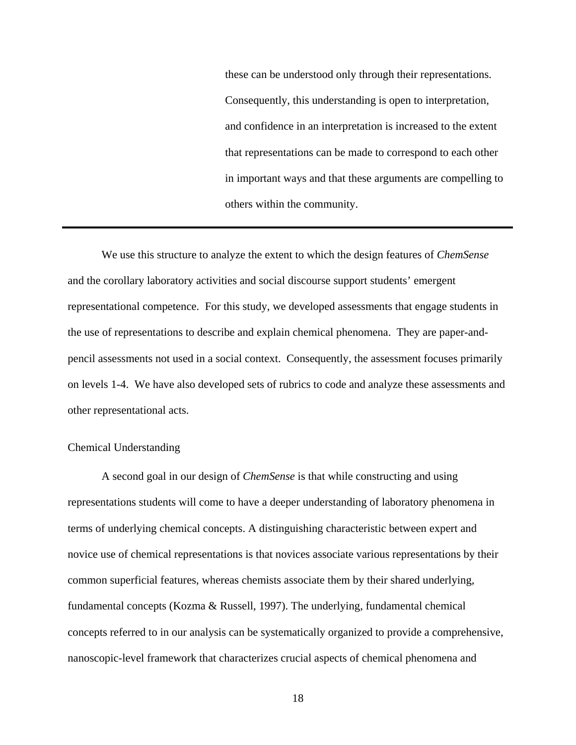these can be understood only through their representations. Consequently, this understanding is open to interpretation, and confidence in an interpretation is increased to the extent that representations can be made to correspond to each other in important ways and that these arguments are compelling to others within the community.

We use this structure to analyze the extent to which the design features of *ChemSense* and the corollary laboratory activities and social discourse support students' emergent representational competence. For this study, we developed assessments that engage students in the use of representations to describe and explain chemical phenomena. They are paper-andpencil assessments not used in a social context. Consequently, the assessment focuses primarily on levels 1-4. We have also developed sets of rubrics to code and analyze these assessments and other representational acts.

#### Chemical Understanding

A second goal in our design of *ChemSense* is that while constructing and using representations students will come to have a deeper understanding of laboratory phenomena in terms of underlying chemical concepts. A distinguishing characteristic between expert and novice use of chemical representations is that novices associate various representations by their common superficial features, whereas chemists associate them by their shared underlying, fundamental concepts (Kozma & Russell, 1997). The underlying, fundamental chemical concepts referred to in our analysis can be systematically organized to provide a comprehensive, nanoscopic-level framework that characterizes crucial aspects of chemical phenomena and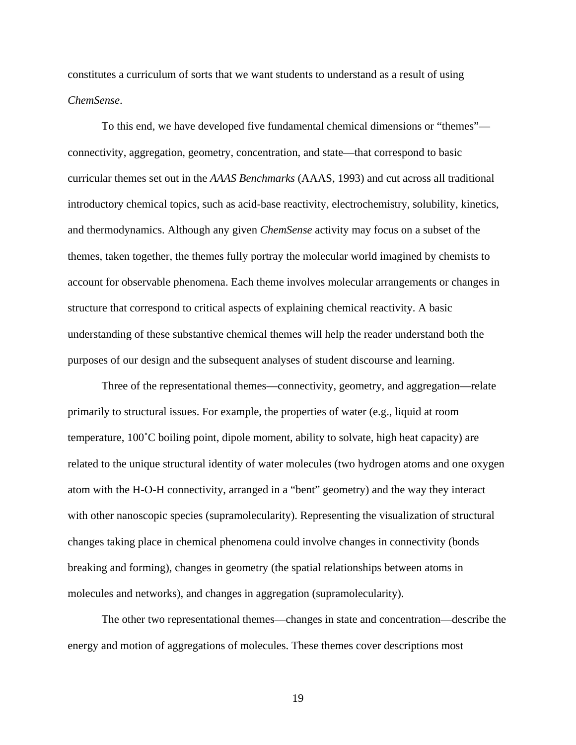constitutes a curriculum of sorts that we want students to understand as a result of using *ChemSense*.

To this end, we have developed five fundamental chemical dimensions or "themes" connectivity, aggregation, geometry, concentration, and state—that correspond to basic curricular themes set out in the *AAAS Benchmarks* (AAAS, 1993) and cut across all traditional introductory chemical topics, such as acid-base reactivity, electrochemistry, solubility, kinetics, and thermodynamics. Although any given *ChemSense* activity may focus on a subset of the themes, taken together, the themes fully portray the molecular world imagined by chemists to account for observable phenomena. Each theme involves molecular arrangements or changes in structure that correspond to critical aspects of explaining chemical reactivity. A basic understanding of these substantive chemical themes will help the reader understand both the purposes of our design and the subsequent analyses of student discourse and learning.

Three of the representational themes—connectivity, geometry, and aggregation—relate primarily to structural issues. For example, the properties of water (e.g., liquid at room temperature, 100˚C boiling point, dipole moment, ability to solvate, high heat capacity) are related to the unique structural identity of water molecules (two hydrogen atoms and one oxygen atom with the H-O-H connectivity, arranged in a "bent" geometry) and the way they interact with other nanoscopic species (supramolecularity). Representing the visualization of structural changes taking place in chemical phenomena could involve changes in connectivity (bonds breaking and forming), changes in geometry (the spatial relationships between atoms in molecules and networks), and changes in aggregation (supramolecularity).

The other two representational themes—changes in state and concentration—describe the energy and motion of aggregations of molecules. These themes cover descriptions most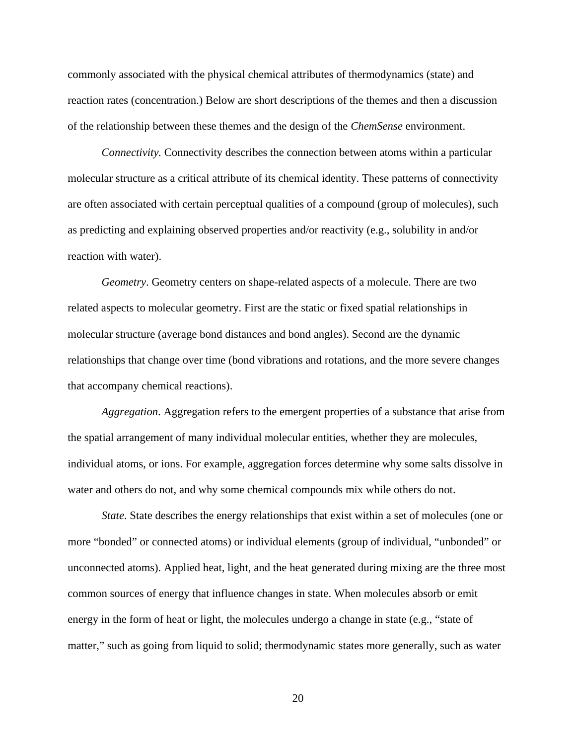commonly associated with the physical chemical attributes of thermodynamics (state) and reaction rates (concentration.) Below are short descriptions of the themes and then a discussion of the relationship between these themes and the design of the *ChemSense* environment.

*Connectivity.* Connectivity describes the connection between atoms within a particular molecular structure as a critical attribute of its chemical identity. These patterns of connectivity are often associated with certain perceptual qualities of a compound (group of molecules), such as predicting and explaining observed properties and/or reactivity (e.g., solubility in and/or reaction with water).

*Geometry*. Geometry centers on shape-related aspects of a molecule. There are two related aspects to molecular geometry. First are the static or fixed spatial relationships in molecular structure (average bond distances and bond angles). Second are the dynamic relationships that change over time (bond vibrations and rotations, and the more severe changes that accompany chemical reactions).

*Aggregation*. Aggregation refers to the emergent properties of a substance that arise from the spatial arrangement of many individual molecular entities, whether they are molecules, individual atoms, or ions. For example, aggregation forces determine why some salts dissolve in water and others do not, and why some chemical compounds mix while others do not.

*State*. State describes the energy relationships that exist within a set of molecules (one or more "bonded" or connected atoms) or individual elements (group of individual, "unbonded" or unconnected atoms). Applied heat, light, and the heat generated during mixing are the three most common sources of energy that influence changes in state. When molecules absorb or emit energy in the form of heat or light, the molecules undergo a change in state (e.g., "state of matter," such as going from liquid to solid; thermodynamic states more generally, such as water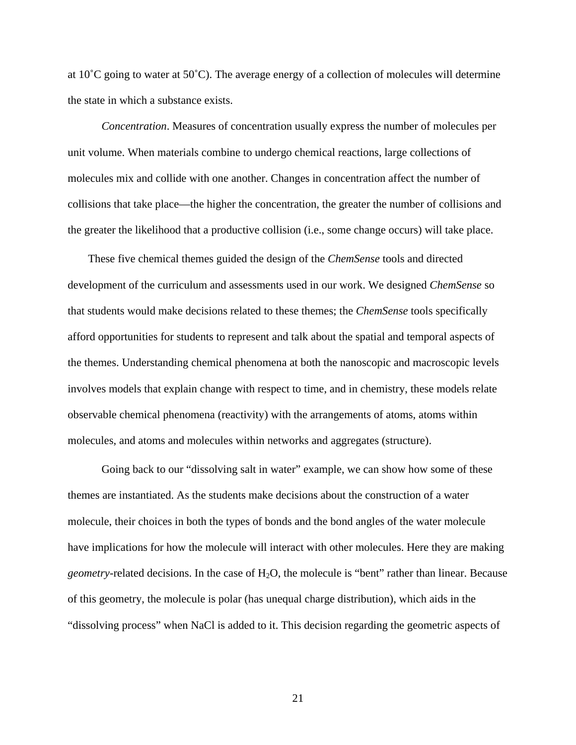at 10˚C going to water at 50˚C). The average energy of a collection of molecules will determine the state in which a substance exists.

*Concentration*. Measures of concentration usually express the number of molecules per unit volume. When materials combine to undergo chemical reactions, large collections of molecules mix and collide with one another. Changes in concentration affect the number of collisions that take place—the higher the concentration, the greater the number of collisions and the greater the likelihood that a productive collision (i.e., some change occurs) will take place.

These five chemical themes guided the design of the *ChemSense* tools and directed development of the curriculum and assessments used in our work. We designed *ChemSense* so that students would make decisions related to these themes; the *ChemSense* tools specifically afford opportunities for students to represent and talk about the spatial and temporal aspects of the themes. Understanding chemical phenomena at both the nanoscopic and macroscopic levels involves models that explain change with respect to time, and in chemistry, these models relate observable chemical phenomena (reactivity) with the arrangements of atoms, atoms within molecules, and atoms and molecules within networks and aggregates (structure).

Going back to our "dissolving salt in water" example, we can show how some of these themes are instantiated. As the students make decisions about the construction of a water molecule, their choices in both the types of bonds and the bond angles of the water molecule have implications for how the molecule will interact with other molecules. Here they are making *geometry*-related decisions. In the case of H<sub>2</sub>O, the molecule is "bent" rather than linear. Because of this geometry, the molecule is polar (has unequal charge distribution), which aids in the "dissolving process" when NaCl is added to it. This decision regarding the geometric aspects of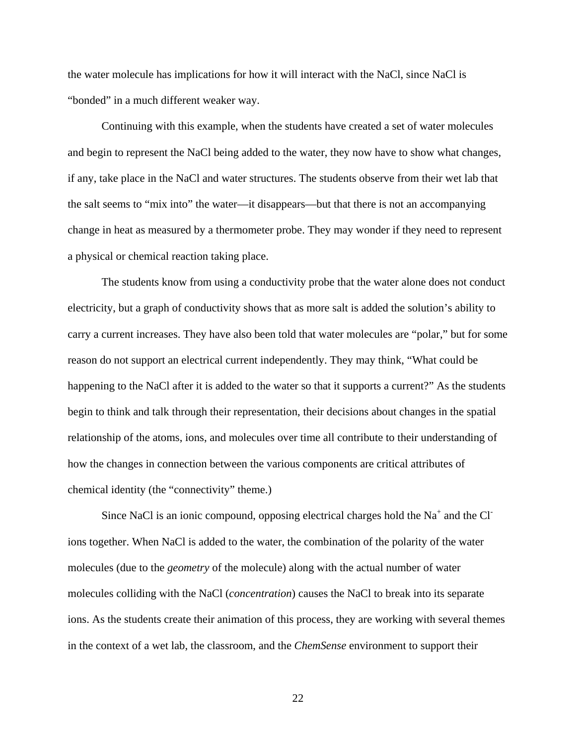the water molecule has implications for how it will interact with the NaCl, since NaCl is "bonded" in a much different weaker way.

Continuing with this example, when the students have created a set of water molecules and begin to represent the NaCl being added to the water, they now have to show what changes, if any, take place in the NaCl and water structures. The students observe from their wet lab that the salt seems to "mix into" the water—it disappears—but that there is not an accompanying change in heat as measured by a thermometer probe. They may wonder if they need to represent a physical or chemical reaction taking place.

The students know from using a conductivity probe that the water alone does not conduct electricity, but a graph of conductivity shows that as more salt is added the solution's ability to carry a current increases. They have also been told that water molecules are "polar," but for some reason do not support an electrical current independently. They may think, "What could be happening to the NaCl after it is added to the water so that it supports a current?" As the students begin to think and talk through their representation, their decisions about changes in the spatial relationship of the atoms, ions, and molecules over time all contribute to their understanding of how the changes in connection between the various components are critical attributes of chemical identity (the "connectivity" theme.)

Since NaCl is an ionic compound, opposing electrical charges hold the  $Na<sup>+</sup>$  and the Cl<sup>-</sup> ions together. When NaCl is added to the water, the combination of the polarity of the water molecules (due to the *geometry* of the molecule) along with the actual number of water molecules colliding with the NaCl (*concentration*) causes the NaCl to break into its separate ions. As the students create their animation of this process, they are working with several themes in the context of a wet lab, the classroom, and the *ChemSense* environment to support their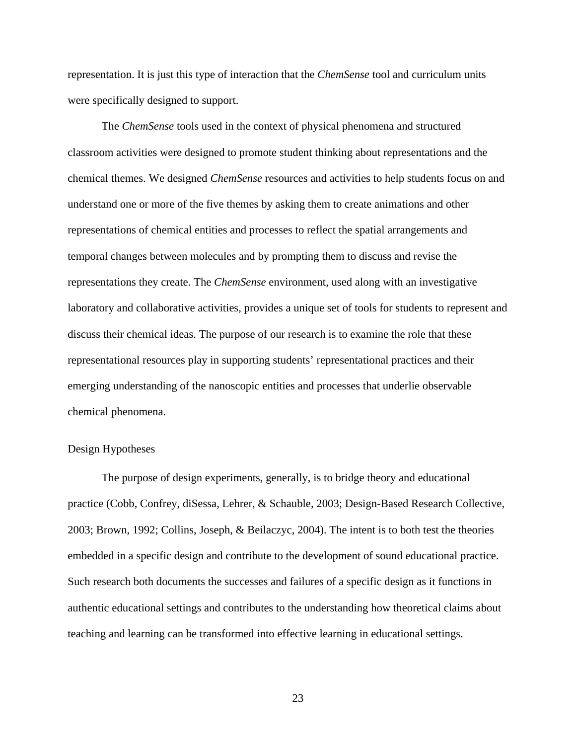representation. It is just this type of interaction that the *ChemSense* tool and curriculum units were specifically designed to support.

The *ChemSense* tools used in the context of physical phenomena and structured classroom activities were designed to promote student thinking about representations and the chemical themes. We designed *ChemSense* resources and activities to help students focus on and understand one or more of the five themes by asking them to create animations and other representations of chemical entities and processes to reflect the spatial arrangements and temporal changes between molecules and by prompting them to discuss and revise the representations they create. The *ChemSense* environment, used along with an investigative laboratory and collaborative activities, provides a unique set of tools for students to represent and discuss their chemical ideas. The purpose of our research is to examine the role that these representational resources play in supporting students' representational practices and their emerging understanding of the nanoscopic entities and processes that underlie observable chemical phenomena.

### Design Hypotheses

The purpose of design experiments, generally, is to bridge theory and educational practice (Cobb, Confrey, diSessa, Lehrer, & Schauble, 2003; Design-Based Research Collective, 2003; Brown, 1992; Collins, Joseph, & Beilaczyc, 2004). The intent is to both test the theories embedded in a specific design and contribute to the development of sound educational practice. Such research both documents the successes and failures of a specific design as it functions in authentic educational settings and contributes to the understanding how theoretical claims about teaching and learning can be transformed into effective learning in educational settings.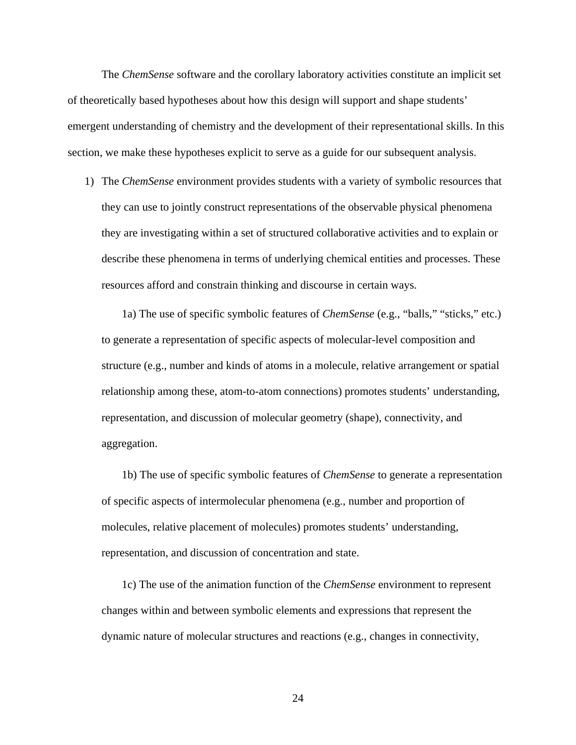The *ChemSense* software and the corollary laboratory activities constitute an implicit set of theoretically based hypotheses about how this design will support and shape students' emergent understanding of chemistry and the development of their representational skills. In this section, we make these hypotheses explicit to serve as a guide for our subsequent analysis.

1) The *ChemSense* environment provides students with a variety of symbolic resources that they can use to jointly construct representations of the observable physical phenomena they are investigating within a set of structured collaborative activities and to explain or describe these phenomena in terms of underlying chemical entities and processes. These resources afford and constrain thinking and discourse in certain ways.

1a) The use of specific symbolic features of *ChemSense* (e.g., "balls," "sticks," etc.) to generate a representation of specific aspects of molecular-level composition and structure (e.g., number and kinds of atoms in a molecule, relative arrangement or spatial relationship among these, atom-to-atom connections) promotes students' understanding, representation, and discussion of molecular geometry (shape), connectivity, and aggregation.

1b) The use of specific symbolic features of *ChemSense* to generate a representation of specific aspects of intermolecular phenomena (e.g., number and proportion of molecules, relative placement of molecules) promotes students' understanding, representation, and discussion of concentration and state.

1c) The use of the animation function of the *ChemSense* environment to represent changes within and between symbolic elements and expressions that represent the dynamic nature of molecular structures and reactions (e.g., changes in connectivity,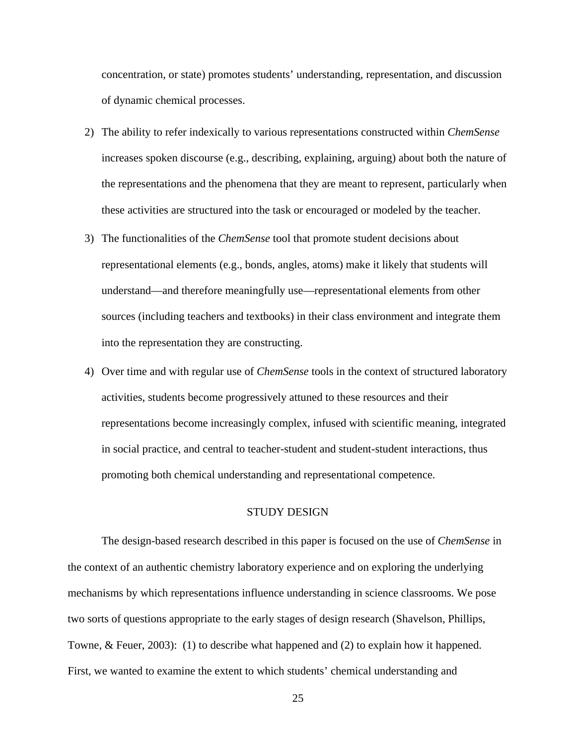concentration, or state) promotes students' understanding, representation, and discussion of dynamic chemical processes.

- 2) The ability to refer indexically to various representations constructed within *ChemSense* increases spoken discourse (e.g., describing, explaining, arguing) about both the nature of the representations and the phenomena that they are meant to represent, particularly when these activities are structured into the task or encouraged or modeled by the teacher.
- 3) The functionalities of the *ChemSense* tool that promote student decisions about representational elements (e.g., bonds, angles, atoms) make it likely that students will understand—and therefore meaningfully use—representational elements from other sources (including teachers and textbooks) in their class environment and integrate them into the representation they are constructing.
- 4) Over time and with regular use of *ChemSense* tools in the context of structured laboratory activities, students become progressively attuned to these resources and their representations become increasingly complex, infused with scientific meaning, integrated in social practice, and central to teacher-student and student-student interactions, thus promoting both chemical understanding and representational competence.

# STUDY DESIGN

The design-based research described in this paper is focused on the use of *ChemSense* in the context of an authentic chemistry laboratory experience and on exploring the underlying mechanisms by which representations influence understanding in science classrooms. We pose two sorts of questions appropriate to the early stages of design research (Shavelson, Phillips, Towne, & Feuer, 2003): (1) to describe what happened and (2) to explain how it happened. First, we wanted to examine the extent to which students' chemical understanding and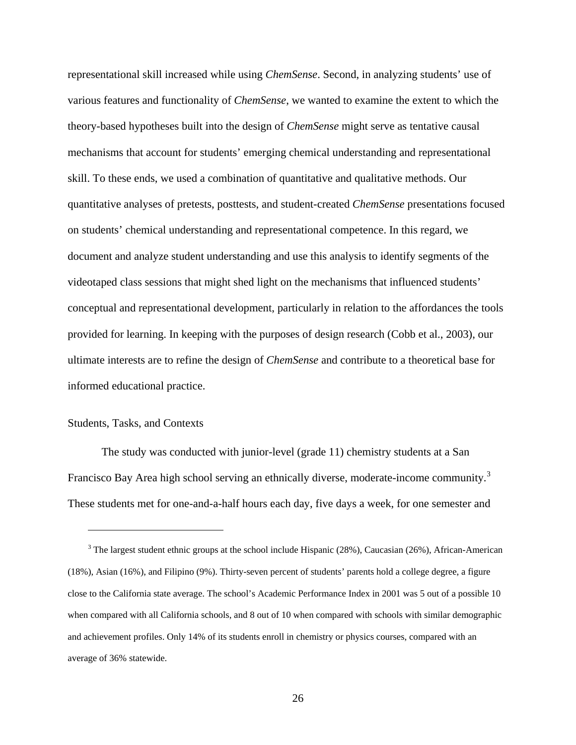representational skill increased while using *ChemSense*. Second, in analyzing students' use of various features and functionality of *ChemSense*, we wanted to examine the extent to which the theory-based hypotheses built into the design of *ChemSense* might serve as tentative causal mechanisms that account for students' emerging chemical understanding and representational skill. To these ends, we used a combination of quantitative and qualitative methods. Our quantitative analyses of pretests, posttests, and student-created *ChemSense* presentations focused on students' chemical understanding and representational competence. In this regard, we document and analyze student understanding and use this analysis to identify segments of the videotaped class sessions that might shed light on the mechanisms that influenced students' conceptual and representational development, particularly in relation to the affordances the tools provided for learning. In keeping with the purposes of design research (Cobb et al., 2003), our ultimate interests are to refine the design of *ChemSense* and contribute to a theoretical base for informed educational practice.

### Students, Tasks, and Contexts

 $\overline{a}$ 

The study was conducted with junior-level (grade 11) chemistry students at a San Francisco Bay Area high school serving an ethnically diverse, moderate-income community.<sup>[3](#page-25-0)</sup> These students met for one-and-a-half hours each day, five days a week, for one semester and

<span id="page-25-0"></span> $3$  The largest student ethnic groups at the school include Hispanic (28%), Caucasian (26%), African-American (18%), Asian (16%), and Filipino (9%). Thirty-seven percent of students' parents hold a college degree, a figure close to the California state average. The school's Academic Performance Index in 2001 was 5 out of a possible 10 when compared with all California schools, and 8 out of 10 when compared with schools with similar demographic and achievement profiles. Only 14% of its students enroll in chemistry or physics courses, compared with an average of 36% statewide.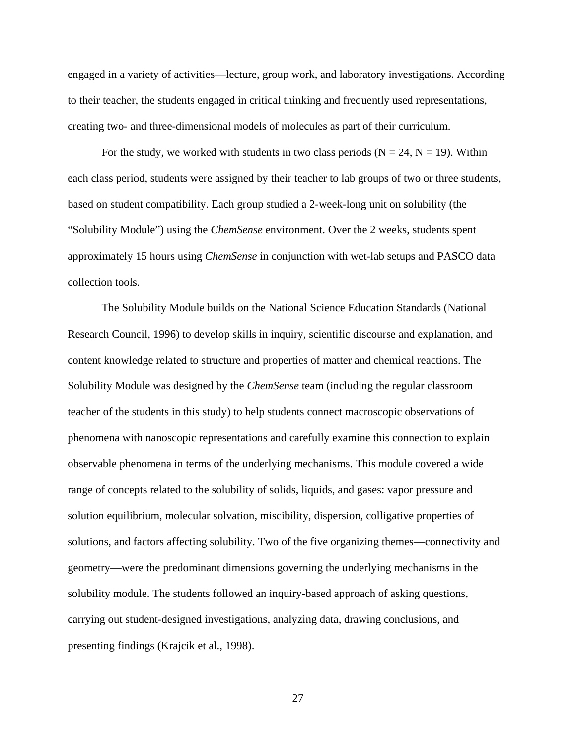engaged in a variety of activities—lecture, group work, and laboratory investigations. According to their teacher, the students engaged in critical thinking and frequently used representations, creating two- and three-dimensional models of molecules as part of their curriculum.

For the study, we worked with students in two class periods ( $N = 24$ ,  $N = 19$ ). Within each class period, students were assigned by their teacher to lab groups of two or three students, based on student compatibility. Each group studied a 2-week-long unit on solubility (the "Solubility Module") using the *ChemSense* environment. Over the 2 weeks, students spent approximately 15 hours using *ChemSense* in conjunction with wet-lab setups and PASCO data collection tools.

The Solubility Module builds on the National Science Education Standards (National Research Council, 1996) to develop skills in inquiry, scientific discourse and explanation, and content knowledge related to structure and properties of matter and chemical reactions. The Solubility Module was designed by the *ChemSense* team (including the regular classroom teacher of the students in this study) to help students connect macroscopic observations of phenomena with nanoscopic representations and carefully examine this connection to explain observable phenomena in terms of the underlying mechanisms. This module covered a wide range of concepts related to the solubility of solids, liquids, and gases: vapor pressure and solution equilibrium, molecular solvation, miscibility, dispersion, colligative properties of solutions, and factors affecting solubility. Two of the five organizing themes—connectivity and geometry—were the predominant dimensions governing the underlying mechanisms in the solubility module. The students followed an inquiry-based approach of asking questions, carrying out student-designed investigations, analyzing data, drawing conclusions, and presenting findings (Krajcik et al., 1998).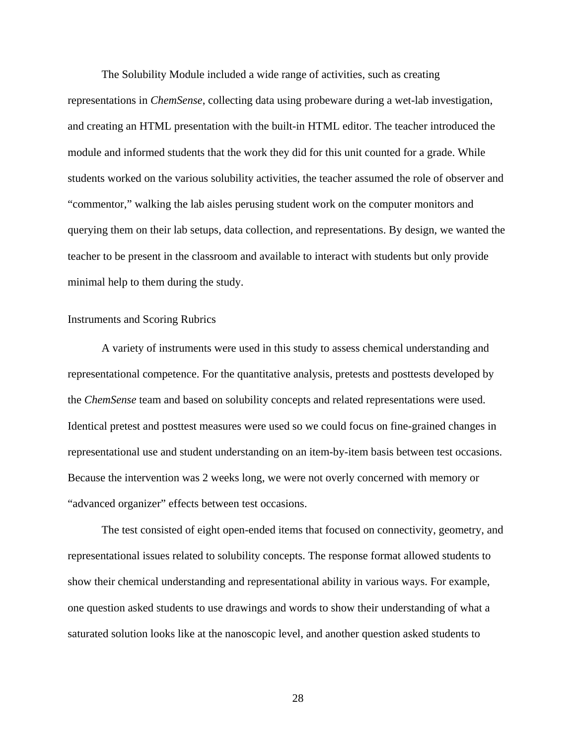The Solubility Module included a wide range of activities, such as creating representations in *ChemSense*, collecting data using probeware during a wet-lab investigation, and creating an HTML presentation with the built-in HTML editor. The teacher introduced the module and informed students that the work they did for this unit counted for a grade. While students worked on the various solubility activities, the teacher assumed the role of observer and "commentor," walking the lab aisles perusing student work on the computer monitors and querying them on their lab setups, data collection, and representations. By design, we wanted the teacher to be present in the classroom and available to interact with students but only provide minimal help to them during the study.

#### Instruments and Scoring Rubrics

A variety of instruments were used in this study to assess chemical understanding and representational competence. For the quantitative analysis, pretests and posttests developed by the *ChemSense* team and based on solubility concepts and related representations were used. Identical pretest and posttest measures were used so we could focus on fine-grained changes in representational use and student understanding on an item-by-item basis between test occasions. Because the intervention was 2 weeks long, we were not overly concerned with memory or "advanced organizer" effects between test occasions.

The test consisted of eight open-ended items that focused on connectivity, geometry, and representational issues related to solubility concepts. The response format allowed students to show their chemical understanding and representational ability in various ways. For example, one question asked students to use drawings and words to show their understanding of what a saturated solution looks like at the nanoscopic level, and another question asked students to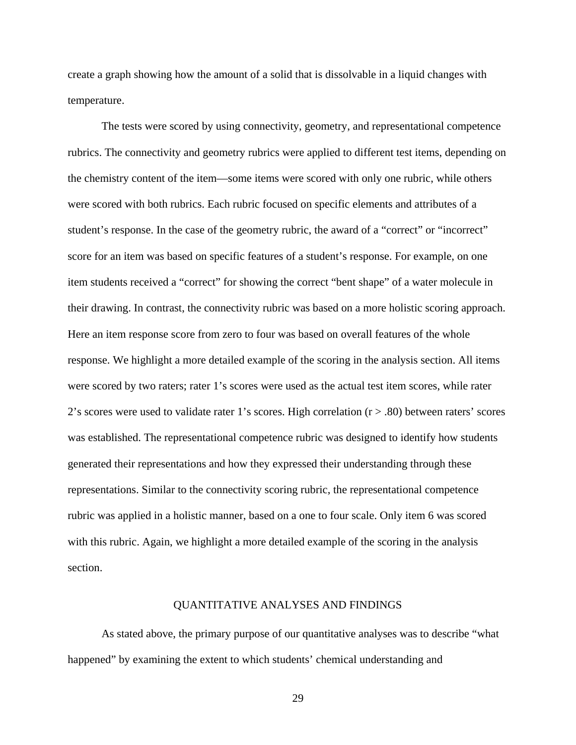create a graph showing how the amount of a solid that is dissolvable in a liquid changes with temperature.

The tests were scored by using connectivity, geometry, and representational competence rubrics. The connectivity and geometry rubrics were applied to different test items, depending on the chemistry content of the item—some items were scored with only one rubric, while others were scored with both rubrics. Each rubric focused on specific elements and attributes of a student's response. In the case of the geometry rubric, the award of a "correct" or "incorrect" score for an item was based on specific features of a student's response. For example, on one item students received a "correct" for showing the correct "bent shape" of a water molecule in their drawing. In contrast, the connectivity rubric was based on a more holistic scoring approach. Here an item response score from zero to four was based on overall features of the whole response. We highlight a more detailed example of the scoring in the analysis section. All items were scored by two raters; rater 1's scores were used as the actual test item scores, while rater 2's scores were used to validate rater 1's scores. High correlation  $(r > .80)$  between raters' scores was established. The representational competence rubric was designed to identify how students generated their representations and how they expressed their understanding through these representations. Similar to the connectivity scoring rubric, the representational competence rubric was applied in a holistic manner, based on a one to four scale. Only item 6 was scored with this rubric. Again, we highlight a more detailed example of the scoring in the analysis section.

## QUANTITATIVE ANALYSES AND FINDINGS

As stated above, the primary purpose of our quantitative analyses was to describe "what happened" by examining the extent to which students' chemical understanding and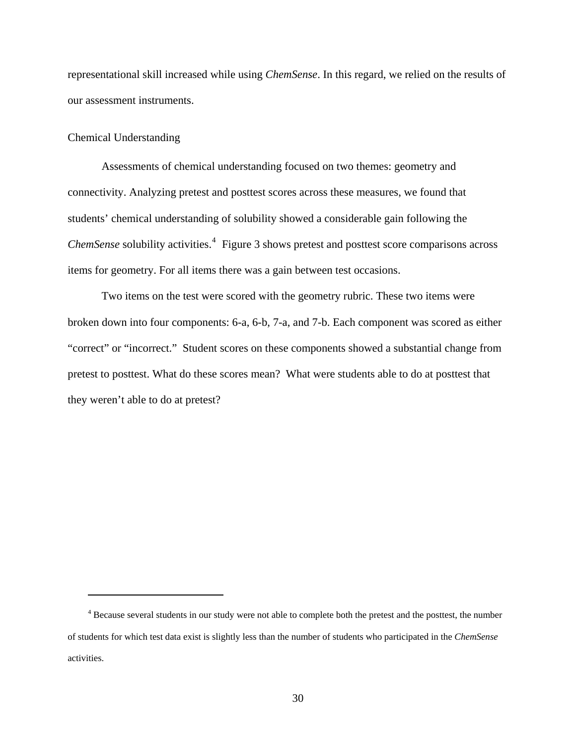representational skill increased while using *ChemSense*. In this regard, we relied on the results of our assessment instruments.

## Chemical Understanding

 $\overline{a}$ 

Assessments of chemical understanding focused on two themes: geometry and connectivity. Analyzing pretest and posttest scores across these measures, we found that students' chemical understanding of solubility showed a considerable gain following the ChemSense solubility activities.<sup>[4](#page-29-0)</sup> Figure 3 shows pretest and posttest score comparisons across items for geometry. For all items there was a gain between test occasions.

Two items on the test were scored with the geometry rubric. These two items were broken down into four components: 6-a, 6-b, 7-a, and 7-b. Each component was scored as either "correct" or "incorrect." Student scores on these components showed a substantial change from pretest to posttest. What do these scores mean? What were students able to do at posttest that they weren't able to do at pretest?

<span id="page-29-0"></span><sup>&</sup>lt;sup>4</sup> Because several students in our study were not able to complete both the pretest and the posttest, the number of students for which test data exist is slightly less than the number of students who participated in the *ChemSense* activities.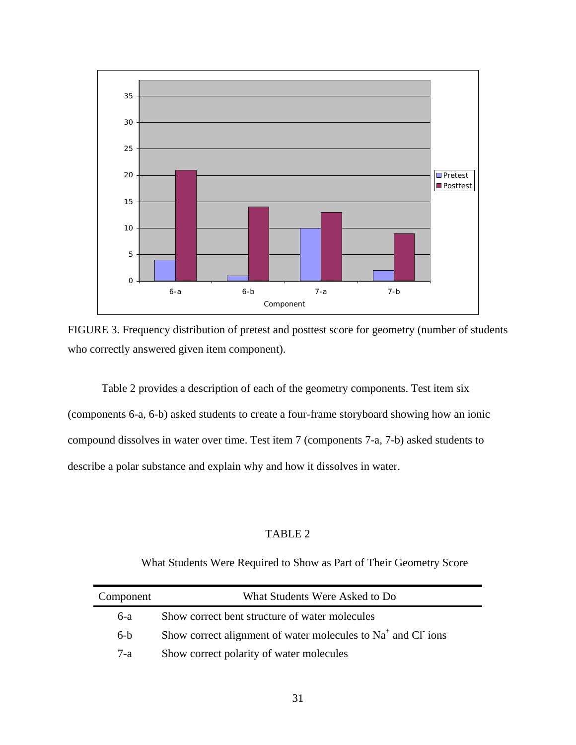

FIGURE 3. Frequency distribution of pretest and posttest score for geometry (number of students who correctly answered given item component).

Table 2 provides a description of each of the geometry components. Test item six (components 6-a, 6-b) asked students to create a four-frame storyboard showing how an ionic compound dissolves in water over time. Test item 7 (components 7-a, 7-b) asked students to describe a polar substance and explain why and how it dissolves in water.

# TABLE 2

What Students Were Required to Show as Part of Their Geometry Score

| What Students Were Asked to Do                                 |
|----------------------------------------------------------------|
| Show correct bent structure of water molecules                 |
| Show correct alignment of water molecules to $Na+$ and Cl ions |
| Show correct polarity of water molecules                       |
|                                                                |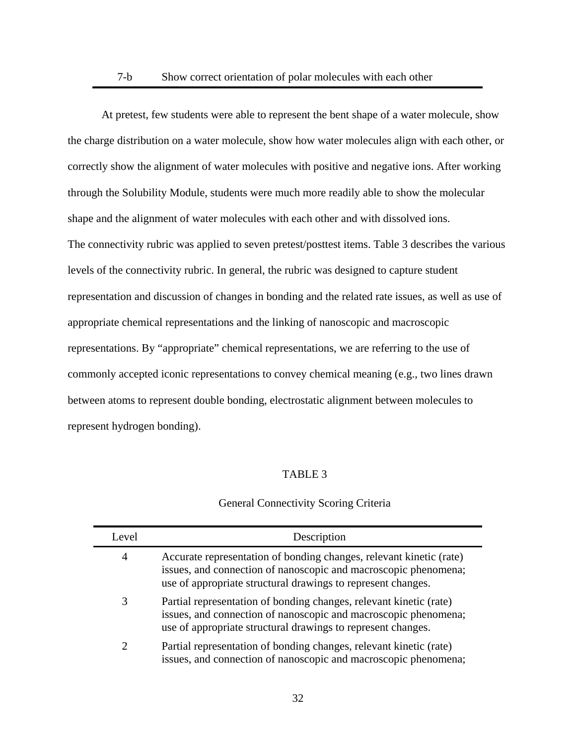7-b Show correct orientation of polar molecules with each other

At pretest, few students were able to represent the bent shape of a water molecule, show the charge distribution on a water molecule, show how water molecules align with each other, or correctly show the alignment of water molecules with positive and negative ions. After working through the Solubility Module, students were much more readily able to show the molecular shape and the alignment of water molecules with each other and with dissolved ions. The connectivity rubric was applied to seven pretest/posttest items. Table 3 describes the various levels of the connectivity rubric. In general, the rubric was designed to capture student representation and discussion of changes in bonding and the related rate issues, as well as use of appropriate chemical representations and the linking of nanoscopic and macroscopic representations. By "appropriate" chemical representations, we are referring to the use of commonly accepted iconic representations to convey chemical meaning (e.g., two lines drawn between atoms to represent double bonding, electrostatic alignment between molecules to represent hydrogen bonding).

# TABLE 3

#### General Connectivity Scoring Criteria

| Level | Description                                                                                                                                                                                            |
|-------|--------------------------------------------------------------------------------------------------------------------------------------------------------------------------------------------------------|
| 4     | Accurate representation of bonding changes, relevant kinetic (rate)<br>issues, and connection of nanoscopic and macroscopic phenomena;<br>use of appropriate structural drawings to represent changes. |
| 3     | Partial representation of bonding changes, relevant kinetic (rate)<br>issues, and connection of nanoscopic and macroscopic phenomena;<br>use of appropriate structural drawings to represent changes.  |
| 2     | Partial representation of bonding changes, relevant kinetic (rate)<br>issues, and connection of nanoscopic and macroscopic phenomena;                                                                  |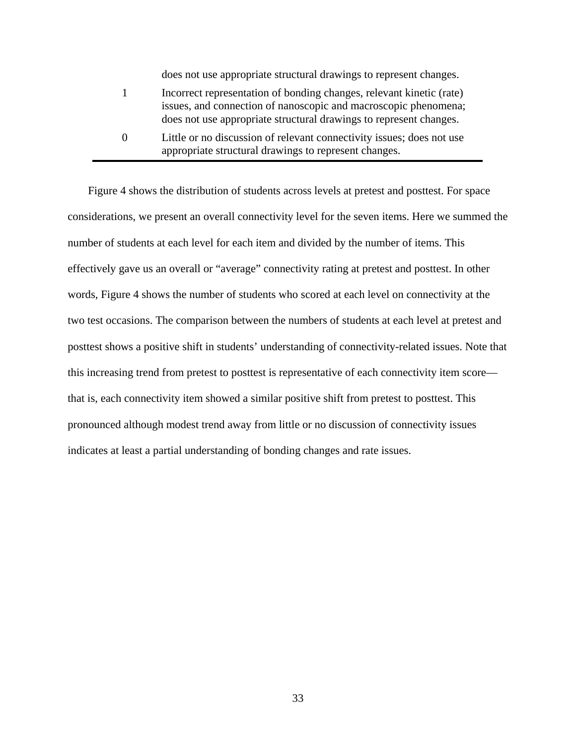does not use appropriate structural drawings to represent changes.

- 1 Incorrect representation of bonding changes, relevant kinetic (rate) issues, and connection of nanoscopic and macroscopic phenomena; does not use appropriate structural drawings to represent changes.
- 0 Little or no discussion of relevant connectivity issues; does not use appropriate structural drawings to represent changes.

Figure 4 shows the distribution of students across levels at pretest and posttest. For space considerations, we present an overall connectivity level for the seven items. Here we summed the number of students at each level for each item and divided by the number of items. This effectively gave us an overall or "average" connectivity rating at pretest and posttest. In other words, Figure 4 shows the number of students who scored at each level on connectivity at the two test occasions. The comparison between the numbers of students at each level at pretest and posttest shows a positive shift in students' understanding of connectivity-related issues. Note that this increasing trend from pretest to posttest is representative of each connectivity item score that is, each connectivity item showed a similar positive shift from pretest to posttest. This pronounced although modest trend away from little or no discussion of connectivity issues indicates at least a partial understanding of bonding changes and rate issues.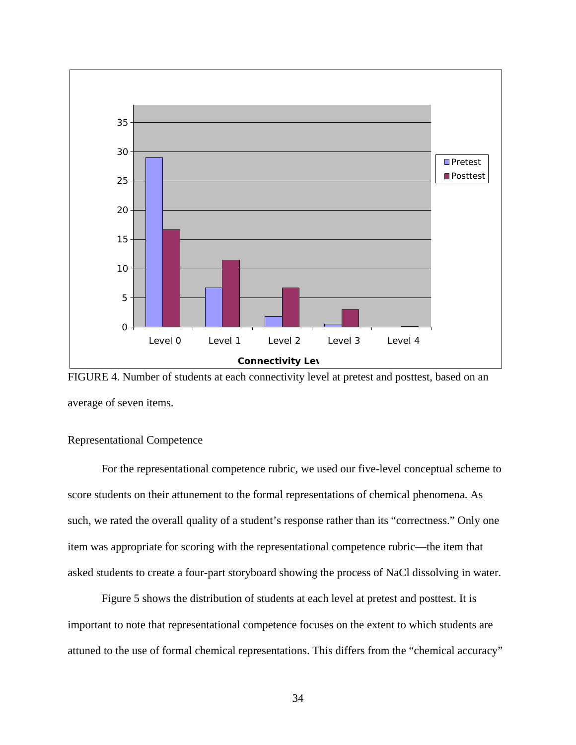

FIGURE 4. Number of students at each connectivity level at pretest and posttest, based on an average of seven items.

# Representational Competence

For the representational competence rubric, we used our five-level conceptual scheme to score students on their attunement to the formal representations of chemical phenomena. As such, we rated the overall quality of a student's response rather than its "correctness." Only one item was appropriate for scoring with the representational competence rubric––the item that asked students to create a four-part storyboard showing the process of NaCl dissolving in water.

Figure 5 shows the distribution of students at each level at pretest and posttest. It is important to note that representational competence focuses on the extent to which students are attuned to the use of formal chemical representations. This differs from the "chemical accuracy"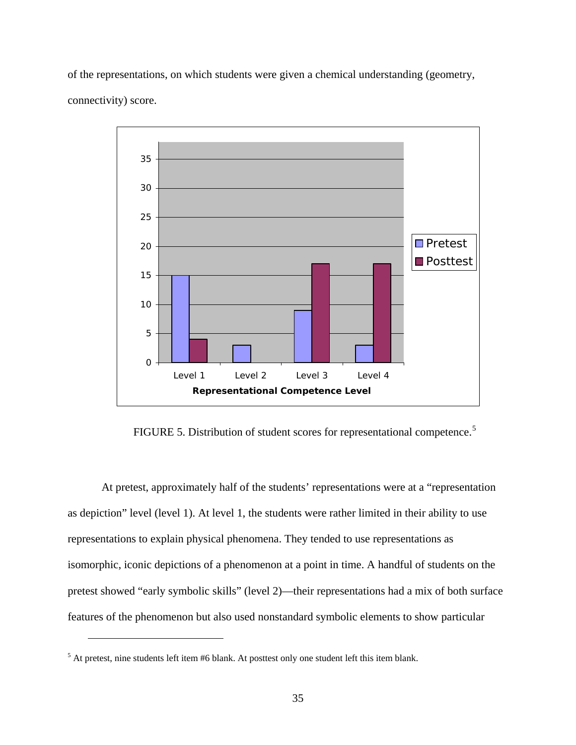of the representations, on which students were given a chemical understanding (geometry, connectivity) score.



FIGURE [5](#page-34-0). Distribution of student scores for representational competence.<sup>5</sup>

At pretest, approximately half of the students' representations were at a "representation as depiction" level (level 1). At level 1, the students were rather limited in their ability to use representations to explain physical phenomena. They tended to use representations as isomorphic, iconic depictions of a phenomenon at a point in time. A handful of students on the pretest showed "early symbolic skills" (level 2)—their representations had a mix of both surface features of the phenomenon but also used nonstandard symbolic elements to show particular

 $\overline{a}$ 

<span id="page-34-0"></span> $<sup>5</sup>$  At pretest, nine students left item #6 blank. At posttest only one student left this item blank.</sup>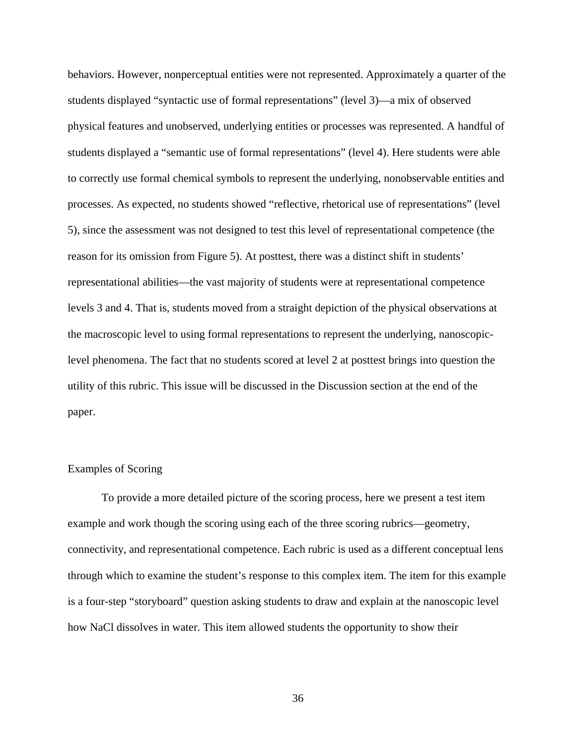behaviors. However, nonperceptual entities were not represented. Approximately a quarter of the students displayed "syntactic use of formal representations" (level 3)—a mix of observed physical features and unobserved, underlying entities or processes was represented. A handful of students displayed a "semantic use of formal representations" (level 4). Here students were able to correctly use formal chemical symbols to represent the underlying, nonobservable entities and processes. As expected, no students showed "reflective, rhetorical use of representations" (level 5), since the assessment was not designed to test this level of representational competence (the reason for its omission from Figure 5). At posttest, there was a distinct shift in students' representational abilities—the vast majority of students were at representational competence levels 3 and 4. That is, students moved from a straight depiction of the physical observations at the macroscopic level to using formal representations to represent the underlying, nanoscopiclevel phenomena. The fact that no students scored at level 2 at posttest brings into question the utility of this rubric. This issue will be discussed in the Discussion section at the end of the paper.

### Examples of Scoring

To provide a more detailed picture of the scoring process, here we present a test item example and work though the scoring using each of the three scoring rubrics—geometry, connectivity, and representational competence. Each rubric is used as a different conceptual lens through which to examine the student's response to this complex item. The item for this example is a four-step "storyboard" question asking students to draw and explain at the nanoscopic level how NaCl dissolves in water. This item allowed students the opportunity to show their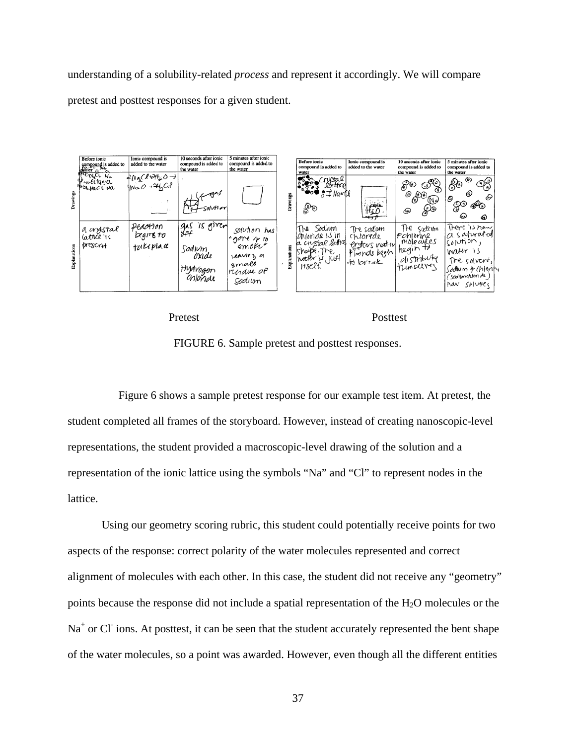understanding of a solubility-related *process* and represent it accordingly. We will compare pretest and posttest responses for a given student.



Pretest Posttest

FIGURE 6. Sample pretest and posttest responses.

 Figure 6 shows a sample pretest response for our example test item. At pretest, the student completed all frames of the storyboard. However, instead of creating nanoscopic-level representations, the student provided a macroscopic-level drawing of the solution and a representation of the ionic lattice using the symbols "Na" and "Cl" to represent nodes in the lattice.

Using our geometry scoring rubric, this student could potentially receive points for two aspects of the response: correct polarity of the water molecules represented and correct alignment of molecules with each other. In this case, the student did not receive any "geometry" points because the response did not include a spatial representation of the H2O molecules or the Na<sup>+</sup> or Cl<sup>-</sup> ions. At posttest, it can be seen that the student accurately represented the bent shape of the water molecules, so a point was awarded. However, even though all the different entities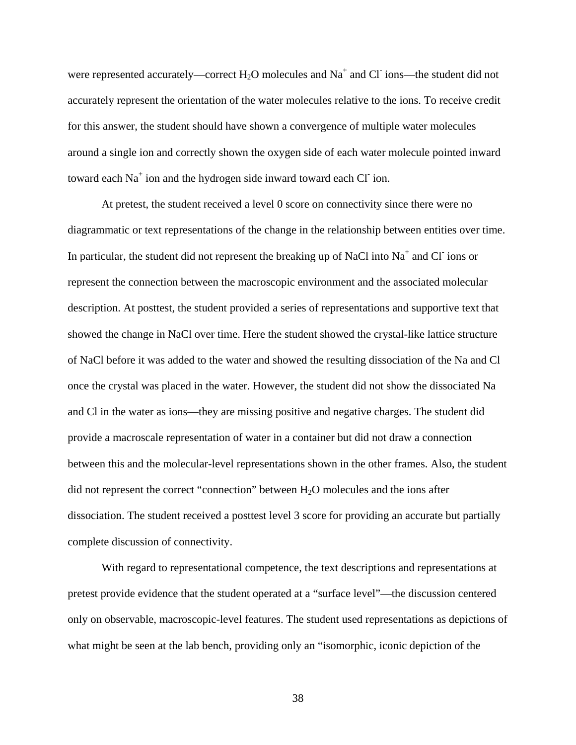were represented accurately—correct  $H_2O$  molecules and  $Na^+$  and Cl ions—the student did not accurately represent the orientation of the water molecules relative to the ions. To receive credit for this answer, the student should have shown a convergence of multiple water molecules around a single ion and correctly shown the oxygen side of each water molecule pointed inward toward each  $Na<sup>+</sup>$  ion and the hydrogen side inward toward each Cl ion.

At pretest, the student received a level 0 score on connectivity since there were no diagrammatic or text representations of the change in the relationship between entities over time. In particular, the student did not represent the breaking up of NaCl into  $Na<sup>+</sup>$  and Cl ions or represent the connection between the macroscopic environment and the associated molecular description. At posttest, the student provided a series of representations and supportive text that showed the change in NaCl over time. Here the student showed the crystal-like lattice structure of NaCl before it was added to the water and showed the resulting dissociation of the Na and Cl once the crystal was placed in the water. However, the student did not show the dissociated Na and Cl in the water as ions—they are missing positive and negative charges. The student did provide a macroscale representation of water in a container but did not draw a connection between this and the molecular-level representations shown in the other frames. Also, the student did not represent the correct "connection" between H2O molecules and the ions after dissociation. The student received a posttest level 3 score for providing an accurate but partially complete discussion of connectivity.

With regard to representational competence, the text descriptions and representations at pretest provide evidence that the student operated at a "surface level"—the discussion centered only on observable, macroscopic-level features. The student used representations as depictions of what might be seen at the lab bench, providing only an "isomorphic, iconic depiction of the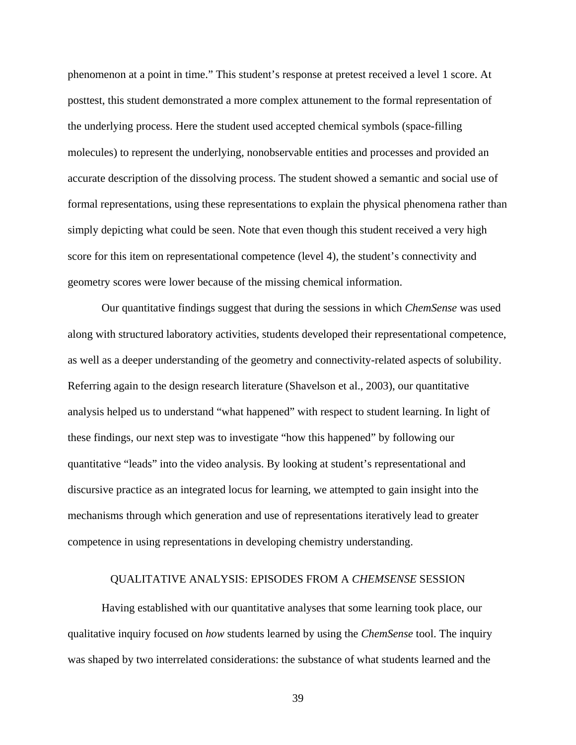phenomenon at a point in time." This student's response at pretest received a level 1 score. At posttest, this student demonstrated a more complex attunement to the formal representation of the underlying process. Here the student used accepted chemical symbols (space-filling molecules) to represent the underlying, nonobservable entities and processes and provided an accurate description of the dissolving process. The student showed a semantic and social use of formal representations, using these representations to explain the physical phenomena rather than simply depicting what could be seen. Note that even though this student received a very high score for this item on representational competence (level 4), the student's connectivity and geometry scores were lower because of the missing chemical information.

Our quantitative findings suggest that during the sessions in which *ChemSense* was used along with structured laboratory activities, students developed their representational competence, as well as a deeper understanding of the geometry and connectivity-related aspects of solubility. Referring again to the design research literature (Shavelson et al., 2003), our quantitative analysis helped us to understand "what happened" with respect to student learning. In light of these findings, our next step was to investigate "how this happened" by following our quantitative "leads" into the video analysis. By looking at student's representational and discursive practice as an integrated locus for learning, we attempted to gain insight into the mechanisms through which generation and use of representations iteratively lead to greater competence in using representations in developing chemistry understanding.

### QUALITATIVE ANALYSIS: EPISODES FROM A *CHEMSENSE* SESSION

Having established with our quantitative analyses that some learning took place, our qualitative inquiry focused on *how* students learned by using the *ChemSense* tool. The inquiry was shaped by two interrelated considerations: the substance of what students learned and the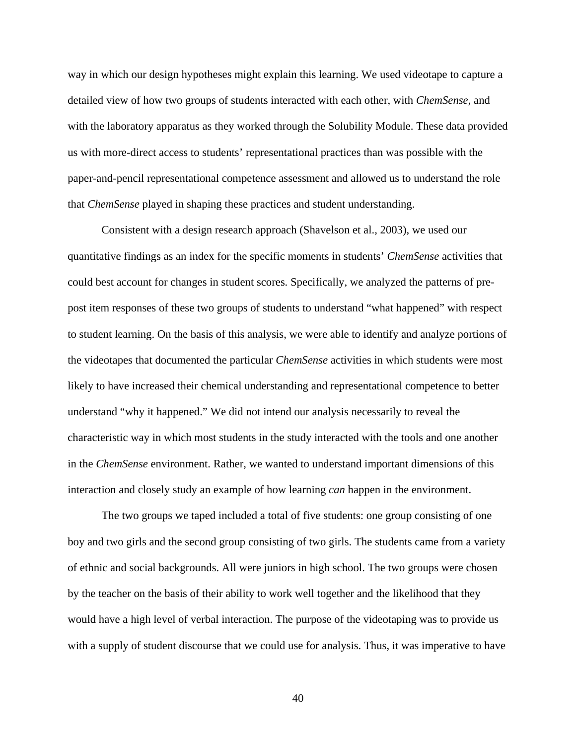way in which our design hypotheses might explain this learning. We used videotape to capture a detailed view of how two groups of students interacted with each other, with *ChemSense*, and with the laboratory apparatus as they worked through the Solubility Module. These data provided us with more-direct access to students' representational practices than was possible with the paper-and-pencil representational competence assessment and allowed us to understand the role that *ChemSense* played in shaping these practices and student understanding.

Consistent with a design research approach (Shavelson et al., 2003), we used our quantitative findings as an index for the specific moments in students' *ChemSense* activities that could best account for changes in student scores. Specifically, we analyzed the patterns of prepost item responses of these two groups of students to understand "what happened" with respect to student learning. On the basis of this analysis, we were able to identify and analyze portions of the videotapes that documented the particular *ChemSense* activities in which students were most likely to have increased their chemical understanding and representational competence to better understand "why it happened." We did not intend our analysis necessarily to reveal the characteristic way in which most students in the study interacted with the tools and one another in the *ChemSense* environment. Rather, we wanted to understand important dimensions of this interaction and closely study an example of how learning *can* happen in the environment.

The two groups we taped included a total of five students: one group consisting of one boy and two girls and the second group consisting of two girls. The students came from a variety of ethnic and social backgrounds. All were juniors in high school. The two groups were chosen by the teacher on the basis of their ability to work well together and the likelihood that they would have a high level of verbal interaction. The purpose of the videotaping was to provide us with a supply of student discourse that we could use for analysis. Thus, it was imperative to have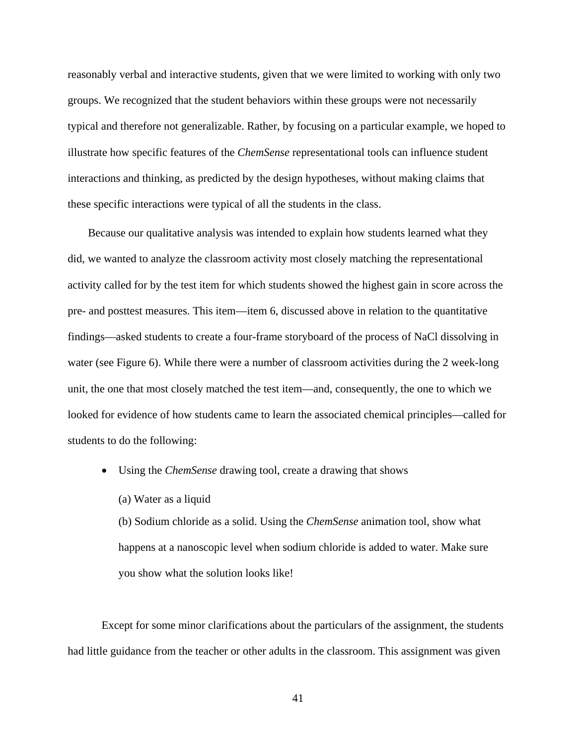reasonably verbal and interactive students, given that we were limited to working with only two groups. We recognized that the student behaviors within these groups were not necessarily typical and therefore not generalizable. Rather, by focusing on a particular example, we hoped to illustrate how specific features of the *ChemSense* representational tools can influence student interactions and thinking, as predicted by the design hypotheses, without making claims that these specific interactions were typical of all the students in the class.

Because our qualitative analysis was intended to explain how students learned what they did, we wanted to analyze the classroom activity most closely matching the representational activity called for by the test item for which students showed the highest gain in score across the pre- and posttest measures. This item—item 6, discussed above in relation to the quantitative findings—asked students to create a four-frame storyboard of the process of NaCl dissolving in water (see Figure 6). While there were a number of classroom activities during the 2 week-long unit, the one that most closely matched the test item—and, consequently, the one to which we looked for evidence of how students came to learn the associated chemical principles—called for students to do the following:

## • Using the *ChemSense* drawing tool, create a drawing that shows

(a) Water as a liquid

(b) Sodium chloride as a solid. Using the *ChemSense* animation tool, show what happens at a nanoscopic level when sodium chloride is added to water. Make sure you show what the solution looks like!

Except for some minor clarifications about the particulars of the assignment, the students had little guidance from the teacher or other adults in the classroom. This assignment was given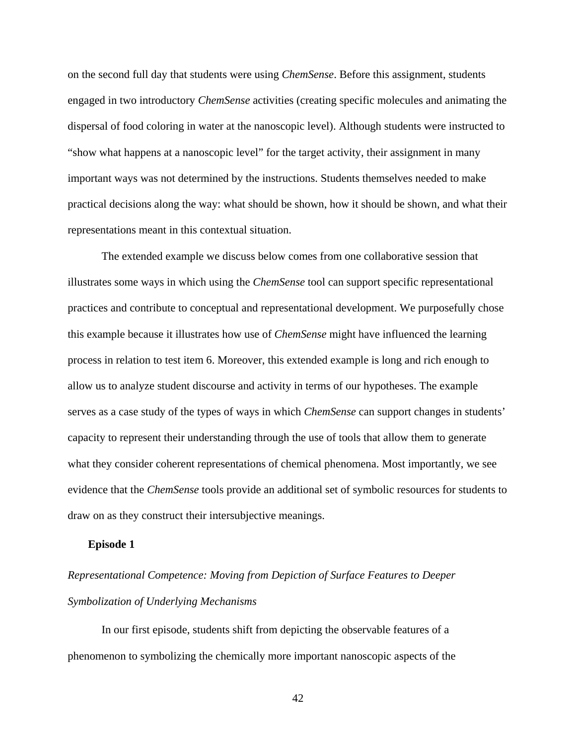on the second full day that students were using *ChemSense*. Before this assignment, students engaged in two introductory *ChemSense* activities (creating specific molecules and animating the dispersal of food coloring in water at the nanoscopic level). Although students were instructed to "show what happens at a nanoscopic level" for the target activity, their assignment in many important ways was not determined by the instructions. Students themselves needed to make practical decisions along the way: what should be shown, how it should be shown, and what their representations meant in this contextual situation.

The extended example we discuss below comes from one collaborative session that illustrates some ways in which using the *ChemSense* tool can support specific representational practices and contribute to conceptual and representational development. We purposefully chose this example because it illustrates how use of *ChemSense* might have influenced the learning process in relation to test item 6. Moreover, this extended example is long and rich enough to allow us to analyze student discourse and activity in terms of our hypotheses. The example serves as a case study of the types of ways in which *ChemSense* can support changes in students' capacity to represent their understanding through the use of tools that allow them to generate what they consider coherent representations of chemical phenomena. Most importantly, we see evidence that the *ChemSense* tools provide an additional set of symbolic resources for students to draw on as they construct their intersubjective meanings.

### **Episode 1**

*Representational Competence: Moving from Depiction of Surface Features to Deeper Symbolization of Underlying Mechanisms*

In our first episode, students shift from depicting the observable features of a phenomenon to symbolizing the chemically more important nanoscopic aspects of the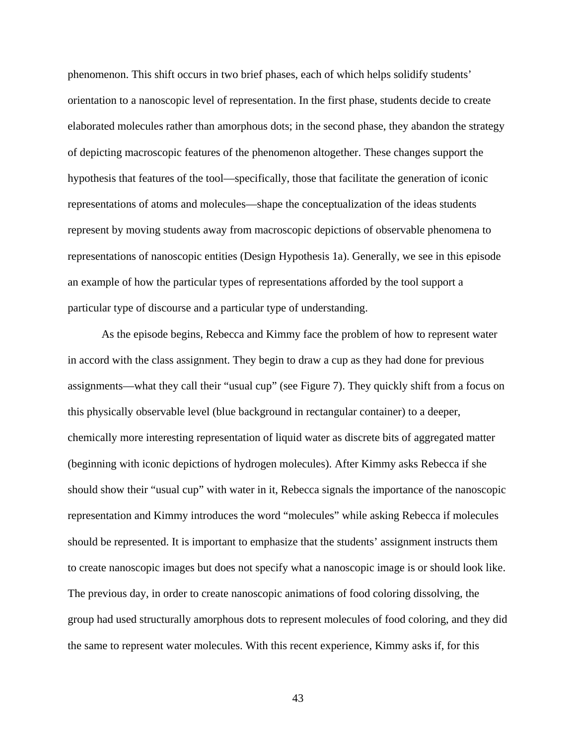phenomenon. This shift occurs in two brief phases, each of which helps solidify students' orientation to a nanoscopic level of representation. In the first phase, students decide to create elaborated molecules rather than amorphous dots; in the second phase, they abandon the strategy of depicting macroscopic features of the phenomenon altogether. These changes support the hypothesis that features of the tool—specifically, those that facilitate the generation of iconic representations of atoms and molecules—shape the conceptualization of the ideas students represent by moving students away from macroscopic depictions of observable phenomena to representations of nanoscopic entities (Design Hypothesis 1a). Generally, we see in this episode an example of how the particular types of representations afforded by the tool support a particular type of discourse and a particular type of understanding.

As the episode begins, Rebecca and Kimmy face the problem of how to represent water in accord with the class assignment. They begin to draw a cup as they had done for previous assignments—what they call their "usual cup" (see Figure 7). They quickly shift from a focus on this physically observable level (blue background in rectangular container) to a deeper, chemically more interesting representation of liquid water as discrete bits of aggregated matter (beginning with iconic depictions of hydrogen molecules). After Kimmy asks Rebecca if she should show their "usual cup" with water in it, Rebecca signals the importance of the nanoscopic representation and Kimmy introduces the word "molecules" while asking Rebecca if molecules should be represented. It is important to emphasize that the students' assignment instructs them to create nanoscopic images but does not specify what a nanoscopic image is or should look like. The previous day, in order to create nanoscopic animations of food coloring dissolving, the group had used structurally amorphous dots to represent molecules of food coloring, and they did the same to represent water molecules. With this recent experience, Kimmy asks if, for this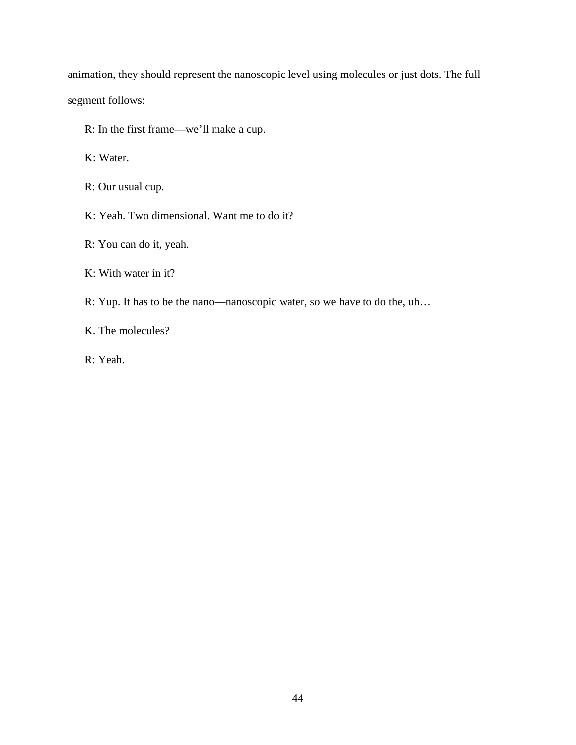animation, they should represent the nanoscopic level using molecules or just dots. The full segment follows:

R: In the first frame—we'll make a cup.

K: Water.

R: Our usual cup.

K: Yeah. Two dimensional. Want me to do it?

R: You can do it, yeah.

K: With water in it?

R: Yup. It has to be the nano—nanoscopic water, so we have to do the, uh…

K. The molecules?

R: Yeah.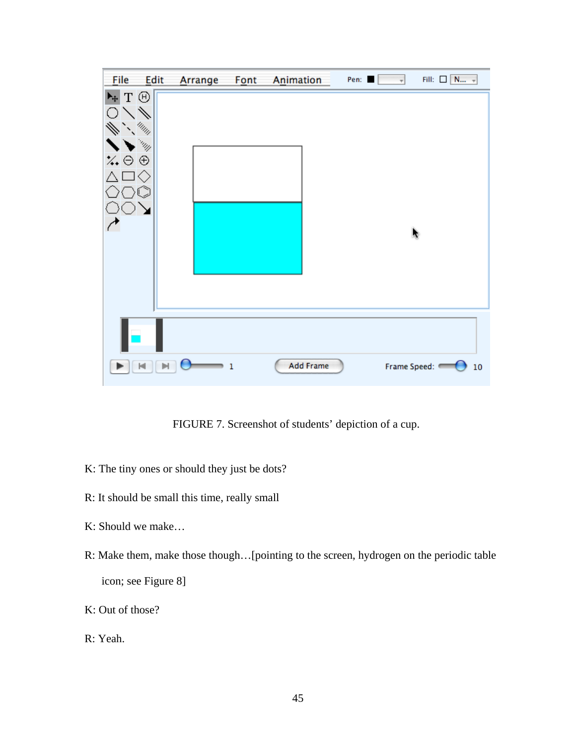

FIGURE 7. Screenshot of students' depiction of a cup.

- K: The tiny ones or should they just be dots?
- R: It should be small this time, really small
- K: Should we make…
- R: Make them, make those though…[pointing to the screen, hydrogen on the periodic table icon; see Figure 8]
- K: Out of those?
- R: Yeah.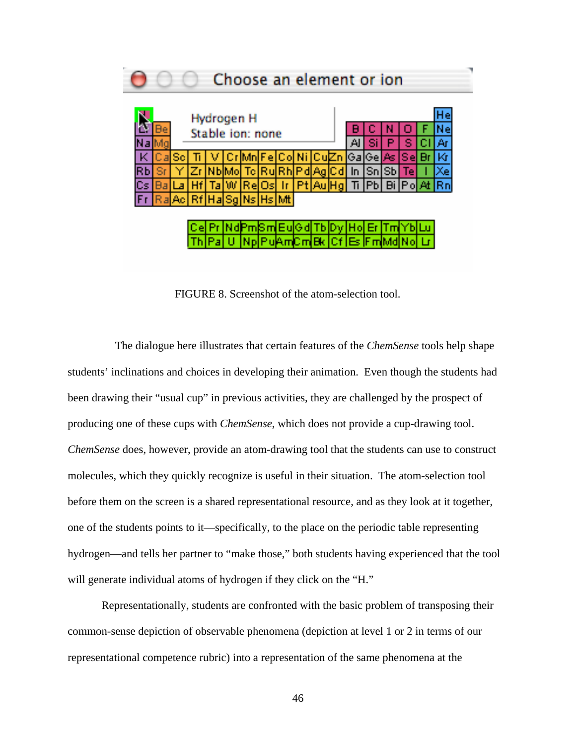

FIGURE 8. Screenshot of the atom-selection tool.

 The dialogue here illustrates that certain features of the *ChemSense* tools help shape students' inclinations and choices in developing their animation. Even though the students had been drawing their "usual cup" in previous activities, they are challenged by the prospect of producing one of these cups with *ChemSense*, which does not provide a cup-drawing tool. *ChemSense* does, however, provide an atom-drawing tool that the students can use to construct molecules, which they quickly recognize is useful in their situation. The atom-selection tool before them on the screen is a shared representational resource, and as they look at it together, one of the students points to it—specifically, to the place on the periodic table representing hydrogen—and tells her partner to "make those," both students having experienced that the tool will generate individual atoms of hydrogen if they click on the "H."

Representationally, students are confronted with the basic problem of transposing their common-sense depiction of observable phenomena (depiction at level 1 or 2 in terms of our representational competence rubric) into a representation of the same phenomena at the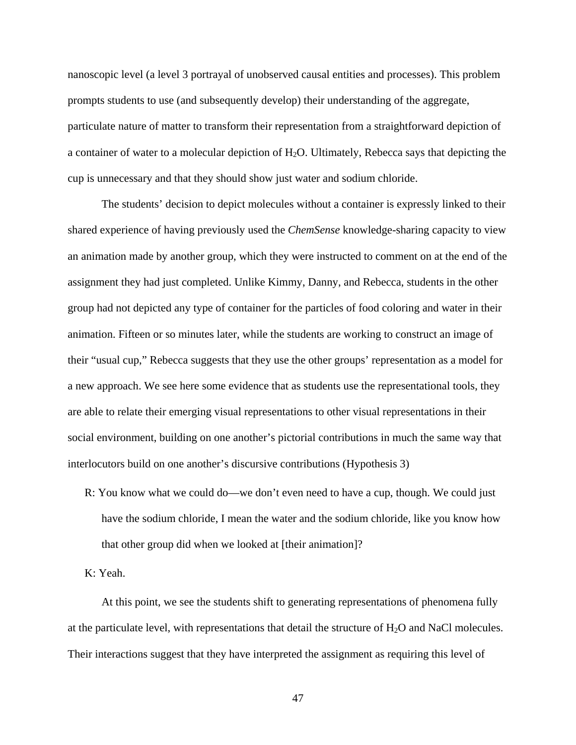nanoscopic level (a level 3 portrayal of unobserved causal entities and processes). This problem prompts students to use (and subsequently develop) their understanding of the aggregate, particulate nature of matter to transform their representation from a straightforward depiction of a container of water to a molecular depiction of  $H_2O$ . Ultimately, Rebecca says that depicting the cup is unnecessary and that they should show just water and sodium chloride.

The students' decision to depict molecules without a container is expressly linked to their shared experience of having previously used the *ChemSense* knowledge-sharing capacity to view an animation made by another group, which they were instructed to comment on at the end of the assignment they had just completed. Unlike Kimmy, Danny, and Rebecca, students in the other group had not depicted any type of container for the particles of food coloring and water in their animation. Fifteen or so minutes later, while the students are working to construct an image of their "usual cup," Rebecca suggests that they use the other groups' representation as a model for a new approach. We see here some evidence that as students use the representational tools, they are able to relate their emerging visual representations to other visual representations in their social environment, building on one another's pictorial contributions in much the same way that interlocutors build on one another's discursive contributions (Hypothesis 3)

R: You know what we could do—we don't even need to have a cup, though. We could just have the sodium chloride, I mean the water and the sodium chloride, like you know how that other group did when we looked at [their animation]?

K: Yeah.

At this point, we see the students shift to generating representations of phenomena fully at the particulate level, with representations that detail the structure of  $H_2O$  and NaCl molecules. Their interactions suggest that they have interpreted the assignment as requiring this level of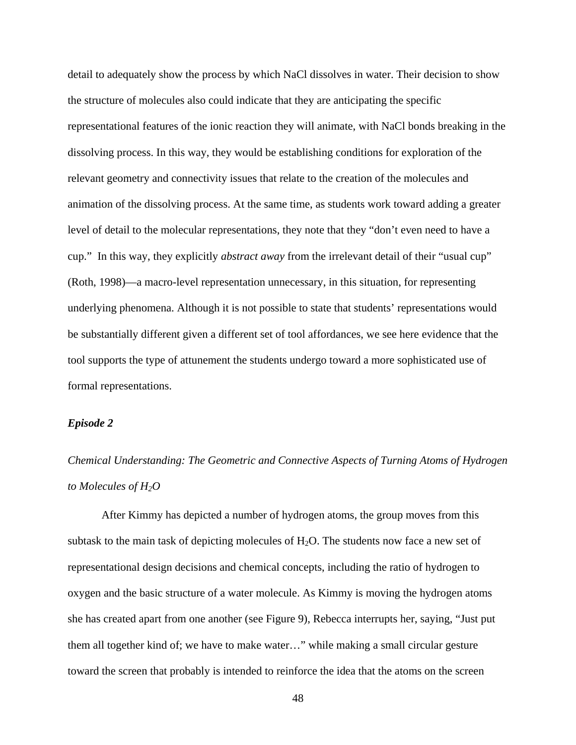detail to adequately show the process by which NaCl dissolves in water. Their decision to show the structure of molecules also could indicate that they are anticipating the specific representational features of the ionic reaction they will animate, with NaCl bonds breaking in the dissolving process. In this way, they would be establishing conditions for exploration of the relevant geometry and connectivity issues that relate to the creation of the molecules and animation of the dissolving process. At the same time, as students work toward adding a greater level of detail to the molecular representations, they note that they "don't even need to have a cup." In this way, they explicitly *abstract away* from the irrelevant detail of their "usual cup" (Roth, 1998)—a macro-level representation unnecessary, in this situation, for representing underlying phenomena. Although it is not possible to state that students' representations would be substantially different given a different set of tool affordances, we see here evidence that the tool supports the type of attunement the students undergo toward a more sophisticated use of formal representations.

## *Episode 2*

*Chemical Understanding: The Geometric and Connective Aspects of Turning Atoms of Hydrogen to Molecules of H2O* 

After Kimmy has depicted a number of hydrogen atoms, the group moves from this subtask to the main task of depicting molecules of  $H_2O$ . The students now face a new set of representational design decisions and chemical concepts, including the ratio of hydrogen to oxygen and the basic structure of a water molecule. As Kimmy is moving the hydrogen atoms she has created apart from one another (see Figure 9), Rebecca interrupts her, saying, "Just put them all together kind of; we have to make water…" while making a small circular gesture toward the screen that probably is intended to reinforce the idea that the atoms on the screen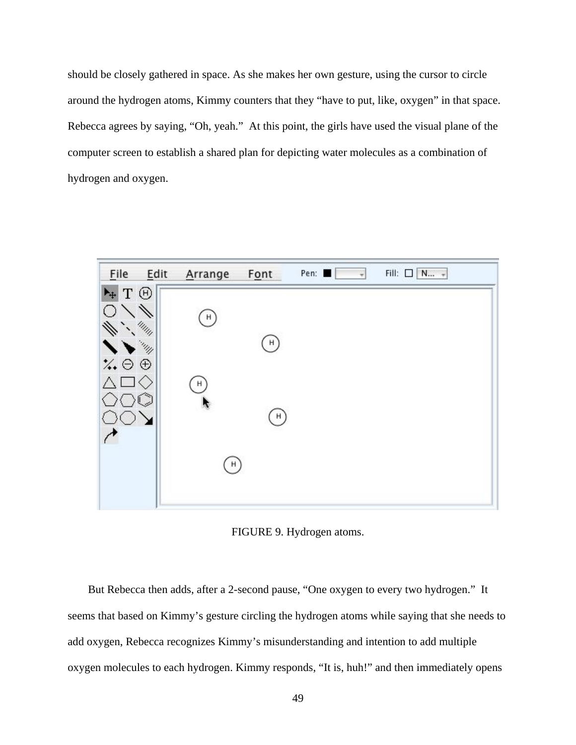should be closely gathered in space. As she makes her own gesture, using the cursor to circle around the hydrogen atoms, Kimmy counters that they "have to put, like, oxygen" in that space. Rebecca agrees by saying, "Oh, yeah." At this point, the girls have used the visual plane of the computer screen to establish a shared plan for depicting water molecules as a combination of hydrogen and oxygen.



FIGURE 9. Hydrogen atoms.

But Rebecca then adds, after a 2-second pause, "One oxygen to every two hydrogen." It seems that based on Kimmy's gesture circling the hydrogen atoms while saying that she needs to add oxygen, Rebecca recognizes Kimmy's misunderstanding and intention to add multiple oxygen molecules to each hydrogen. Kimmy responds, "It is, huh!" and then immediately opens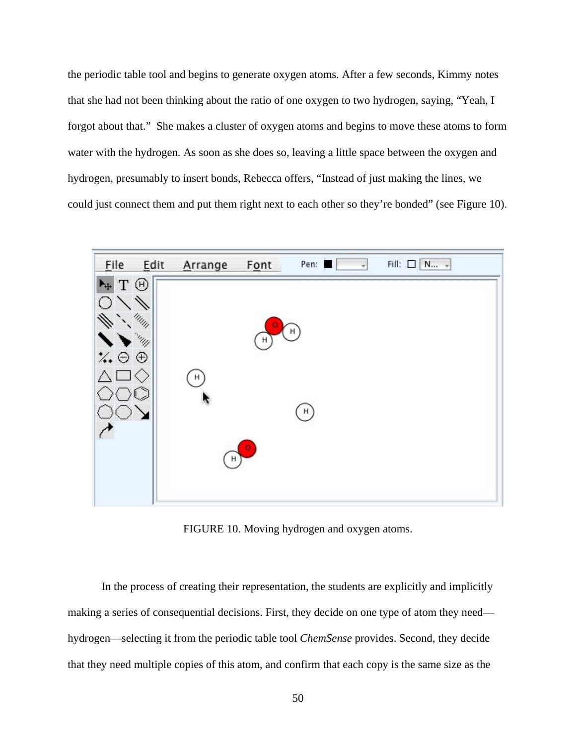the periodic table tool and begins to generate oxygen atoms. After a few seconds, Kimmy notes that she had not been thinking about the ratio of one oxygen to two hydrogen, saying, "Yeah, I forgot about that." She makes a cluster of oxygen atoms and begins to move these atoms to form water with the hydrogen. As soon as she does so, leaving a little space between the oxygen and hydrogen, presumably to insert bonds, Rebecca offers, "Instead of just making the lines, we could just connect them and put them right next to each other so they're bonded" (see Figure 10).



FIGURE 10. Moving hydrogen and oxygen atoms.

 In the process of creating their representation, the students are explicitly and implicitly making a series of consequential decisions. First, they decide on one type of atom they need hydrogen—selecting it from the periodic table tool *ChemSense* provides. Second, they decide that they need multiple copies of this atom, and confirm that each copy is the same size as the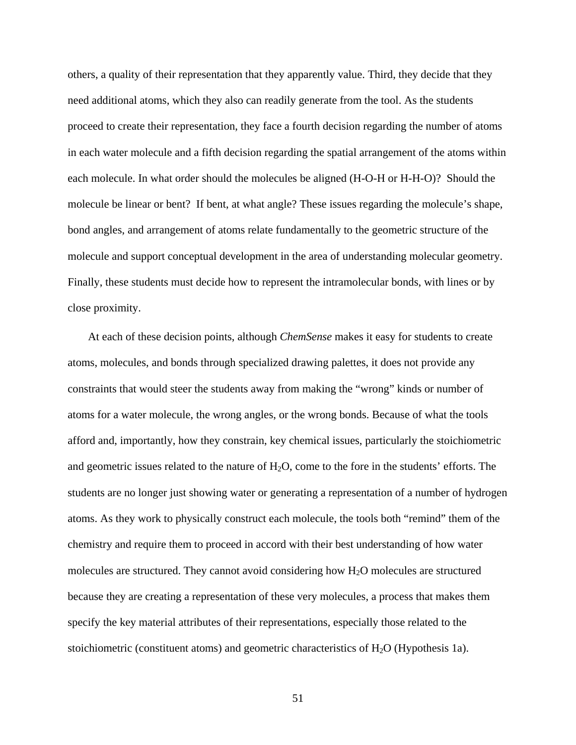others, a quality of their representation that they apparently value. Third, they decide that they need additional atoms, which they also can readily generate from the tool. As the students proceed to create their representation, they face a fourth decision regarding the number of atoms in each water molecule and a fifth decision regarding the spatial arrangement of the atoms within each molecule. In what order should the molecules be aligned (H-O-H or H-H-O)? Should the molecule be linear or bent? If bent, at what angle? These issues regarding the molecule's shape, bond angles, and arrangement of atoms relate fundamentally to the geometric structure of the molecule and support conceptual development in the area of understanding molecular geometry. Finally, these students must decide how to represent the intramolecular bonds, with lines or by close proximity.

At each of these decision points, although *ChemSense* makes it easy for students to create atoms, molecules, and bonds through specialized drawing palettes, it does not provide any constraints that would steer the students away from making the "wrong" kinds or number of atoms for a water molecule, the wrong angles, or the wrong bonds. Because of what the tools afford and, importantly, how they constrain, key chemical issues, particularly the stoichiometric and geometric issues related to the nature of  $H_2O$ , come to the fore in the students' efforts. The students are no longer just showing water or generating a representation of a number of hydrogen atoms. As they work to physically construct each molecule, the tools both "remind" them of the chemistry and require them to proceed in accord with their best understanding of how water molecules are structured. They cannot avoid considering how H2O molecules are structured because they are creating a representation of these very molecules, a process that makes them specify the key material attributes of their representations, especially those related to the stoichiometric (constituent atoms) and geometric characteristics of  $H_2O$  (Hypothesis 1a).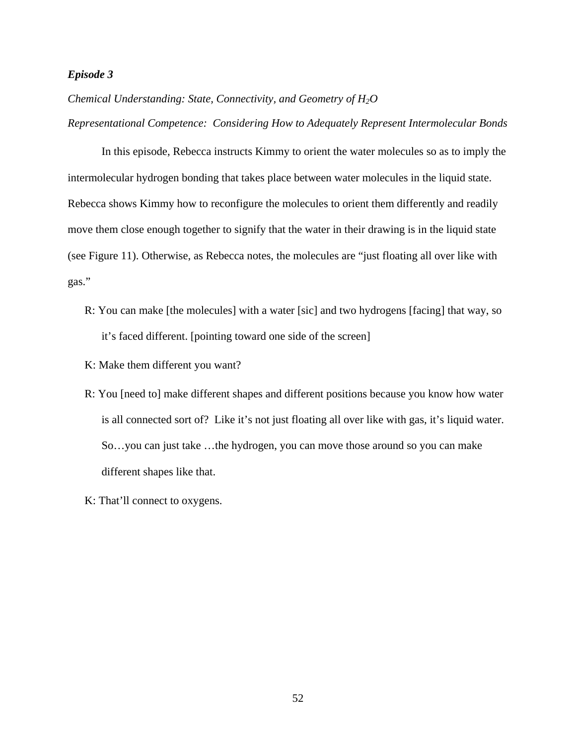### *Episode 3*

*Chemical Understanding: State, Connectivity, and Geometry of H2O Representational Competence: Considering How to Adequately Represent Intermolecular Bonds* 

In this episode, Rebecca instructs Kimmy to orient the water molecules so as to imply the intermolecular hydrogen bonding that takes place between water molecules in the liquid state. Rebecca shows Kimmy how to reconfigure the molecules to orient them differently and readily move them close enough together to signify that the water in their drawing is in the liquid state (see Figure 11). Otherwise, as Rebecca notes, the molecules are "just floating all over like with gas."

- R: You can make [the molecules] with a water [sic] and two hydrogens [facing] that way, so it's faced different. [pointing toward one side of the screen]
- K: Make them different you want?
- R: You [need to] make different shapes and different positions because you know how water is all connected sort of? Like it's not just floating all over like with gas, it's liquid water. So…you can just take …the hydrogen, you can move those around so you can make different shapes like that.
- K: That'll connect to oxygens.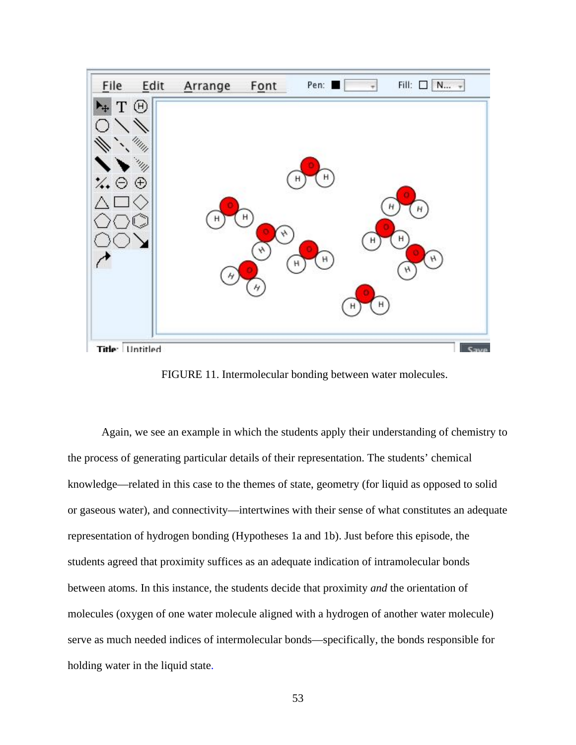

FIGURE 11. Intermolecular bonding between water molecules.

Again, we see an example in which the students apply their understanding of chemistry to the process of generating particular details of their representation. The students' chemical knowledge—related in this case to the themes of state, geometry (for liquid as opposed to solid or gaseous water), and connectivity—intertwines with their sense of what constitutes an adequate representation of hydrogen bonding (Hypotheses 1a and 1b). Just before this episode, the students agreed that proximity suffices as an adequate indication of intramolecular bonds between atoms. In this instance, the students decide that proximity *and* the orientation of molecules (oxygen of one water molecule aligned with a hydrogen of another water molecule) serve as much needed indices of intermolecular bonds—specifically, the bonds responsible for holding water in the liquid state.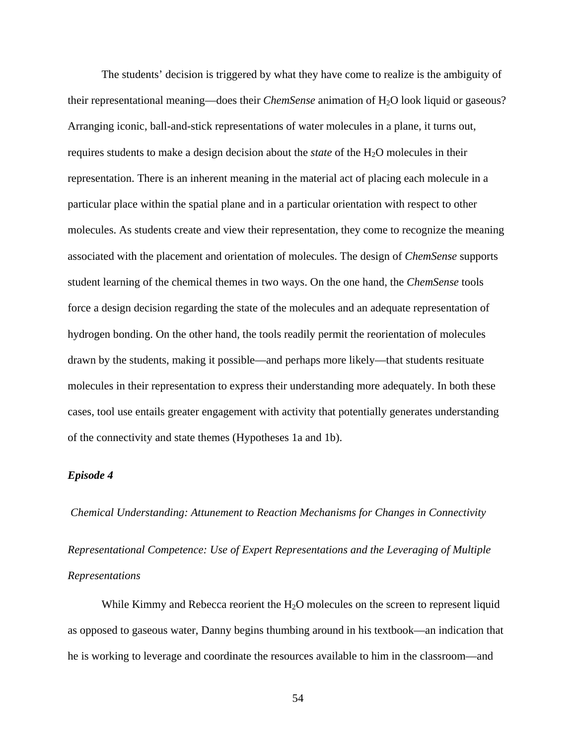The students' decision is triggered by what they have come to realize is the ambiguity of their representational meaning—does their *ChemSense* animation of H2O look liquid or gaseous? Arranging iconic, ball-and-stick representations of water molecules in a plane, it turns out, requires students to make a design decision about the *state* of the H2O molecules in their representation. There is an inherent meaning in the material act of placing each molecule in a particular place within the spatial plane and in a particular orientation with respect to other molecules. As students create and view their representation, they come to recognize the meaning associated with the placement and orientation of molecules. The design of *ChemSense* supports student learning of the chemical themes in two ways. On the one hand, the *ChemSense* tools force a design decision regarding the state of the molecules and an adequate representation of hydrogen bonding. On the other hand, the tools readily permit the reorientation of molecules drawn by the students, making it possible—and perhaps more likely—that students resituate molecules in their representation to express their understanding more adequately. In both these cases, tool use entails greater engagement with activity that potentially generates understanding of the connectivity and state themes (Hypotheses 1a and 1b).

# *Episode 4*

*Chemical Understanding: Attunement to Reaction Mechanisms for Changes in Connectivity* 

*Representational Competence: Use of Expert Representations and the Leveraging of Multiple Representations* 

While Kimmy and Rebecca reorient the  $H<sub>2</sub>O$  molecules on the screen to represent liquid as opposed to gaseous water, Danny begins thumbing around in his textbook—an indication that he is working to leverage and coordinate the resources available to him in the classroom—and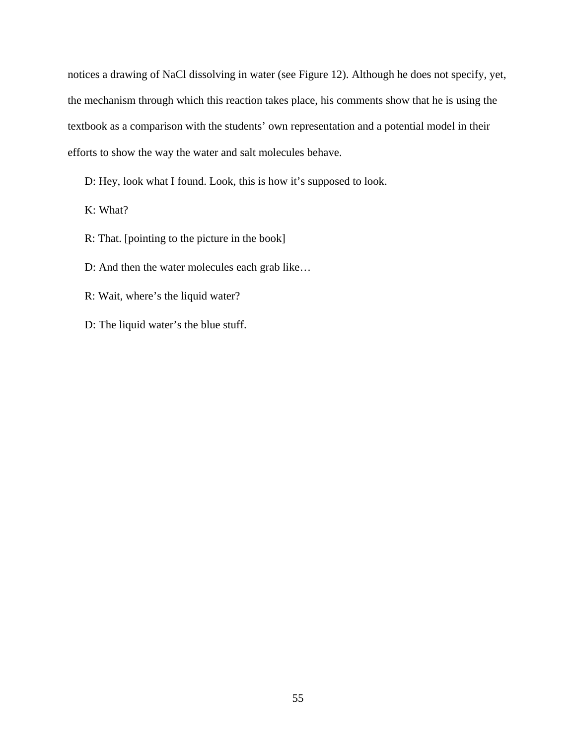notices a drawing of NaCl dissolving in water (see Figure 12). Although he does not specify, yet, the mechanism through which this reaction takes place, his comments show that he is using the textbook as a comparison with the students' own representation and a potential model in their efforts to show the way the water and salt molecules behave.

D: Hey, look what I found. Look, this is how it's supposed to look.

K: What?

R: That. [pointing to the picture in the book]

D: And then the water molecules each grab like…

R: Wait, where's the liquid water?

D: The liquid water's the blue stuff.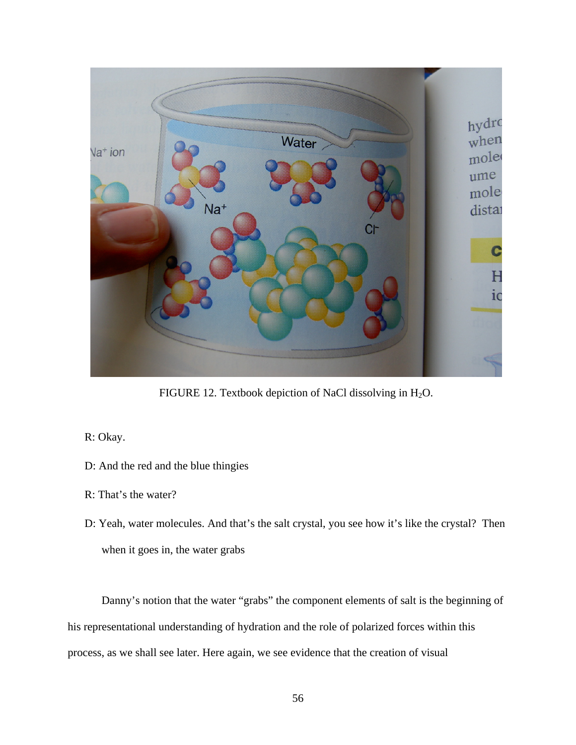

FIGURE 12. Textbook depiction of NaCl dissolving in  $H_2O$ .

# R: Okay.

- D: And the red and the blue thingies
- R: That's the water?
- D: Yeah, water molecules. And that's the salt crystal, you see how it's like the crystal? Then when it goes in, the water grabs

Danny's notion that the water "grabs" the component elements of salt is the beginning of his representational understanding of hydration and the role of polarized forces within this process, as we shall see later. Here again, we see evidence that the creation of visual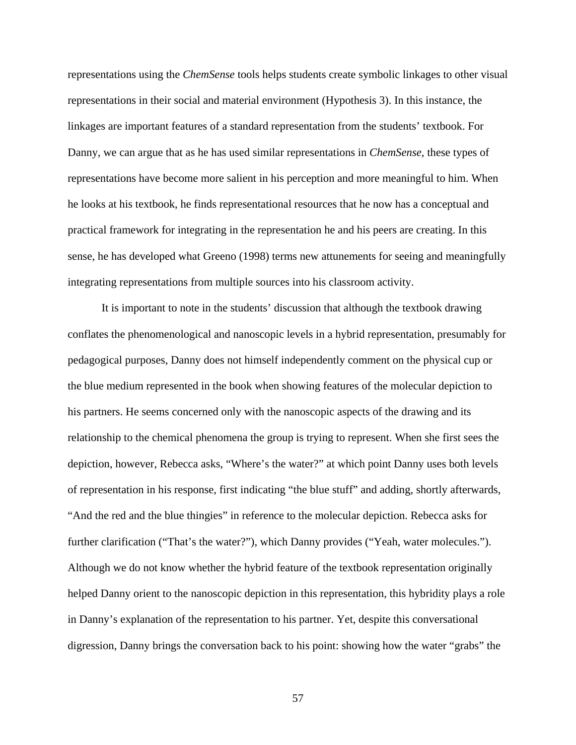representations using the *ChemSense* tools helps students create symbolic linkages to other visual representations in their social and material environment (Hypothesis 3). In this instance, the linkages are important features of a standard representation from the students' textbook. For Danny, we can argue that as he has used similar representations in *ChemSense*, these types of representations have become more salient in his perception and more meaningful to him. When he looks at his textbook, he finds representational resources that he now has a conceptual and practical framework for integrating in the representation he and his peers are creating. In this sense, he has developed what Greeno (1998) terms new attunements for seeing and meaningfully integrating representations from multiple sources into his classroom activity.

It is important to note in the students' discussion that although the textbook drawing conflates the phenomenological and nanoscopic levels in a hybrid representation, presumably for pedagogical purposes, Danny does not himself independently comment on the physical cup or the blue medium represented in the book when showing features of the molecular depiction to his partners. He seems concerned only with the nanoscopic aspects of the drawing and its relationship to the chemical phenomena the group is trying to represent. When she first sees the depiction, however, Rebecca asks, "Where's the water?" at which point Danny uses both levels of representation in his response, first indicating "the blue stuff" and adding, shortly afterwards, "And the red and the blue thingies" in reference to the molecular depiction. Rebecca asks for further clarification ("That's the water?"), which Danny provides ("Yeah, water molecules."). Although we do not know whether the hybrid feature of the textbook representation originally helped Danny orient to the nanoscopic depiction in this representation, this hybridity plays a role in Danny's explanation of the representation to his partner. Yet, despite this conversational digression, Danny brings the conversation back to his point: showing how the water "grabs" the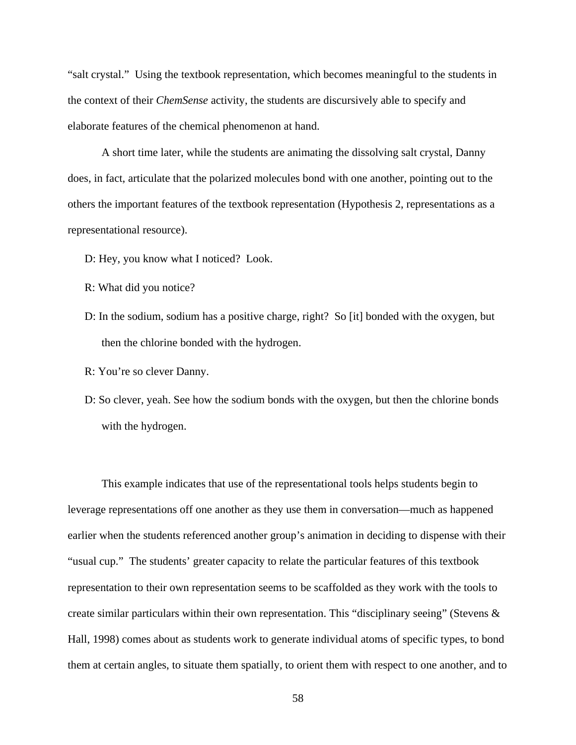"salt crystal." Using the textbook representation, which becomes meaningful to the students in the context of their *ChemSense* activity, the students are discursively able to specify and elaborate features of the chemical phenomenon at hand.

A short time later, while the students are animating the dissolving salt crystal, Danny does, in fact, articulate that the polarized molecules bond with one another, pointing out to the others the important features of the textbook representation (Hypothesis 2, representations as a representational resource).

D: Hey, you know what I noticed? Look.

R: What did you notice?

- D: In the sodium, sodium has a positive charge, right? So [it] bonded with the oxygen, but then the chlorine bonded with the hydrogen.
- R: You're so clever Danny.
- D: So clever, yeah. See how the sodium bonds with the oxygen, but then the chlorine bonds with the hydrogen.

This example indicates that use of the representational tools helps students begin to leverage representations off one another as they use them in conversation—much as happened earlier when the students referenced another group's animation in deciding to dispense with their "usual cup." The students' greater capacity to relate the particular features of this textbook representation to their own representation seems to be scaffolded as they work with the tools to create similar particulars within their own representation. This "disciplinary seeing" (Stevens & Hall, 1998) comes about as students work to generate individual atoms of specific types, to bond them at certain angles, to situate them spatially, to orient them with respect to one another, and to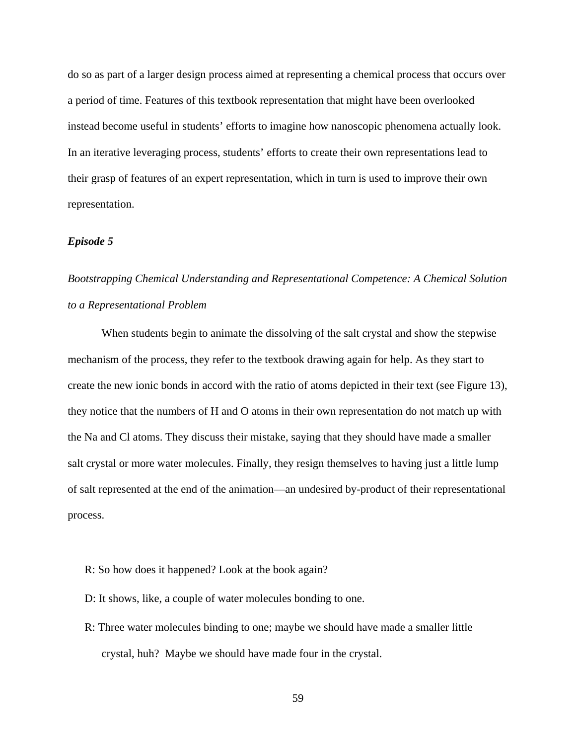do so as part of a larger design process aimed at representing a chemical process that occurs over a period of time. Features of this textbook representation that might have been overlooked instead become useful in students' efforts to imagine how nanoscopic phenomena actually look. In an iterative leveraging process, students' efforts to create their own representations lead to their grasp of features of an expert representation, which in turn is used to improve their own representation.

### *Episode 5*

# *Bootstrapping Chemical Understanding and Representational Competence: A Chemical Solution to a Representational Problem*

When students begin to animate the dissolving of the salt crystal and show the stepwise mechanism of the process, they refer to the textbook drawing again for help. As they start to create the new ionic bonds in accord with the ratio of atoms depicted in their text (see Figure 13), they notice that the numbers of H and O atoms in their own representation do not match up with the Na and Cl atoms. They discuss their mistake, saying that they should have made a smaller salt crystal or more water molecules. Finally, they resign themselves to having just a little lump of salt represented at the end of the animation—an undesired by-product of their representational process.

- R: So how does it happened? Look at the book again?
- D: It shows, like, a couple of water molecules bonding to one.
- R: Three water molecules binding to one; maybe we should have made a smaller little crystal, huh? Maybe we should have made four in the crystal.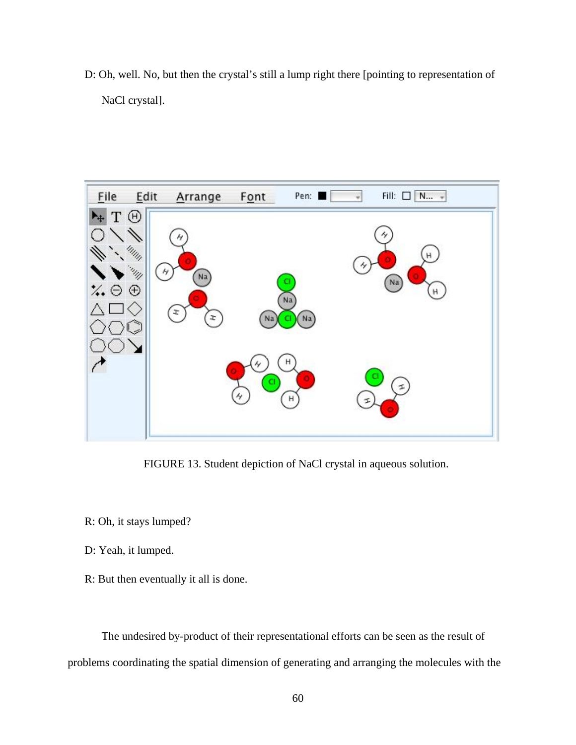D: Oh, well. No, but then the crystal's still a lump right there [pointing to representation of NaCl crystal].



FIGURE 13. Student depiction of NaCl crystal in aqueous solution.

- R: Oh, it stays lumped?
- D: Yeah, it lumped.
- R: But then eventually it all is done.

The undesired by-product of their representational efforts can be seen as the result of problems coordinating the spatial dimension of generating and arranging the molecules with the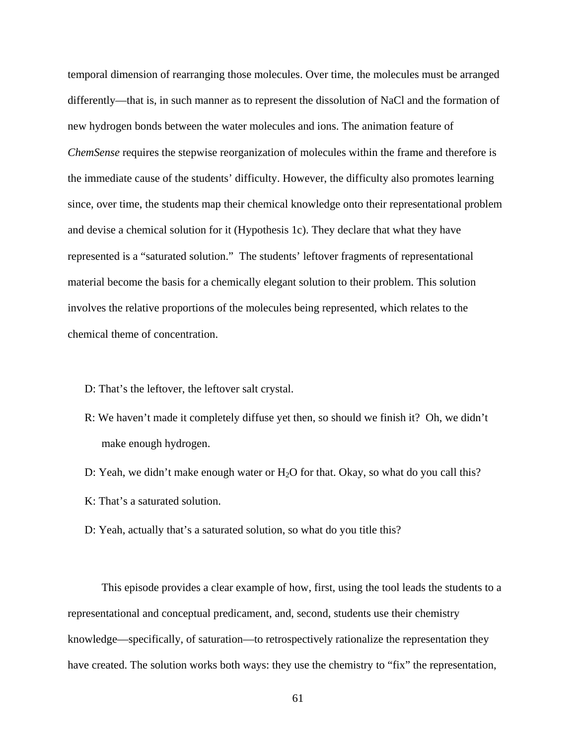temporal dimension of rearranging those molecules. Over time, the molecules must be arranged differently—that is, in such manner as to represent the dissolution of NaCl and the formation of new hydrogen bonds between the water molecules and ions. The animation feature of *ChemSense* requires the stepwise reorganization of molecules within the frame and therefore is the immediate cause of the students' difficulty. However, the difficulty also promotes learning since, over time, the students map their chemical knowledge onto their representational problem and devise a chemical solution for it (Hypothesis 1c). They declare that what they have represented is a "saturated solution." The students' leftover fragments of representational material become the basis for a chemically elegant solution to their problem. This solution involves the relative proportions of the molecules being represented, which relates to the chemical theme of concentration.

- D: That's the leftover, the leftover salt crystal.
- R: We haven't made it completely diffuse yet then, so should we finish it? Oh, we didn't make enough hydrogen.
- D: Yeah, we didn't make enough water or  $H_2O$  for that. Okay, so what do you call this?
- K: That's a saturated solution.
- D: Yeah, actually that's a saturated solution, so what do you title this?

This episode provides a clear example of how, first, using the tool leads the students to a representational and conceptual predicament, and, second, students use their chemistry knowledge—specifically, of saturation—to retrospectively rationalize the representation they have created. The solution works both ways: they use the chemistry to "fix" the representation,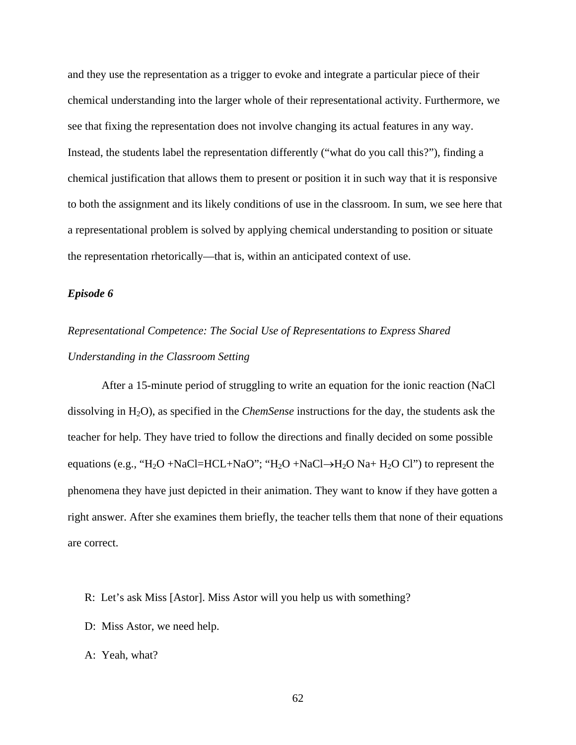and they use the representation as a trigger to evoke and integrate a particular piece of their chemical understanding into the larger whole of their representational activity. Furthermore, we see that fixing the representation does not involve changing its actual features in any way. Instead, the students label the representation differently ("what do you call this?"), finding a chemical justification that allows them to present or position it in such way that it is responsive to both the assignment and its likely conditions of use in the classroom. In sum, we see here that a representational problem is solved by applying chemical understanding to position or situate the representation rhetorically—that is, within an anticipated context of use.

### *Episode 6*

# *Representational Competence: The Social Use of Representations to Express Shared Understanding in the Classroom Setting*

After a 15-minute period of struggling to write an equation for the ionic reaction (NaCl dissolving in H2O), as specified in the *ChemSense* instructions for the day, the students ask the teacher for help. They have tried to follow the directions and finally decided on some possible equations (e.g., "H<sub>2</sub>O +NaCl=HCL+NaO"; "H<sub>2</sub>O +NaCl→H<sub>2</sub>O Na+ H<sub>2</sub>O Cl") to represent the phenomena they have just depicted in their animation. They want to know if they have gotten a right answer. After she examines them briefly, the teacher tells them that none of their equations are correct.

- R: Let's ask Miss [Astor]. Miss Astor will you help us with something?
- D: Miss Astor, we need help.
- A: Yeah, what?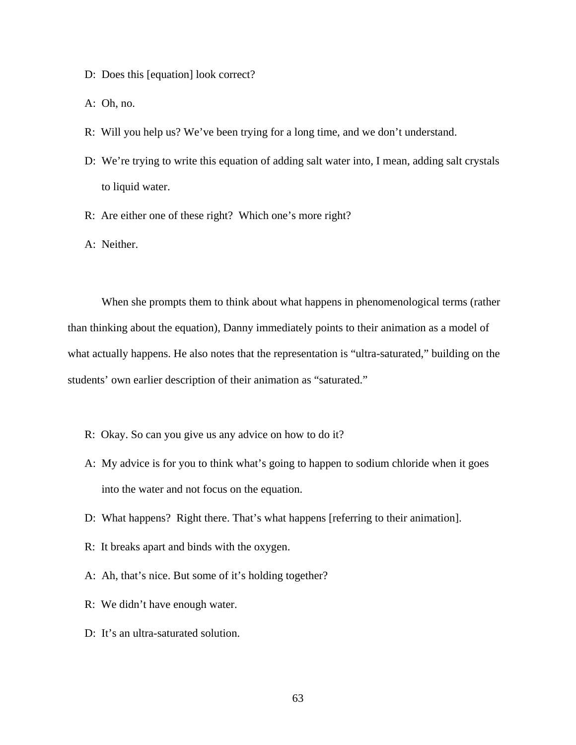- D: Does this [equation] look correct?
- A: Oh, no.
- R: Will you help us? We've been trying for a long time, and we don't understand.
- D: We're trying to write this equation of adding salt water into, I mean, adding salt crystals to liquid water.
- R: Are either one of these right? Which one's more right?
- A: Neither.

When she prompts them to think about what happens in phenomenological terms (rather than thinking about the equation), Danny immediately points to their animation as a model of what actually happens. He also notes that the representation is "ultra-saturated," building on the students' own earlier description of their animation as "saturated."

- R: Okay. So can you give us any advice on how to do it?
- A: My advice is for you to think what's going to happen to sodium chloride when it goes into the water and not focus on the equation.
- D: What happens? Right there. That's what happens [referring to their animation].
- R: It breaks apart and binds with the oxygen.
- A: Ah, that's nice. But some of it's holding together?
- R: We didn't have enough water.
- D: It's an ultra-saturated solution.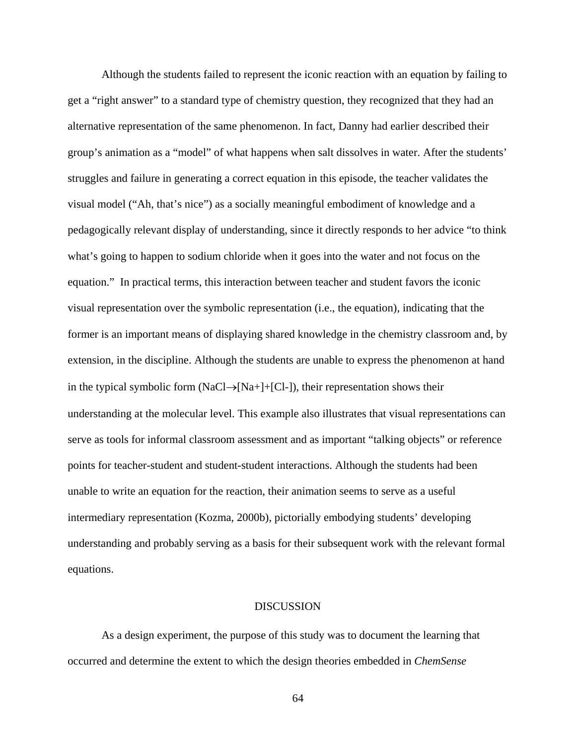Although the students failed to represent the iconic reaction with an equation by failing to get a "right answer" to a standard type of chemistry question, they recognized that they had an alternative representation of the same phenomenon. In fact, Danny had earlier described their group's animation as a "model" of what happens when salt dissolves in water. After the students' struggles and failure in generating a correct equation in this episode, the teacher validates the visual model ("Ah, that's nice") as a socially meaningful embodiment of knowledge and a pedagogically relevant display of understanding, since it directly responds to her advice "to think what's going to happen to sodium chloride when it goes into the water and not focus on the equation." In practical terms, this interaction between teacher and student favors the iconic visual representation over the symbolic representation (i.e., the equation), indicating that the former is an important means of displaying shared knowledge in the chemistry classroom and, by extension, in the discipline. Although the students are unable to express the phenomenon at hand in the typical symbolic form (NaCl→[Na+]+[Cl-]), their representation shows their understanding at the molecular level. This example also illustrates that visual representations can serve as tools for informal classroom assessment and as important "talking objects" or reference points for teacher-student and student-student interactions. Although the students had been unable to write an equation for the reaction, their animation seems to serve as a useful intermediary representation (Kozma, 2000b), pictorially embodying students' developing understanding and probably serving as a basis for their subsequent work with the relevant formal equations.

#### **DISCUSSION**

As a design experiment, the purpose of this study was to document the learning that occurred and determine the extent to which the design theories embedded in *ChemSense*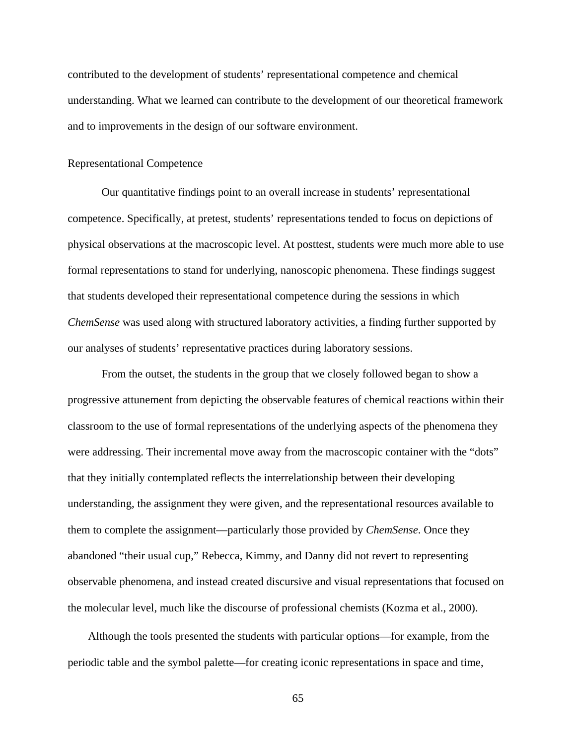contributed to the development of students' representational competence and chemical understanding. What we learned can contribute to the development of our theoretical framework and to improvements in the design of our software environment.

#### Representational Competence

Our quantitative findings point to an overall increase in students' representational competence. Specifically, at pretest, students' representations tended to focus on depictions of physical observations at the macroscopic level. At posttest, students were much more able to use formal representations to stand for underlying, nanoscopic phenomena. These findings suggest that students developed their representational competence during the sessions in which *ChemSense* was used along with structured laboratory activities, a finding further supported by our analyses of students' representative practices during laboratory sessions.

From the outset, the students in the group that we closely followed began to show a progressive attunement from depicting the observable features of chemical reactions within their classroom to the use of formal representations of the underlying aspects of the phenomena they were addressing. Their incremental move away from the macroscopic container with the "dots" that they initially contemplated reflects the interrelationship between their developing understanding, the assignment they were given, and the representational resources available to them to complete the assignment—particularly those provided by *ChemSense*. Once they abandoned "their usual cup," Rebecca, Kimmy, and Danny did not revert to representing observable phenomena, and instead created discursive and visual representations that focused on the molecular level, much like the discourse of professional chemists (Kozma et al., 2000).

Although the tools presented the students with particular options—for example, from the periodic table and the symbol palette—for creating iconic representations in space and time,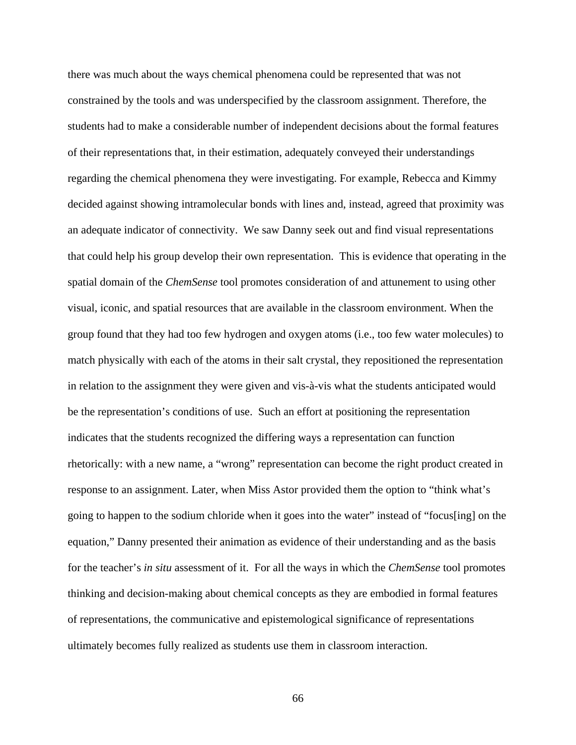there was much about the ways chemical phenomena could be represented that was not constrained by the tools and was underspecified by the classroom assignment. Therefore, the students had to make a considerable number of independent decisions about the formal features of their representations that, in their estimation, adequately conveyed their understandings regarding the chemical phenomena they were investigating. For example, Rebecca and Kimmy decided against showing intramolecular bonds with lines and, instead, agreed that proximity was an adequate indicator of connectivity. We saw Danny seek out and find visual representations that could help his group develop their own representation. This is evidence that operating in the spatial domain of the *ChemSense* tool promotes consideration of and attunement to using other visual, iconic, and spatial resources that are available in the classroom environment. When the group found that they had too few hydrogen and oxygen atoms (i.e., too few water molecules) to match physically with each of the atoms in their salt crystal, they repositioned the representation in relation to the assignment they were given and vis-à-vis what the students anticipated would be the representation's conditions of use. Such an effort at positioning the representation indicates that the students recognized the differing ways a representation can function rhetorically: with a new name, a "wrong" representation can become the right product created in response to an assignment. Later, when Miss Astor provided them the option to "think what's going to happen to the sodium chloride when it goes into the water" instead of "focus[ing] on the equation," Danny presented their animation as evidence of their understanding and as the basis for the teacher's *in situ* assessment of it. For all the ways in which the *ChemSense* tool promotes thinking and decision-making about chemical concepts as they are embodied in formal features of representations, the communicative and epistemological significance of representations ultimately becomes fully realized as students use them in classroom interaction.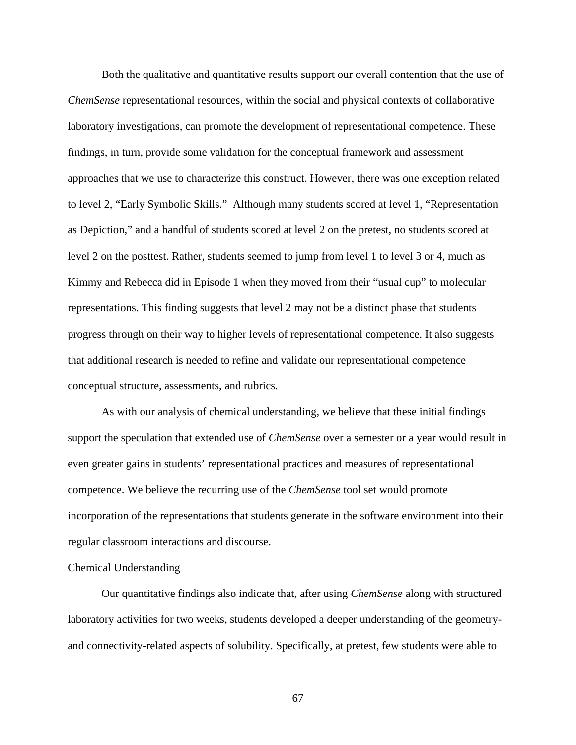Both the qualitative and quantitative results support our overall contention that the use of *ChemSense* representational resources, within the social and physical contexts of collaborative laboratory investigations, can promote the development of representational competence. These findings, in turn, provide some validation for the conceptual framework and assessment approaches that we use to characterize this construct. However, there was one exception related to level 2, "Early Symbolic Skills." Although many students scored at level 1, "Representation as Depiction," and a handful of students scored at level 2 on the pretest, no students scored at level 2 on the posttest. Rather, students seemed to jump from level 1 to level 3 or 4, much as Kimmy and Rebecca did in Episode 1 when they moved from their "usual cup" to molecular representations. This finding suggests that level 2 may not be a distinct phase that students progress through on their way to higher levels of representational competence. It also suggests that additional research is needed to refine and validate our representational competence conceptual structure, assessments, and rubrics.

As with our analysis of chemical understanding, we believe that these initial findings support the speculation that extended use of *ChemSense* over a semester or a year would result in even greater gains in students' representational practices and measures of representational competence. We believe the recurring use of the *ChemSense* tool set would promote incorporation of the representations that students generate in the software environment into their regular classroom interactions and discourse.

### Chemical Understanding

Our quantitative findings also indicate that, after using *ChemSense* along with structured laboratory activities for two weeks, students developed a deeper understanding of the geometryand connectivity-related aspects of solubility. Specifically, at pretest, few students were able to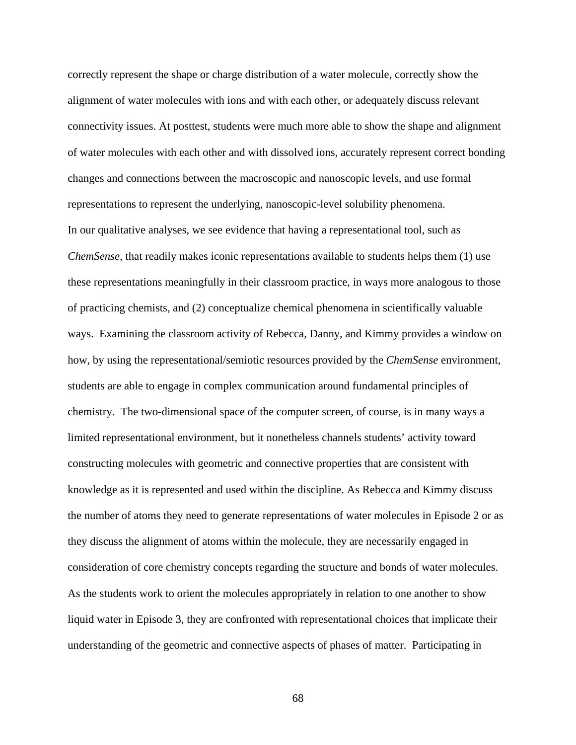correctly represent the shape or charge distribution of a water molecule, correctly show the alignment of water molecules with ions and with each other, or adequately discuss relevant connectivity issues. At posttest, students were much more able to show the shape and alignment of water molecules with each other and with dissolved ions, accurately represent correct bonding changes and connections between the macroscopic and nanoscopic levels, and use formal representations to represent the underlying, nanoscopic-level solubility phenomena. In our qualitative analyses, we see evidence that having a representational tool, such as *ChemSense,* that readily makes iconic representations available to students helps them (1) use these representations meaningfully in their classroom practice, in ways more analogous to those of practicing chemists, and (2) conceptualize chemical phenomena in scientifically valuable ways. Examining the classroom activity of Rebecca, Danny, and Kimmy provides a window on how, by using the representational/semiotic resources provided by the *ChemSense* environment, students are able to engage in complex communication around fundamental principles of chemistry. The two-dimensional space of the computer screen, of course, is in many ways a limited representational environment, but it nonetheless channels students' activity toward constructing molecules with geometric and connective properties that are consistent with knowledge as it is represented and used within the discipline. As Rebecca and Kimmy discuss the number of atoms they need to generate representations of water molecules in Episode 2 or as they discuss the alignment of atoms within the molecule, they are necessarily engaged in consideration of core chemistry concepts regarding the structure and bonds of water molecules. As the students work to orient the molecules appropriately in relation to one another to show liquid water in Episode 3, they are confronted with representational choices that implicate their understanding of the geometric and connective aspects of phases of matter. Participating in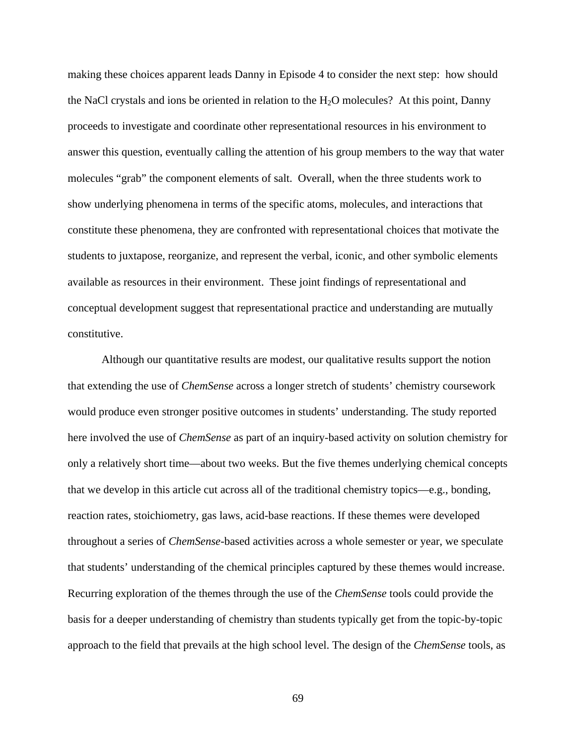making these choices apparent leads Danny in Episode 4 to consider the next step: how should the NaCl crystals and ions be oriented in relation to the  $H_2O$  molecules? At this point, Danny proceeds to investigate and coordinate other representational resources in his environment to answer this question, eventually calling the attention of his group members to the way that water molecules "grab" the component elements of salt. Overall, when the three students work to show underlying phenomena in terms of the specific atoms, molecules, and interactions that constitute these phenomena, they are confronted with representational choices that motivate the students to juxtapose, reorganize, and represent the verbal, iconic, and other symbolic elements available as resources in their environment. These joint findings of representational and conceptual development suggest that representational practice and understanding are mutually constitutive.

Although our quantitative results are modest, our qualitative results support the notion that extending the use of *ChemSense* across a longer stretch of students' chemistry coursework would produce even stronger positive outcomes in students' understanding. The study reported here involved the use of *ChemSense* as part of an inquiry-based activity on solution chemistry for only a relatively short time—about two weeks. But the five themes underlying chemical concepts that we develop in this article cut across all of the traditional chemistry topics—e.g., bonding, reaction rates, stoichiometry, gas laws, acid-base reactions. If these themes were developed throughout a series of *ChemSense*-based activities across a whole semester or year, we speculate that students' understanding of the chemical principles captured by these themes would increase. Recurring exploration of the themes through the use of the *ChemSense* tools could provide the basis for a deeper understanding of chemistry than students typically get from the topic-by-topic approach to the field that prevails at the high school level. The design of the *ChemSense* tools, as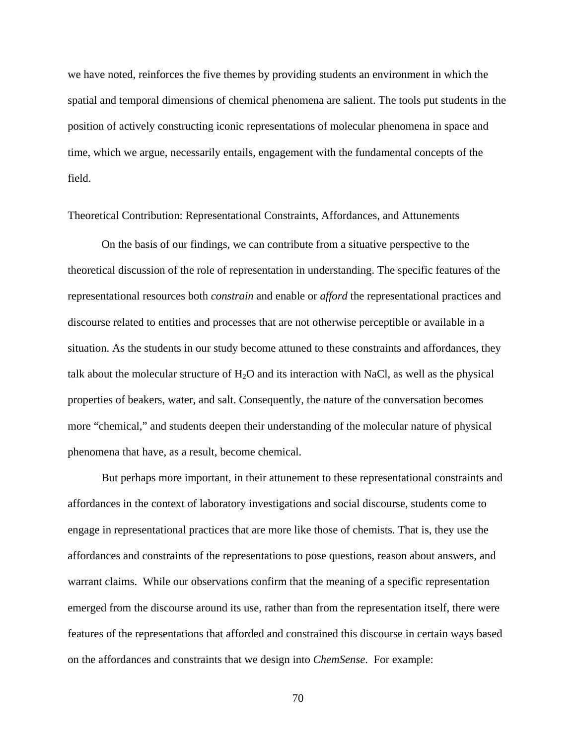we have noted, reinforces the five themes by providing students an environment in which the spatial and temporal dimensions of chemical phenomena are salient. The tools put students in the position of actively constructing iconic representations of molecular phenomena in space and time, which we argue, necessarily entails, engagement with the fundamental concepts of the field.

Theoretical Contribution: Representational Constraints, Affordances, and Attunements

On the basis of our findings, we can contribute from a situative perspective to the theoretical discussion of the role of representation in understanding. The specific features of the representational resources both *constrain* and enable or *afford* the representational practices and discourse related to entities and processes that are not otherwise perceptible or available in a situation. As the students in our study become attuned to these constraints and affordances, they talk about the molecular structure of  $H_2O$  and its interaction with NaCl, as well as the physical properties of beakers, water, and salt. Consequently, the nature of the conversation becomes more "chemical," and students deepen their understanding of the molecular nature of physical phenomena that have, as a result, become chemical.

But perhaps more important, in their attunement to these representational constraints and affordances in the context of laboratory investigations and social discourse, students come to engage in representational practices that are more like those of chemists. That is, they use the affordances and constraints of the representations to pose questions, reason about answers, and warrant claims. While our observations confirm that the meaning of a specific representation emerged from the discourse around its use, rather than from the representation itself, there were features of the representations that afforded and constrained this discourse in certain ways based on the affordances and constraints that we design into *ChemSense*. For example: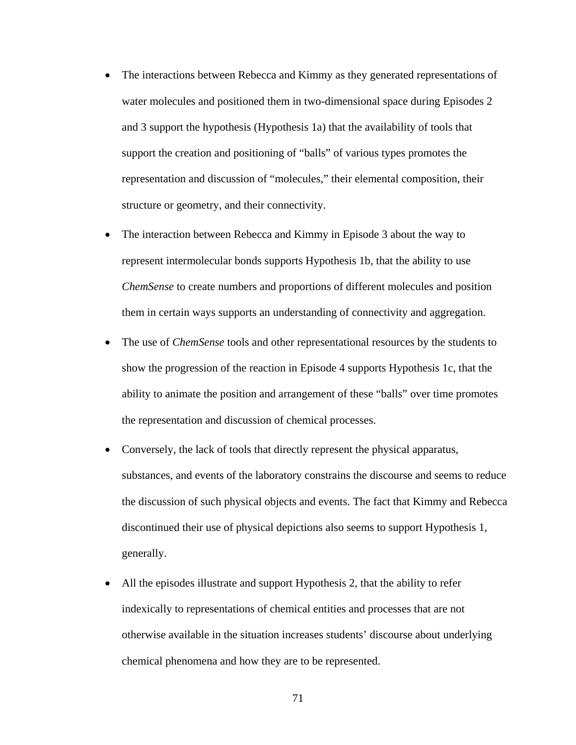- The interactions between Rebecca and Kimmy as they generated representations of water molecules and positioned them in two-dimensional space during Episodes 2 and 3 support the hypothesis (Hypothesis 1a) that the availability of tools that support the creation and positioning of "balls" of various types promotes the representation and discussion of "molecules," their elemental composition, their structure or geometry, and their connectivity.
- The interaction between Rebecca and Kimmy in Episode 3 about the way to represent intermolecular bonds supports Hypothesis 1b, that the ability to use *ChemSense* to create numbers and proportions of different molecules and position them in certain ways supports an understanding of connectivity and aggregation.
- The use of *ChemSense* tools and other representational resources by the students to show the progression of the reaction in Episode 4 supports Hypothesis 1c, that the ability to animate the position and arrangement of these "balls" over time promotes the representation and discussion of chemical processes.
- Conversely, the lack of tools that directly represent the physical apparatus, substances, and events of the laboratory constrains the discourse and seems to reduce the discussion of such physical objects and events. The fact that Kimmy and Rebecca discontinued their use of physical depictions also seems to support Hypothesis 1, generally.
- All the episodes illustrate and support Hypothesis 2, that the ability to refer indexically to representations of chemical entities and processes that are not otherwise available in the situation increases students' discourse about underlying chemical phenomena and how they are to be represented.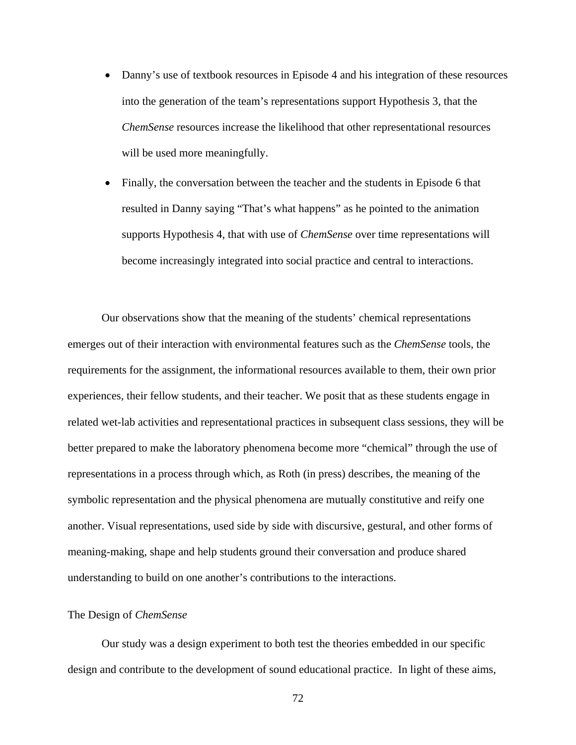- Danny's use of textbook resources in Episode 4 and his integration of these resources into the generation of the team's representations support Hypothesis 3, that the *ChemSense* resources increase the likelihood that other representational resources will be used more meaningfully.
- Finally, the conversation between the teacher and the students in Episode 6 that resulted in Danny saying "That's what happens" as he pointed to the animation supports Hypothesis 4, that with use of *ChemSense* over time representations will become increasingly integrated into social practice and central to interactions.

Our observations show that the meaning of the students' chemical representations emerges out of their interaction with environmental features such as the *ChemSense* tools, the requirements for the assignment, the informational resources available to them, their own prior experiences, their fellow students, and their teacher. We posit that as these students engage in related wet-lab activities and representational practices in subsequent class sessions, they will be better prepared to make the laboratory phenomena become more "chemical" through the use of representations in a process through which, as Roth (in press) describes, the meaning of the symbolic representation and the physical phenomena are mutually constitutive and reify one another. Visual representations, used side by side with discursive, gestural, and other forms of meaning-making, shape and help students ground their conversation and produce shared understanding to build on one another's contributions to the interactions.

### The Design of *ChemSense*

Our study was a design experiment to both test the theories embedded in our specific design and contribute to the development of sound educational practice. In light of these aims,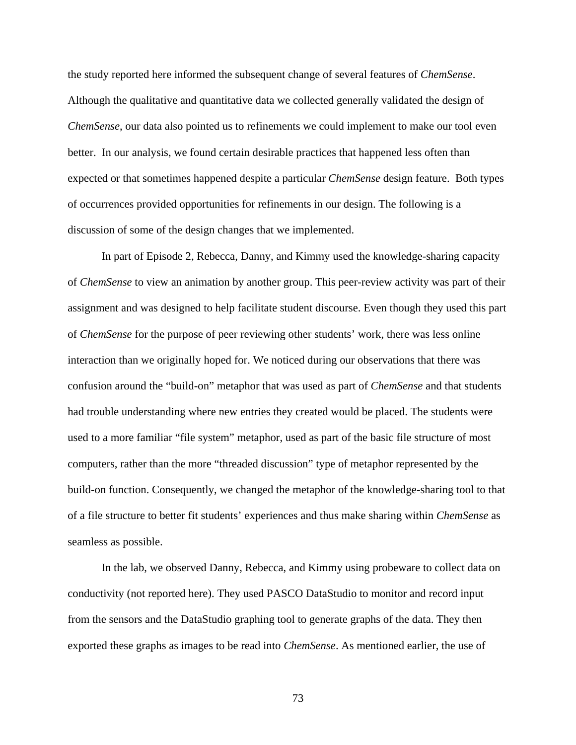the study reported here informed the subsequent change of several features of *ChemSense*. Although the qualitative and quantitative data we collected generally validated the design of *ChemSense*, our data also pointed us to refinements we could implement to make our tool even better. In our analysis, we found certain desirable practices that happened less often than expected or that sometimes happened despite a particular *ChemSense* design feature. Both types of occurrences provided opportunities for refinements in our design. The following is a discussion of some of the design changes that we implemented.

In part of Episode 2, Rebecca, Danny, and Kimmy used the knowledge-sharing capacity of *ChemSense* to view an animation by another group. This peer-review activity was part of their assignment and was designed to help facilitate student discourse. Even though they used this part of *ChemSense* for the purpose of peer reviewing other students' work, there was less online interaction than we originally hoped for. We noticed during our observations that there was confusion around the "build-on" metaphor that was used as part of *ChemSense* and that students had trouble understanding where new entries they created would be placed. The students were used to a more familiar "file system" metaphor, used as part of the basic file structure of most computers, rather than the more "threaded discussion" type of metaphor represented by the build-on function. Consequently, we changed the metaphor of the knowledge-sharing tool to that of a file structure to better fit students' experiences and thus make sharing within *ChemSense* as seamless as possible.

In the lab, we observed Danny, Rebecca, and Kimmy using probeware to collect data on conductivity (not reported here). They used PASCO DataStudio to monitor and record input from the sensors and the DataStudio graphing tool to generate graphs of the data. They then exported these graphs as images to be read into *ChemSense*. As mentioned earlier, the use of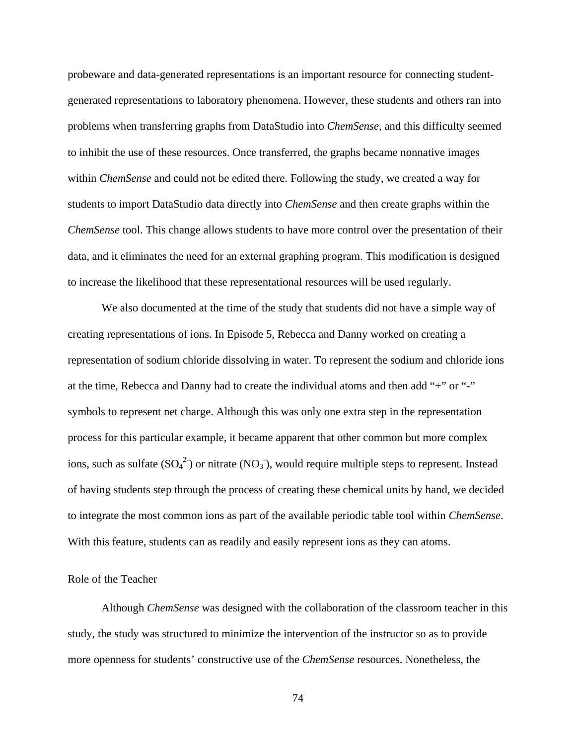probeware and data-generated representations is an important resource for connecting studentgenerated representations to laboratory phenomena. However, these students and others ran into problems when transferring graphs from DataStudio into *ChemSense*, and this difficulty seemed to inhibit the use of these resources. Once transferred, the graphs became nonnative images within *ChemSense* and could not be edited there. Following the study, we created a way for students to import DataStudio data directly into *ChemSense* and then create graphs within the *ChemSense* tool. This change allows students to have more control over the presentation of their data, and it eliminates the need for an external graphing program. This modification is designed to increase the likelihood that these representational resources will be used regularly.

We also documented at the time of the study that students did not have a simple way of creating representations of ions. In Episode 5, Rebecca and Danny worked on creating a representation of sodium chloride dissolving in water. To represent the sodium and chloride ions at the time, Rebecca and Danny had to create the individual atoms and then add "+" or "-" symbols to represent net charge. Although this was only one extra step in the representation process for this particular example, it became apparent that other common but more complex ions, such as sulfate  $(SO_4^2)$  or nitrate  $(NO_3)$ , would require multiple steps to represent. Instead of having students step through the process of creating these chemical units by hand, we decided to integrate the most common ions as part of the available periodic table tool within *ChemSense*. With this feature, students can as readily and easily represent ions as they can atoms.

## Role of the Teacher

Although *ChemSense* was designed with the collaboration of the classroom teacher in this study, the study was structured to minimize the intervention of the instructor so as to provide more openness for students' constructive use of the *ChemSense* resources. Nonetheless, the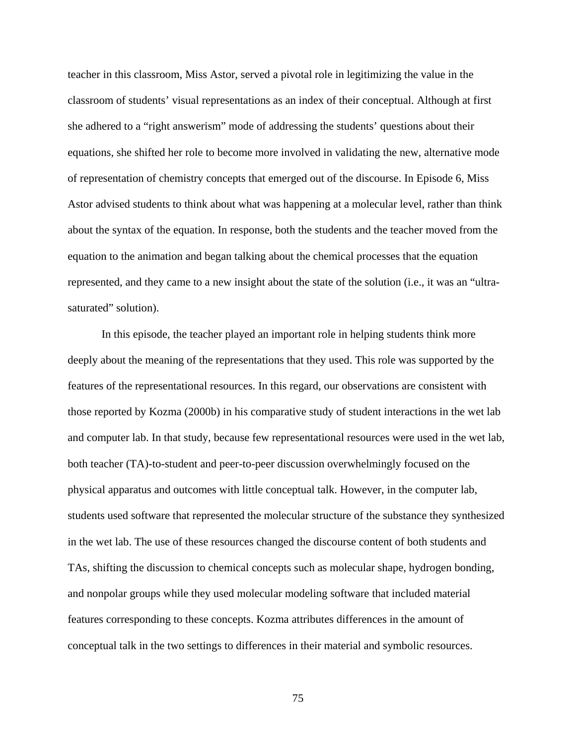teacher in this classroom, Miss Astor, served a pivotal role in legitimizing the value in the classroom of students' visual representations as an index of their conceptual. Although at first she adhered to a "right answerism" mode of addressing the students' questions about their equations, she shifted her role to become more involved in validating the new, alternative mode of representation of chemistry concepts that emerged out of the discourse. In Episode 6, Miss Astor advised students to think about what was happening at a molecular level, rather than think about the syntax of the equation. In response, both the students and the teacher moved from the equation to the animation and began talking about the chemical processes that the equation represented, and they came to a new insight about the state of the solution (i.e., it was an "ultrasaturated" solution).

In this episode, the teacher played an important role in helping students think more deeply about the meaning of the representations that they used. This role was supported by the features of the representational resources. In this regard, our observations are consistent with those reported by Kozma (2000b) in his comparative study of student interactions in the wet lab and computer lab. In that study, because few representational resources were used in the wet lab, both teacher (TA)-to-student and peer-to-peer discussion overwhelmingly focused on the physical apparatus and outcomes with little conceptual talk. However, in the computer lab, students used software that represented the molecular structure of the substance they synthesized in the wet lab. The use of these resources changed the discourse content of both students and TAs, shifting the discussion to chemical concepts such as molecular shape, hydrogen bonding, and nonpolar groups while they used molecular modeling software that included material features corresponding to these concepts. Kozma attributes differences in the amount of conceptual talk in the two settings to differences in their material and symbolic resources.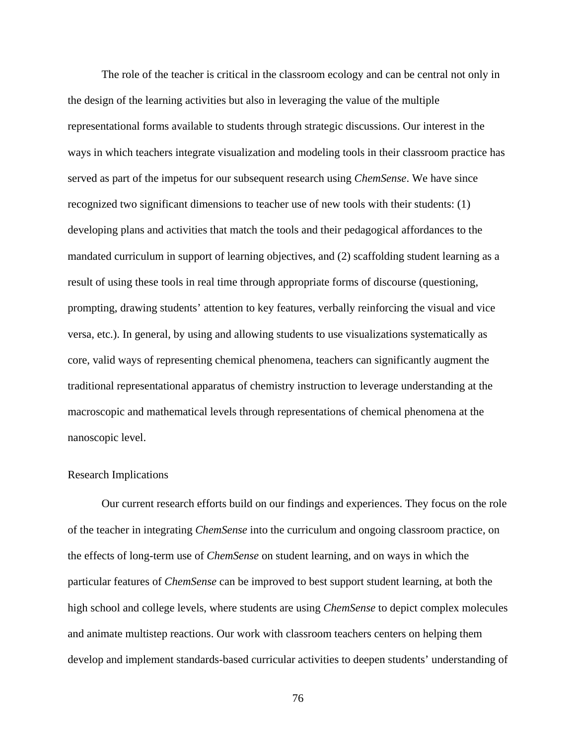The role of the teacher is critical in the classroom ecology and can be central not only in the design of the learning activities but also in leveraging the value of the multiple representational forms available to students through strategic discussions. Our interest in the ways in which teachers integrate visualization and modeling tools in their classroom practice has served as part of the impetus for our subsequent research using *ChemSense*. We have since recognized two significant dimensions to teacher use of new tools with their students: (1) developing plans and activities that match the tools and their pedagogical affordances to the mandated curriculum in support of learning objectives, and (2) scaffolding student learning as a result of using these tools in real time through appropriate forms of discourse (questioning, prompting, drawing students' attention to key features, verbally reinforcing the visual and vice versa, etc.). In general, by using and allowing students to use visualizations systematically as core, valid ways of representing chemical phenomena, teachers can significantly augment the traditional representational apparatus of chemistry instruction to leverage understanding at the macroscopic and mathematical levels through representations of chemical phenomena at the nanoscopic level.

## Research Implications

Our current research efforts build on our findings and experiences. They focus on the role of the teacher in integrating *ChemSense* into the curriculum and ongoing classroom practice, on the effects of long-term use of *ChemSense* on student learning, and on ways in which the particular features of *ChemSense* can be improved to best support student learning, at both the high school and college levels, where students are using *ChemSense* to depict complex molecules and animate multistep reactions. Our work with classroom teachers centers on helping them develop and implement standards-based curricular activities to deepen students' understanding of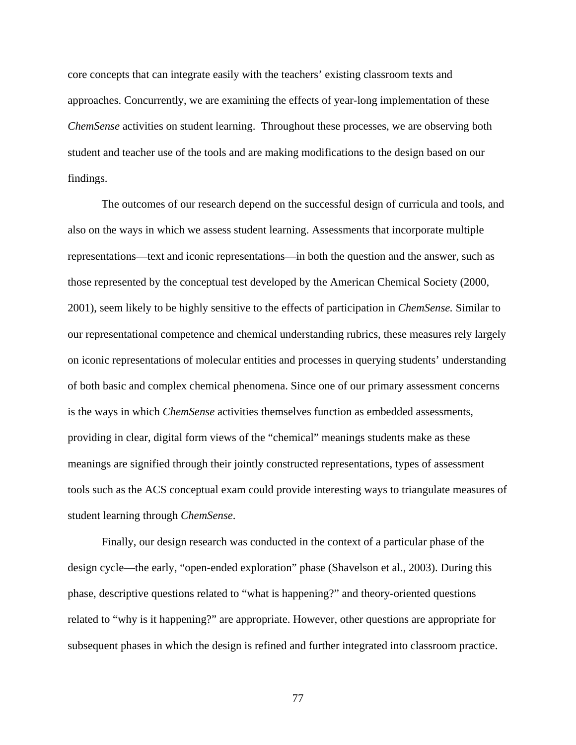core concepts that can integrate easily with the teachers' existing classroom texts and approaches. Concurrently, we are examining the effects of year-long implementation of these *ChemSense* activities on student learning. Throughout these processes, we are observing both student and teacher use of the tools and are making modifications to the design based on our findings.

The outcomes of our research depend on the successful design of curricula and tools, and also on the ways in which we assess student learning. Assessments that incorporate multiple representations—text and iconic representations—in both the question and the answer, such as those represented by the conceptual test developed by the American Chemical Society (2000, 2001), seem likely to be highly sensitive to the effects of participation in *ChemSense.* Similar to our representational competence and chemical understanding rubrics, these measures rely largely on iconic representations of molecular entities and processes in querying students' understanding of both basic and complex chemical phenomena. Since one of our primary assessment concerns is the ways in which *ChemSense* activities themselves function as embedded assessments, providing in clear, digital form views of the "chemical" meanings students make as these meanings are signified through their jointly constructed representations, types of assessment tools such as the ACS conceptual exam could provide interesting ways to triangulate measures of student learning through *ChemSense*.

Finally, our design research was conducted in the context of a particular phase of the design cycle—the early, "open-ended exploration" phase (Shavelson et al., 2003). During this phase, descriptive questions related to "what is happening?" and theory-oriented questions related to "why is it happening?" are appropriate. However, other questions are appropriate for subsequent phases in which the design is refined and further integrated into classroom practice.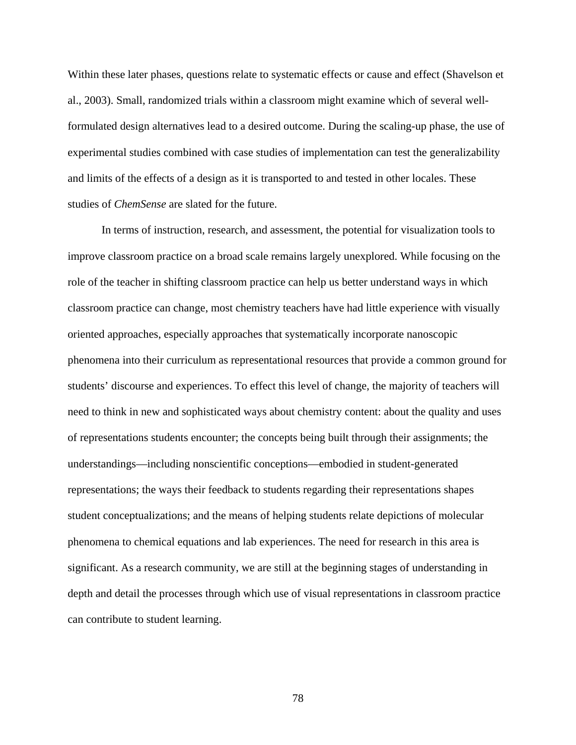Within these later phases, questions relate to systematic effects or cause and effect (Shavelson et al., 2003). Small, randomized trials within a classroom might examine which of several wellformulated design alternatives lead to a desired outcome. During the scaling-up phase, the use of experimental studies combined with case studies of implementation can test the generalizability and limits of the effects of a design as it is transported to and tested in other locales. These studies of *ChemSense* are slated for the future.

In terms of instruction, research, and assessment, the potential for visualization tools to improve classroom practice on a broad scale remains largely unexplored. While focusing on the role of the teacher in shifting classroom practice can help us better understand ways in which classroom practice can change, most chemistry teachers have had little experience with visually oriented approaches, especially approaches that systematically incorporate nanoscopic phenomena into their curriculum as representational resources that provide a common ground for students' discourse and experiences. To effect this level of change, the majority of teachers will need to think in new and sophisticated ways about chemistry content: about the quality and uses of representations students encounter; the concepts being built through their assignments; the understandings—including nonscientific conceptions—embodied in student-generated representations; the ways their feedback to students regarding their representations shapes student conceptualizations; and the means of helping students relate depictions of molecular phenomena to chemical equations and lab experiences. The need for research in this area is significant. As a research community, we are still at the beginning stages of understanding in depth and detail the processes through which use of visual representations in classroom practice can contribute to student learning.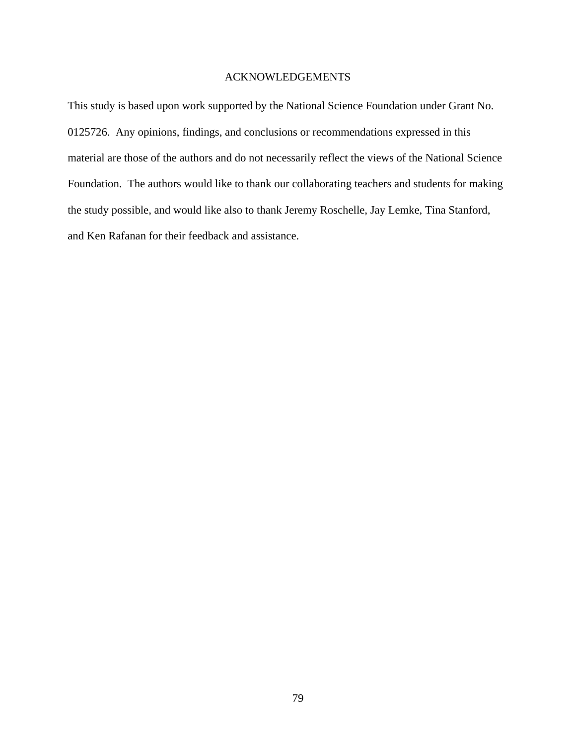## ACKNOWLEDGEMENTS

This study is based upon work supported by the National Science Foundation under Grant No. 0125726. Any opinions, findings, and conclusions or recommendations expressed in this material are those of the authors and do not necessarily reflect the views of the National Science Foundation. The authors would like to thank our collaborating teachers and students for making the study possible, and would like also to thank Jeremy Roschelle, Jay Lemke, Tina Stanford, and Ken Rafanan for their feedback and assistance.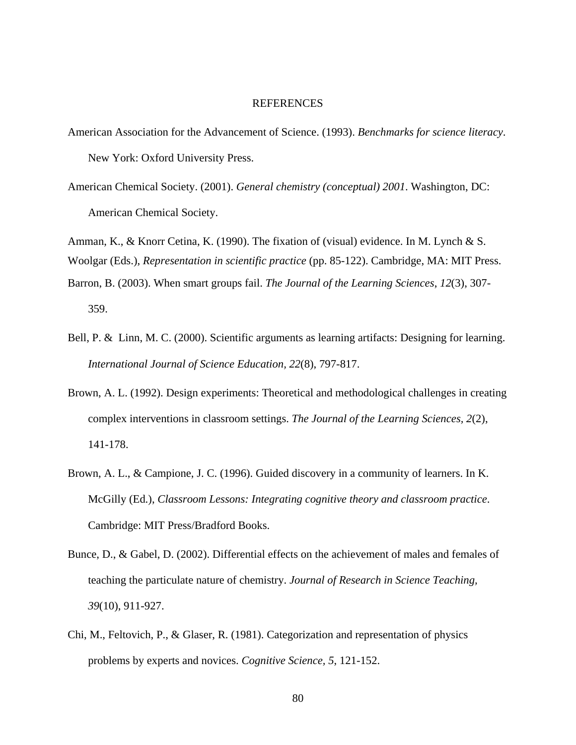## **REFERENCES**

- American Association for the Advancement of Science. (1993). *Benchmarks for science literacy*. New York: Oxford University Press.
- American Chemical Society. (2001). *General chemistry (conceptual) 2001*. Washington, DC: American Chemical Society.

Amman, K., & Knorr Cetina, K. (1990). The fixation of (visual) evidence. In M. Lynch & S.

Woolgar (Eds.), *Representation in scientific practice* (pp. 85-122). Cambridge, MA: MIT Press.

- Barron, B. (2003). When smart groups fail. *The Journal of the Learning Sciences*, *12*(3), 307- 359.
- Bell, P. & Linn, M. C. (2000). Scientific arguments as learning artifacts: Designing for learning. *International Journal of Science Education, 22*(8), 797-817.
- Brown, A. L. (1992). Design experiments: Theoretical and methodological challenges in creating complex interventions in classroom settings. *The Journal of the Learning Sciences, 2*(2), 141-178.
- Brown, A. L., & Campione, J. C. (1996). Guided discovery in a community of learners. In K. McGilly (Ed.), *Classroom Lessons: Integrating cognitive theory and classroom practice*. Cambridge: MIT Press/Bradford Books.
- Bunce, D., & Gabel, D. (2002). Differential effects on the achievement of males and females of teaching the particulate nature of chemistry. *Journal of Research in Science Teaching, 39*(10), 911-927.
- Chi, M., Feltovich, P., & Glaser, R. (1981). Categorization and representation of physics problems by experts and novices. *Cognitive Science, 5*, 121-152.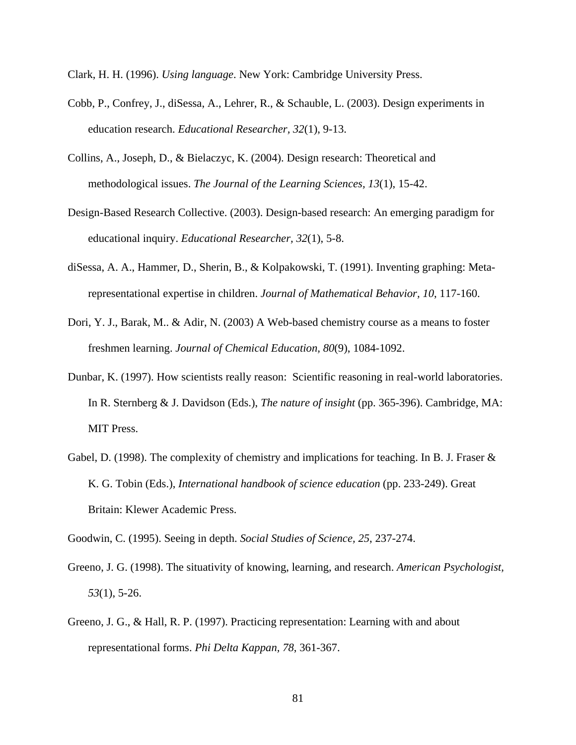Clark, H. H. (1996). *[Using language](http://www.cup.org/Titles/56/0521561582.html)*. New York: [Cambridge University Press](http://www.cup.org/).

- Cobb, P., Confrey, J., diSessa, A., Lehrer, R., & Schauble, L. (2003). Design experiments in education research. *Educational Researcher, 32*(1), 9-13.
- Collins, A., Joseph, D., & Bielaczyc, K. (2004). Design research: Theoretical and methodological issues. *The Journal of the Learning Sciences, 13*(1), 15-42.
- Design-Based Research Collective. (2003). Design-based research: An emerging paradigm for educational inquiry. *Educational Researcher, 32*(1), 5-8.
- diSessa, A. A., Hammer, D., Sherin, B., & Kolpakowski, T. (1991). Inventing graphing: Metarepresentational expertise in children. *Journal of Mathematical Behavior, 10*, 117-160.
- Dori, Y. J., Barak, M.. & Adir, N. (2003) A Web-based chemistry course as a means to foster freshmen learning. *Journal of Chemical Education, 80*(9), 1084-1092.
- Dunbar, K. (1997). How scientists really reason: Scientific reasoning in real-world laboratories. In R. Sternberg & J. Davidson (Eds.), *The nature of insight* (pp. 365-396). Cambridge, MA: MIT Press.
- Gabel, D. (1998). The complexity of chemistry and implications for teaching. In B. J. Fraser & K. G. Tobin (Eds.), *International handbook of science education* (pp. 233-249). Great Britain: Klewer Academic Press.

Goodwin, C. (1995). Seeing in depth. *Social Studies of Science, 25*, 237-274.

- Greeno, J. G. (1998). The situativity of knowing, learning, and research. *American Psychologist, 53*(1), 5-26.
- Greeno, J. G., & Hall, R. P. (1997). Practicing representation: Learning with and about representational forms. *Phi Delta Kappan, 78*, 361-367.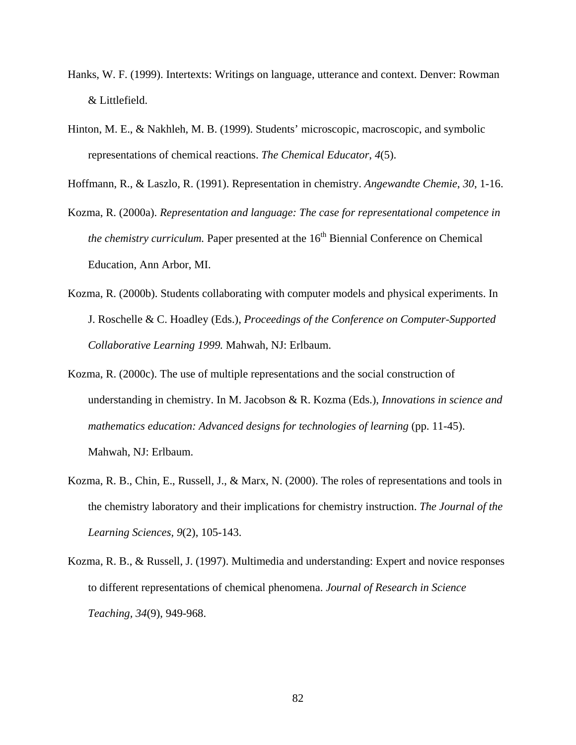- Hanks, W. F. (1999). Intertexts: Writings on language, utterance and context. Denver: Rowman & Littlefield.
- Hinton, M. E., & Nakhleh, M. B. (1999). Students' microscopic, macroscopic, and symbolic representations of chemical reactions. *The Chemical Educator*, *4*(5).
- Hoffmann, R., & Laszlo, R. (1991). Representation in chemistry. *Angewandte Chemie*, *30*, 1-16.
- Kozma, R. (2000a). *Representation and language: The case for representational competence in the chemistry curriculum.* Paper presented at the 16<sup>th</sup> Biennial Conference on Chemical Education, Ann Arbor, MI.
- Kozma, R. (2000b). Students collaborating with computer models and physical experiments. In J. Roschelle & C. Hoadley (Eds.), *Proceedings of the Conference on Computer-Supported Collaborative Learning 1999.* Mahwah, NJ: Erlbaum.
- Kozma, R. (2000c). The use of multiple representations and the social construction of understanding in chemistry. In M. Jacobson & R. Kozma (Eds.), *Innovations in science and mathematics education: Advanced designs for technologies of learning* (pp. 11-45). Mahwah, NJ: Erlbaum.
- Kozma, R. B., Chin, E., Russell, J., & Marx, N. (2000). The roles of representations and tools in the chemistry laboratory and their implications for chemistry instruction. *The Journal of the Learning Sciences, 9*(2), 105-143.
- Kozma, R. B., & Russell, J. (1997). Multimedia and understanding: Expert and novice responses to different representations of chemical phenomena. *Journal of Research in Science Teaching, 34*(9), 949-968.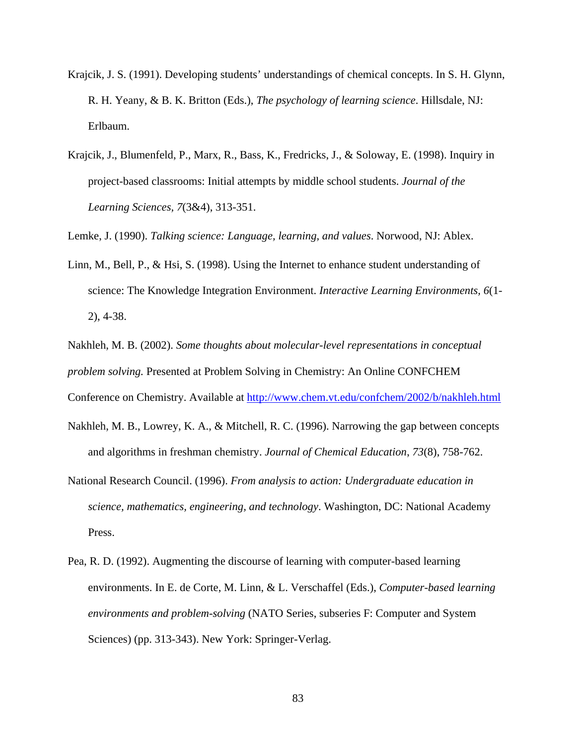- Krajcik, J. S. (1991). Developing students' understandings of chemical concepts. In S. H. Glynn, R. H. Yeany, & B. K. Britton (Eds.), *The psychology of learning science*. Hillsdale, NJ: Erlbaum.
- Krajcik, J., Blumenfeld, P., Marx, R., Bass, K., Fredricks, J., & Soloway, E. (1998). Inquiry in project-based classrooms: Initial attempts by middle school students. *Journal of the Learning Sciences, 7*(3&4), 313-351.
- Lemke, J. (1990). *Talking science: Language, learning, and values*. Norwood, NJ: Ablex.
- Linn, M., Bell, P., & Hsi, S. (1998). Using the Internet to enhance student understanding of science: The Knowledge Integration Environment. *Interactive Learning Environments, 6*(1- 2), 4-38.
- Nakhleh, M. B. (2002). *Some thoughts about molecular-level representations in conceptual problem solving.* Presented at Problem Solving in Chemistry: An Online CONFCHEM
- Conference on Chemistry. Available at <http://www.chem.vt.edu/confchem/2002/b/nakhleh.html>
- Nakhleh, M. B., Lowrey, K. A., & Mitchell, R. C. (1996). Narrowing the gap between concepts and algorithms in freshman chemistry. *Journal of Chemical Education*, *73*(8), 758-762.
- National Research Council. (1996). *From analysis to action: Undergraduate education in science, mathematics, engineering, and technology*. Washington, DC: National Academy Press.
- Pea, R. D. (1992). Augmenting the discourse of learning with computer-based learning environments. In E. de Corte, M. Linn, & L. Verschaffel (Eds.), *Computer-based learning environments and problem-solving* (NATO Series, subseries F: Computer and System Sciences) (pp. 313-343). New York: Springer-Verlag.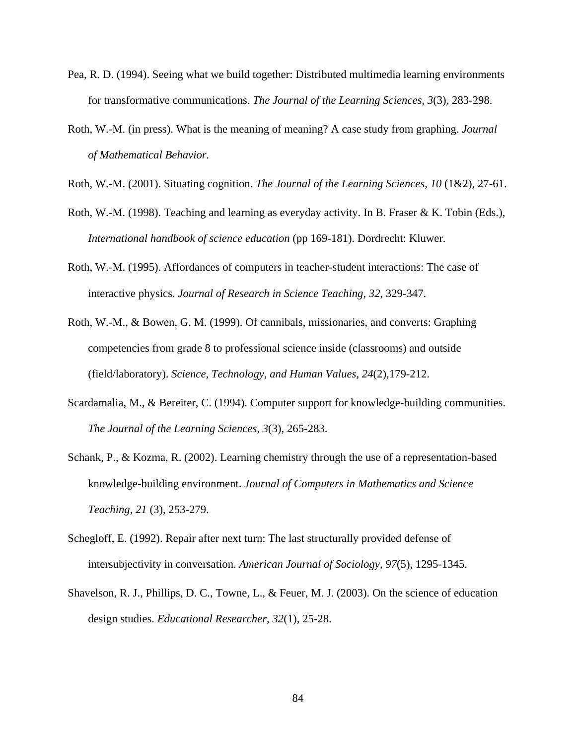- Pea, R. D. (1994). Seeing what we build together: Distributed multimedia learning environments for transformative communications. *The Journal of the Learning Sciences, 3*(3), 283-298.
- Roth, W.-M. (in press). What is the meaning of meaning? A case study from graphing. *Journal of Mathematical Behavior.*
- Roth, W.-M. (2001). Situating cognition. *The Journal of the Learning Sciences, 10* (1&2), 27-61.
- Roth, W.-M. (1998). Teaching and learning as everyday activity. In B. Fraser & K. Tobin (Eds.), *International handbook of science education* (pp 169-181). Dordrecht: Kluwer.
- Roth, W.-M. (1995). Affordances of computers in teacher-student interactions: The case of interactive physics. *Journal of Research in Science Teaching, 32*, 329-347.
- Roth, W.-M., & Bowen, G. M. (1999). Of cannibals, missionaries, and converts: Graphing competencies from grade 8 to professional science inside (classrooms) and outside (field/laboratory). *Science, Technology, and Human Values, 24*(2),179-212.
- Scardamalia, M., & Bereiter, C. (1994). Computer support for knowledge-building communities. *The Journal of the Learning Sciences, 3*(3), 265-283.
- Schank, P., & Kozma, R. (2002). Learning chemistry through the use of a representation-based knowledge-building environment. *Journal of Computers in Mathematics and Science Teaching, 21* (3), 253-279.
- Schegloff, E. (1992). Repair after next turn: The last structurally provided defense of intersubjectivity in conversation. *American Journal of Sociology, 97*(5), 1295-1345.
- Shavelson, R. J., Phillips, D. C., Towne, L., & Feuer, M. J. (2003). On the science of education design studies. *Educational Researcher, 32*(1), 25-28.